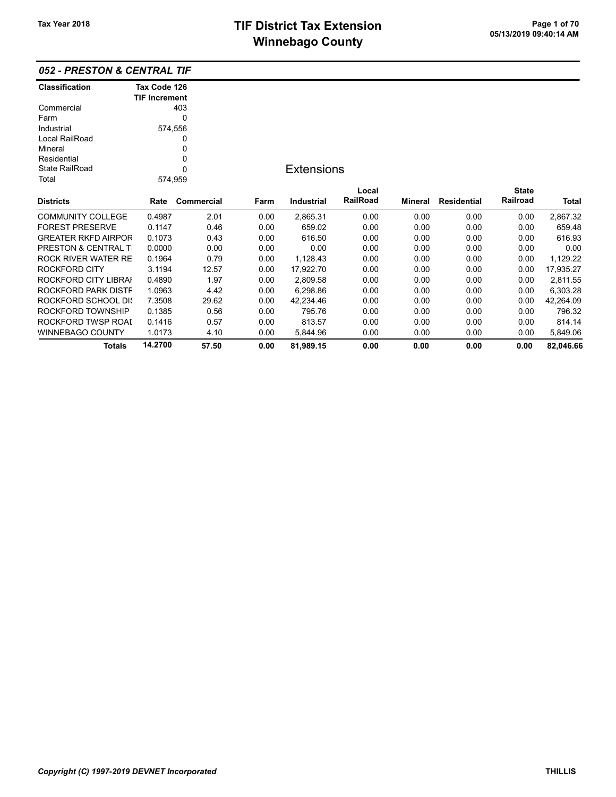### 052 - PRESTON & CENTRAL TIF

| Classification                  | Tax Code 126         |            |      |                   |          |                |                    |              |           |
|---------------------------------|----------------------|------------|------|-------------------|----------|----------------|--------------------|--------------|-----------|
|                                 | <b>TIF Increment</b> |            |      |                   |          |                |                    |              |           |
| Commercial                      |                      | 403        |      |                   |          |                |                    |              |           |
| Farm                            |                      | 0          |      |                   |          |                |                    |              |           |
| Industrial                      |                      | 574,556    |      |                   |          |                |                    |              |           |
| Local RailRoad                  |                      | 0          |      |                   |          |                |                    |              |           |
| Mineral                         |                      | 0          |      |                   |          |                |                    |              |           |
| Residential                     |                      | 0          |      |                   |          |                |                    |              |           |
| <b>State RailRoad</b>           |                      | $\Omega$   |      | <b>Extensions</b> |          |                |                    |              |           |
| Total                           |                      | 574,959    |      |                   |          |                |                    |              |           |
|                                 |                      |            |      |                   | Local    |                |                    | <b>State</b> |           |
| <b>Districts</b>                | Rate                 | Commercial | Farm | <b>Industrial</b> | RailRoad | <b>Mineral</b> | <b>Residential</b> | Railroad     | Total     |
| <b>COMMUNITY COLLEGE</b>        | 0.4987               | 2.01       | 0.00 | 2,865.31          | 0.00     | 0.00           | 0.00               | 0.00         | 2,867.32  |
| <b>FOREST PRESERVE</b>          | 0.1147               | 0.46       | 0.00 | 659.02            | 0.00     | 0.00           | 0.00               | 0.00         | 659.48    |
| <b>GREATER RKFD AIRPOR</b>      | 0.1073               | 0.43       | 0.00 | 616.50            | 0.00     | 0.00           | 0.00               | 0.00         | 616.93    |
| <b>PRESTON &amp; CENTRAL TI</b> | 0.0000               | 0.00       | 0.00 | 0.00              | 0.00     | 0.00           | 0.00               | 0.00         | 0.00      |
| <b>ROCK RIVER WATER RE</b>      | 0.1964               | 0.79       | 0.00 | 1,128.43          | 0.00     | 0.00           | 0.00               | 0.00         | 1,129.22  |
| ROCKFORD CITY                   | 3.1194               | 12.57      | 0.00 | 17,922.70         | 0.00     | 0.00           | 0.00               | 0.00         | 17,935.27 |
| ROCKFORD CITY LIBRAI            | 0.4890               | 1.97       | 0.00 | 2,809.58          | 0.00     | 0.00           | 0.00               | 0.00         | 2,811.55  |
| ROCKFORD PARK DISTF             | 1.0963               | 4.42       | 0.00 | 6,298.86          | 0.00     | 0.00           | 0.00               | 0.00         | 6,303.28  |
| ROCKFORD SCHOOL DIS             | 7.3508               | 29.62      | 0.00 | 42,234.46         | 0.00     | 0.00           | 0.00               | 0.00         | 42,264.09 |
| ROCKFORD TOWNSHIP               | 0.1385               | 0.56       | 0.00 | 795.76            | 0.00     | 0.00           | 0.00               | 0.00         | 796.32    |
| ROCKFORD TWSP ROAI              | 0.1416               | 0.57       | 0.00 | 813.57            | 0.00     | 0.00           | 0.00               | 0.00         | 814.14    |
| <b>WINNEBAGO COUNTY</b>         | 1.0173               | 4.10       | 0.00 | 5.844.96          | 0.00     | 0.00           | 0.00               | 0.00         | 5,849.06  |
| Totals                          | 14.2700              | 57.50      | 0.00 | 81,989.15         | 0.00     | 0.00           | 0.00               | 0.00         | 82,046.66 |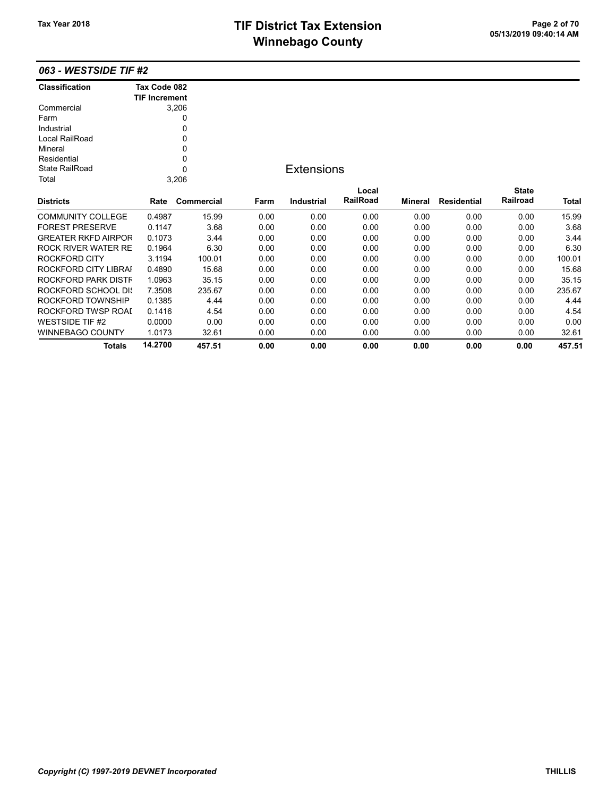## TIF District Tax Extension<br>05/13/2019 09:40:14 AM **Winnebago County**

Totals 14.2700 457.51 0.00 0.00 0.00 0.00 0.00 0.00 457.51

### 063 - WESTSIDE TIF #2

| <b>Classification</b>      | Tax Code 082         |            |      |                   |                 |         |                    |              |              |
|----------------------------|----------------------|------------|------|-------------------|-----------------|---------|--------------------|--------------|--------------|
|                            | <b>TIF Increment</b> |            |      |                   |                 |         |                    |              |              |
| Commercial                 |                      | 3,206      |      |                   |                 |         |                    |              |              |
| Farm                       |                      | 0          |      |                   |                 |         |                    |              |              |
| Industrial                 |                      | 0          |      |                   |                 |         |                    |              |              |
| Local RailRoad             |                      | 0          |      |                   |                 |         |                    |              |              |
| Mineral                    |                      | 0          |      |                   |                 |         |                    |              |              |
| Residential                |                      | 0          |      |                   |                 |         |                    |              |              |
| State RailRoad             |                      | 0          |      | <b>Extensions</b> |                 |         |                    |              |              |
| Total                      |                      | 3,206      |      |                   |                 |         |                    |              |              |
|                            |                      |            |      |                   | Local           |         |                    | <b>State</b> |              |
| <b>Districts</b>           | Rate                 | Commercial | Farm | <b>Industrial</b> | <b>RailRoad</b> | Mineral | <b>Residential</b> | Railroad     | <b>Total</b> |
| <b>COMMUNITY COLLEGE</b>   | 0.4987               | 15.99      | 0.00 | 0.00              | 0.00            | 0.00    | 0.00               | 0.00         | 15.99        |
| <b>FOREST PRESERVE</b>     | 0.1147               | 3.68       | 0.00 | 0.00              | 0.00            | 0.00    | 0.00               | 0.00         | 3.68         |
| <b>GREATER RKFD AIRPOR</b> | 0.1073               | 3.44       | 0.00 | 0.00              | 0.00            | 0.00    | 0.00               | 0.00         | 3.44         |
| <b>ROCK RIVER WATER RE</b> | 0.1964               | 6.30       | 0.00 | 0.00              | 0.00            | 0.00    | 0.00               | 0.00         | 6.30         |
| <b>ROCKFORD CITY</b>       | 3.1194               | 100.01     | 0.00 | 0.00              | 0.00            | 0.00    | 0.00               | 0.00         | 100.01       |
| ROCKFORD CITY LIBRAI       | 0.4890               | 15.68      | 0.00 | 0.00              | 0.00            | 0.00    | 0.00               | 0.00         | 15.68        |
| ROCKFORD PARK DISTF        | 1.0963               | 35.15      | 0.00 | 0.00              | 0.00            | 0.00    | 0.00               | 0.00         | 35.15        |
| ROCKFORD SCHOOL DIS        | 7.3508               | 235.67     | 0.00 | 0.00              | 0.00            | 0.00    | 0.00               | 0.00         | 235.67       |
| ROCKFORD TOWNSHIP          | 0.1385               | 4.44       | 0.00 | 0.00              | 0.00            | 0.00    | 0.00               | 0.00         | 4.44         |
| ROCKFORD TWSP ROAI         | 0.1416               | 4.54       | 0.00 | 0.00              | 0.00            | 0.00    | 0.00               | 0.00         | 4.54         |
| <b>WESTSIDE TIF #2</b>     | 0.0000               | 0.00       | 0.00 | 0.00              | 0.00            | 0.00    | 0.00               | 0.00         | 0.00         |
| <b>WINNEBAGO COUNTY</b>    | 1.0173               | 32.61      | 0.00 | 0.00              | 0.00            | 0.00    | 0.00               | 0.00         | 32.61        |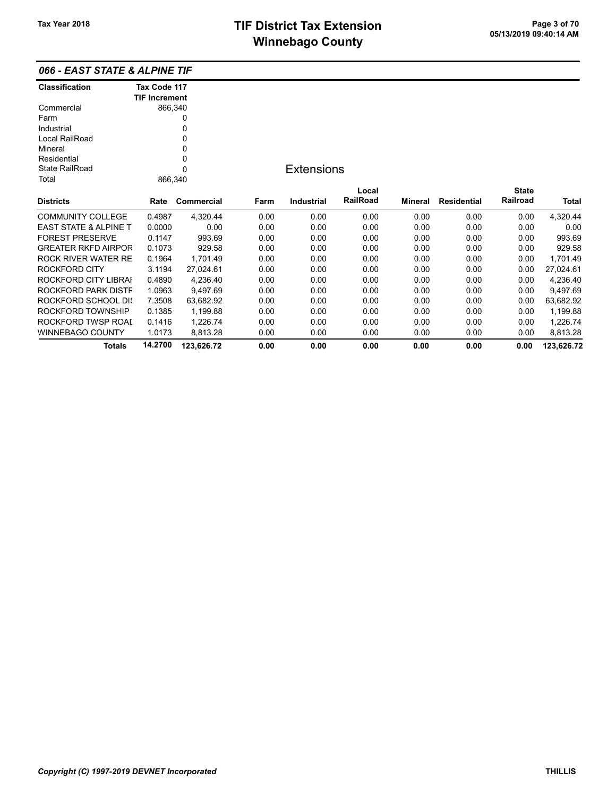State RailRoad Residential

| 066 - EAST STATE & ALPINE TIF |                      |  |  |  |  |  |  |  |  |
|-------------------------------|----------------------|--|--|--|--|--|--|--|--|
| <b>Classification</b>         | Tax Code 117         |  |  |  |  |  |  |  |  |
|                               | <b>TIF Increment</b> |  |  |  |  |  |  |  |  |
| Commercial                    | 866,340              |  |  |  |  |  |  |  |  |
| Farm                          |                      |  |  |  |  |  |  |  |  |
| Industrial                    | O                    |  |  |  |  |  |  |  |  |
| Local RailRoad                | 0                    |  |  |  |  |  |  |  |  |
| Mineral                       |                      |  |  |  |  |  |  |  |  |

0 0

## **Extensions**

| Total                            | 866.340 |            |      |                   |                          |         |                    |                          |              |
|----------------------------------|---------|------------|------|-------------------|--------------------------|---------|--------------------|--------------------------|--------------|
| <b>Districts</b>                 | Rate    | Commercial | Farm | <b>Industrial</b> | Local<br><b>RailRoad</b> | Mineral | <b>Residential</b> | <b>State</b><br>Railroad | <b>Total</b> |
| <b>COMMUNITY COLLEGE</b>         | 0.4987  | 4.320.44   | 0.00 | 0.00              | 0.00                     | 0.00    | 0.00               | 0.00                     | 4,320.44     |
| <b>EAST STATE &amp; ALPINE T</b> | 0.0000  | 0.00       | 0.00 | 0.00              | 0.00                     | 0.00    | 0.00               | 0.00                     | 0.00         |
| <b>FOREST PRESERVE</b>           | 0.1147  | 993.69     | 0.00 | 0.00              | 0.00                     | 0.00    | 0.00               | 0.00                     | 993.69       |
| <b>GREATER RKFD AIRPOR</b>       | 0.1073  | 929.58     | 0.00 | 0.00              | 0.00                     | 0.00    | 0.00               | 0.00                     | 929.58       |
| ROCK RIVER WATER RE              | 0.1964  | 1.701.49   | 0.00 | 0.00              | 0.00                     | 0.00    | 0.00               | 0.00                     | 1.701.49     |
| ROCKFORD CITY                    | 3.1194  | 27.024.61  | 0.00 | 0.00              | 0.00                     | 0.00    | 0.00               | 0.00                     | 27.024.61    |
| ROCKFORD CITY LIBRAI             | 0.4890  | 4.236.40   | 0.00 | 0.00              | 0.00                     | 0.00    | 0.00               | 0.00                     | 4,236.40     |
| ROCKFORD PARK DISTF              | 1.0963  | 9.497.69   | 0.00 | 0.00              | 0.00                     | 0.00    | 0.00               | 0.00                     | 9,497.69     |
| ROCKFORD SCHOOL DIS              | 7.3508  | 63.682.92  | 0.00 | 0.00              | 0.00                     | 0.00    | 0.00               | 0.00                     | 63,682.92    |
| ROCKFORD TOWNSHIP                | 0.1385  | 1,199.88   | 0.00 | 0.00              | 0.00                     | 0.00    | 0.00               | 0.00                     | 1,199.88     |
| ROCKFORD TWSP ROAL               | 0.1416  | 1.226.74   | 0.00 | 0.00              | 0.00                     | 0.00    | 0.00               | 0.00                     | 1,226.74     |
| <b>WINNEBAGO COUNTY</b>          | 1.0173  | 8,813.28   | 0.00 | 0.00              | 0.00                     | 0.00    | 0.00               | 0.00                     | 8,813.28     |
| <b>Totals</b>                    | 14.2700 | 123.626.72 | 0.00 | 0.00              | 0.00                     | 0.00    | 0.00               | 0.00                     | 123.626.72   |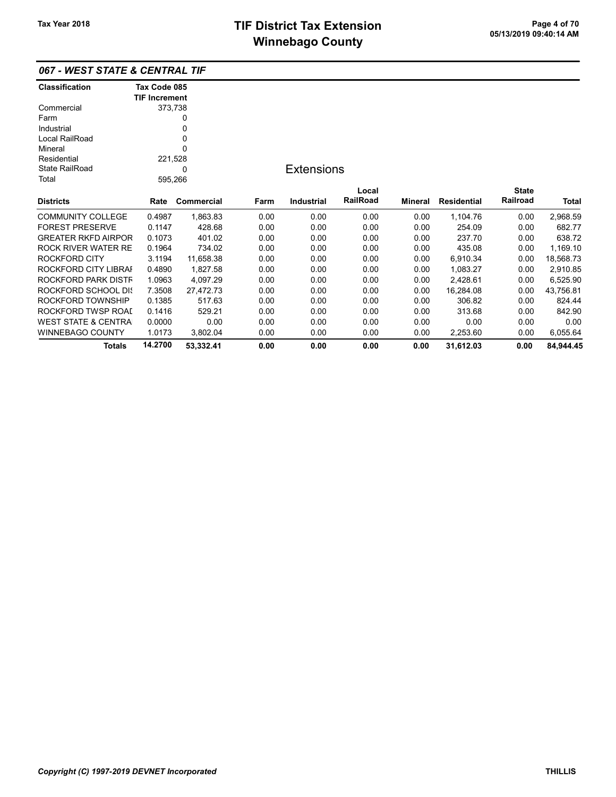| 067 - WEST STATE & CENTRAL TIF |  |
|--------------------------------|--|
|--------------------------------|--|

| <b>Classification</b>          | Tax Code 085         |            |      |                   |          |                |                    |              |           |
|--------------------------------|----------------------|------------|------|-------------------|----------|----------------|--------------------|--------------|-----------|
|                                | <b>TIF Increment</b> |            |      |                   |          |                |                    |              |           |
| Commercial                     | 373,738              |            |      |                   |          |                |                    |              |           |
| Farm                           |                      | 0          |      |                   |          |                |                    |              |           |
| Industrial                     |                      | 0          |      |                   |          |                |                    |              |           |
| Local RailRoad                 |                      | 0          |      |                   |          |                |                    |              |           |
| Mineral                        |                      | 0          |      |                   |          |                |                    |              |           |
| Residential                    | 221,528              |            |      |                   |          |                |                    |              |           |
| <b>State RailRoad</b>          |                      | 0          |      | <b>Extensions</b> |          |                |                    |              |           |
| Total                          | 595,266              |            |      |                   |          |                |                    |              |           |
|                                |                      |            |      |                   | Local    |                |                    | <b>State</b> |           |
| <b>Districts</b>               | Rate                 | Commercial | Farm | <b>Industrial</b> | RailRoad | <b>Mineral</b> | <b>Residential</b> | Railroad     | Total     |
| <b>COMMUNITY COLLEGE</b>       | 0.4987               | 1,863.83   | 0.00 | 0.00              | 0.00     | 0.00           | 1,104.76           | 0.00         | 2,968.59  |
| <b>FOREST PRESERVE</b>         | 0.1147               | 428.68     | 0.00 | 0.00              | 0.00     | 0.00           | 254.09             | 0.00         | 682.77    |
| <b>GREATER RKFD AIRPOR</b>     | 0.1073               | 401.02     | 0.00 | 0.00              | 0.00     | 0.00           | 237.70             | 0.00         | 638.72    |
| ROCK RIVER WATER RE            | 0.1964               | 734.02     | 0.00 | 0.00              | 0.00     | 0.00           | 435.08             | 0.00         | 1,169.10  |
| <b>ROCKFORD CITY</b>           | 3.1194               | 11,658.38  | 0.00 | 0.00              | 0.00     | 0.00           | 6,910.34           | 0.00         | 18,568.73 |
| ROCKFORD CITY LIBRAI           | 0.4890               | 1,827.58   | 0.00 | 0.00              | 0.00     | 0.00           | 1,083.27           | 0.00         | 2,910.85  |
| ROCKFORD PARK DISTF            | 1.0963               | 4,097.29   | 0.00 | 0.00              | 0.00     | 0.00           | 2,428.61           | 0.00         | 6,525.90  |
| ROCKFORD SCHOOL DIS            | 7.3508               | 27,472.73  | 0.00 | 0.00              | 0.00     | 0.00           | 16,284.08          | 0.00         | 43,756.81 |
| ROCKFORD TOWNSHIP              | 0.1385               | 517.63     | 0.00 | 0.00              | 0.00     | 0.00           | 306.82             | 0.00         | 824.44    |
| ROCKFORD TWSP ROAI             | 0.1416               | 529.21     | 0.00 | 0.00              | 0.00     | 0.00           | 313.68             | 0.00         | 842.90    |
| <b>WEST STATE &amp; CENTRA</b> | 0.0000               | 0.00       | 0.00 | 0.00              | 0.00     | 0.00           | 0.00               | 0.00         | 0.00      |
| <b>WINNEBAGO COUNTY</b>        | 1.0173               | 3,802.04   | 0.00 | 0.00              | 0.00     | 0.00           | 2,253.60           | 0.00         | 6,055.64  |
| <b>Totals</b>                  | 14.2700              | 53,332.41  | 0.00 | 0.00              | 0.00     | 0.00           | 31,612.03          | 0.00         | 84.944.45 |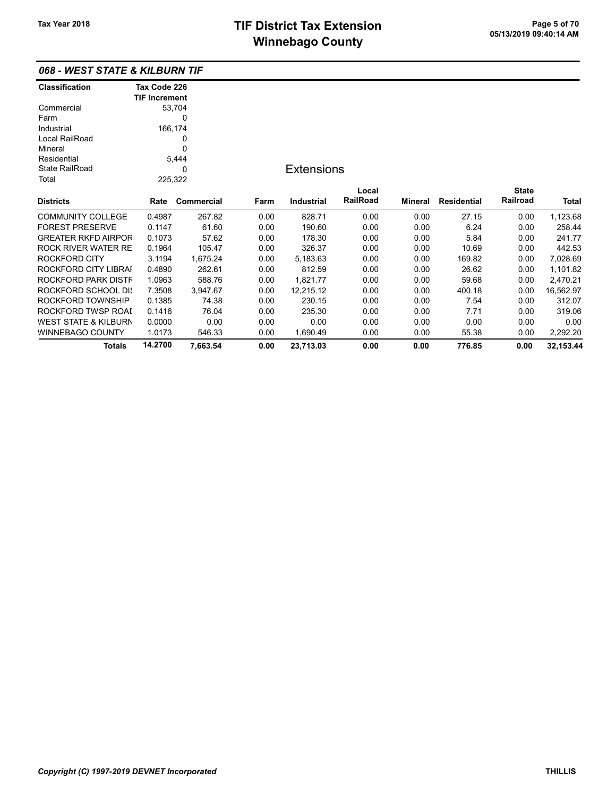## 068 - WEST STATE & KILBURN TIF

| <b>Classification</b>           | Tax Code 226         |            |      |                   |          |         |                    |              |           |
|---------------------------------|----------------------|------------|------|-------------------|----------|---------|--------------------|--------------|-----------|
|                                 | <b>TIF Increment</b> |            |      |                   |          |         |                    |              |           |
| Commercial                      |                      | 53,704     |      |                   |          |         |                    |              |           |
| Farm                            |                      | 0          |      |                   |          |         |                    |              |           |
| Industrial                      |                      | 166,174    |      |                   |          |         |                    |              |           |
| Local RailRoad                  |                      | 0          |      |                   |          |         |                    |              |           |
| Mineral                         |                      | 0          |      |                   |          |         |                    |              |           |
| Residential                     |                      | 5,444      |      |                   |          |         |                    |              |           |
| <b>State RailRoad</b>           |                      | 0          |      | <b>Extensions</b> |          |         |                    |              |           |
| Total                           | 225,322              |            |      |                   |          |         |                    |              |           |
|                                 |                      |            |      |                   | Local    |         |                    | <b>State</b> |           |
| <b>Districts</b>                | Rate                 | Commercial | Farm | <b>Industrial</b> | RailRoad | Mineral | <b>Residential</b> | Railroad     | Total     |
| <b>COMMUNITY COLLEGE</b>        | 0.4987               | 267.82     | 0.00 | 828.71            | 0.00     | 0.00    | 27.15              | 0.00         | 1,123.68  |
| <b>FOREST PRESERVE</b>          | 0.1147               | 61.60      | 0.00 | 190.60            | 0.00     | 0.00    | 6.24               | 0.00         | 258.44    |
| <b>GREATER RKFD AIRPOR</b>      | 0.1073               | 57.62      | 0.00 | 178.30            | 0.00     | 0.00    | 5.84               | 0.00         | 241.77    |
| <b>ROCK RIVER WATER RE</b>      | 0.1964               | 105.47     | 0.00 | 326.37            | 0.00     | 0.00    | 10.69              | 0.00         | 442.53    |
| <b>ROCKFORD CITY</b>            | 3.1194               | 1,675.24   | 0.00 | 5,183.63          | 0.00     | 0.00    | 169.82             | 0.00         | 7,028.69  |
| ROCKFORD CITY LIBRAI            | 0.4890               | 262.61     | 0.00 | 812.59            | 0.00     | 0.00    | 26.62              | 0.00         | 1,101.82  |
| ROCKFORD PARK DISTF             | 1.0963               | 588.76     | 0.00 | 1,821.77          | 0.00     | 0.00    | 59.68              | 0.00         | 2,470.21  |
| ROCKFORD SCHOOL DIS             | 7.3508               | 3,947.67   | 0.00 | 12,215.12         | 0.00     | 0.00    | 400.18             | 0.00         | 16,562.97 |
| ROCKFORD TOWNSHIP               | 0.1385               | 74.38      | 0.00 | 230.15            | 0.00     | 0.00    | 7.54               | 0.00         | 312.07    |
| ROCKFORD TWSP ROAI              | 0.1416               | 76.04      | 0.00 | 235.30            | 0.00     | 0.00    | 7.71               | 0.00         | 319.06    |
| <b>WEST STATE &amp; KILBURN</b> | 0.0000               | 0.00       | 0.00 | 0.00              | 0.00     | 0.00    | 0.00               | 0.00         | 0.00      |
| <b>WINNEBAGO COUNTY</b>         | 1.0173               | 546.33     | 0.00 | 1,690.49          | 0.00     | 0.00    | 55.38              | 0.00         | 2,292.20  |
| <b>Totals</b>                   | 14.2700              | 7,663.54   | 0.00 | 23,713.03         | 0.00     | 0.00    | 776.85             | 0.00         | 32,153.44 |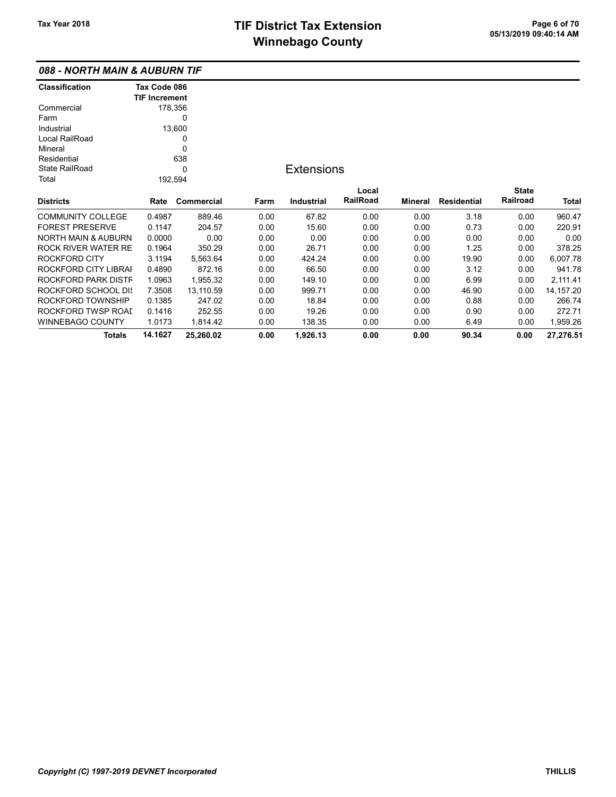## 088 - NORTH MAIN & AUBURN TIF

| <b>Classification</b>          | Tax Code 086         |            |      |                   |          |         |                    |              |             |
|--------------------------------|----------------------|------------|------|-------------------|----------|---------|--------------------|--------------|-------------|
|                                | <b>TIF Increment</b> |            |      |                   |          |         |                    |              |             |
| Commercial                     |                      | 178,356    |      |                   |          |         |                    |              |             |
| Farm                           |                      | 0          |      |                   |          |         |                    |              |             |
| Industrial                     |                      | 13,600     |      |                   |          |         |                    |              |             |
| Local RailRoad                 |                      | 0          |      |                   |          |         |                    |              |             |
| Mineral                        |                      | 0          |      |                   |          |         |                    |              |             |
| Residential                    |                      | 638        |      |                   |          |         |                    |              |             |
| <b>State RailRoad</b>          |                      | 0          |      | <b>Extensions</b> |          |         |                    |              |             |
| Total                          |                      | 192,594    |      |                   |          |         |                    |              |             |
|                                |                      |            |      |                   | Local    |         |                    | <b>State</b> |             |
| <b>Districts</b>               | Rate                 | Commercial | Farm | Industrial        | RailRoad | Mineral | <b>Residential</b> | Railroad     | Total       |
| <b>COMMUNITY COLLEGE</b>       | 0.4987               | 889.46     | 0.00 | 67.82             | 0.00     | 0.00    | 3.18               | 0.00         | 960.47      |
| <b>FOREST PRESERVE</b>         | 0.1147               | 204.57     | 0.00 | 15.60             | 0.00     | 0.00    | 0.73               | 0.00         | 220.91      |
| <b>NORTH MAIN &amp; AUBURN</b> | 0.0000               | 0.00       | 0.00 | 0.00              | 0.00     | 0.00    | 0.00               | 0.00         | 0.00        |
| <b>ROCK RIVER WATER RE</b>     | 0.1964               | 350.29     | 0.00 | 26.71             | 0.00     | 0.00    | 1.25               | 0.00         | 378.25      |
| <b>ROCKFORD CITY</b>           | 3.1194               | 5,563.64   | 0.00 | 424.24            | 0.00     | 0.00    | 19.90              | 0.00         | 6,007.78    |
| ROCKFORD CITY LIBRAI           | 0.4890               | 872.16     | 0.00 | 66.50             | 0.00     | 0.00    | 3.12               | 0.00         | 941.78      |
| ROCKFORD PARK DISTF            | 1.0963               | 1,955.32   | 0.00 | 149.10            | 0.00     | 0.00    | 6.99               | 0.00         | 2,111.41    |
| <b>ROCKFORD SCHOOL DIS</b>     | 7.3508               | 13,110.59  | 0.00 | 999.71            | 0.00     | 0.00    | 46.90              | 0.00         | 14, 157. 20 |
| ROCKFORD TOWNSHIP              | 0.1385               | 247.02     | 0.00 | 18.84             | 0.00     | 0.00    | 0.88               | 0.00         | 266.74      |
| ROCKFORD TWSP ROAI             | 0.1416               | 252.55     | 0.00 | 19.26             | 0.00     | 0.00    | 0.90               | 0.00         | 272.71      |
| <b>WINNEBAGO COUNTY</b>        | 1.0173               | 1,814.42   | 0.00 | 138.35            | 0.00     | 0.00    | 6.49               | 0.00         | 1,959.26    |
| Totals                         | 14.1627              | 25,260.02  | 0.00 | 1,926.13          | 0.00     | 0.00    | 90.34              | 0.00         | 27,276.51   |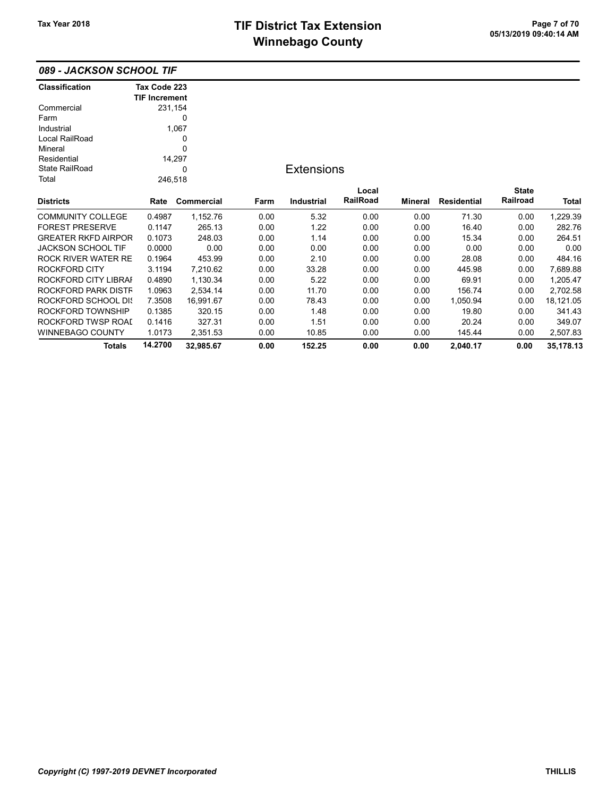089 - JACKSON SCHOOL TIF

| <b>Classification</b>      | Tax Code 223         |            |      |                   |                 |                |                    |              |           |
|----------------------------|----------------------|------------|------|-------------------|-----------------|----------------|--------------------|--------------|-----------|
|                            | <b>TIF Increment</b> |            |      |                   |                 |                |                    |              |           |
| Commercial                 | 231,154              |            |      |                   |                 |                |                    |              |           |
| Farm                       |                      | 0          |      |                   |                 |                |                    |              |           |
| Industrial                 |                      | 1,067      |      |                   |                 |                |                    |              |           |
| Local RailRoad             |                      | 0          |      |                   |                 |                |                    |              |           |
| Mineral                    |                      | 0          |      |                   |                 |                |                    |              |           |
| Residential                |                      | 14,297     |      |                   |                 |                |                    |              |           |
| <b>State RailRoad</b>      |                      | 0          |      | <b>Extensions</b> |                 |                |                    |              |           |
| Total                      | 246,518              |            |      |                   |                 |                |                    |              |           |
|                            |                      |            |      |                   | Local           |                |                    | <b>State</b> |           |
| <b>Districts</b>           | Rate                 | Commercial | Farm | Industrial        | <b>RailRoad</b> | <b>Mineral</b> | <b>Residential</b> | Railroad     | Total     |
| <b>COMMUNITY COLLEGE</b>   | 0.4987               | 1,152.76   | 0.00 | 5.32              | 0.00            | 0.00           | 71.30              | 0.00         | 1,229.39  |
| <b>FOREST PRESERVE</b>     | 0.1147               | 265.13     | 0.00 | 1.22              | 0.00            | 0.00           | 16.40              | 0.00         | 282.76    |
| <b>GREATER RKFD AIRPOR</b> | 0.1073               | 248.03     | 0.00 | 1.14              | 0.00            | 0.00           | 15.34              | 0.00         | 264.51    |
| <b>JACKSON SCHOOL TIF</b>  | 0.0000               | 0.00       | 0.00 | 0.00              | 0.00            | 0.00           | 0.00               | 0.00         | 0.00      |
| ROCK RIVER WATER RE        | 0.1964               | 453.99     | 0.00 | 2.10              | 0.00            | 0.00           | 28.08              | 0.00         | 484.16    |
| ROCKFORD CITY              | 3.1194               | 7,210.62   | 0.00 | 33.28             | 0.00            | 0.00           | 445.98             | 0.00         | 7,689.88  |
| ROCKFORD CITY LIBRAI       | 0.4890               | 1,130.34   | 0.00 | 5.22              | 0.00            | 0.00           | 69.91              | 0.00         | 1,205.47  |
| ROCKFORD PARK DISTF        | 1.0963               | 2,534.14   | 0.00 | 11.70             | 0.00            | 0.00           | 156.74             | 0.00         | 2,702.58  |
| ROCKFORD SCHOOL DIS        | 7.3508               | 16,991.67  | 0.00 | 78.43             | 0.00            | 0.00           | 1,050.94           | 0.00         | 18,121.05 |
| ROCKFORD TOWNSHIP          | 0.1385               | 320.15     | 0.00 | 1.48              | 0.00            | 0.00           | 19.80              | 0.00         | 341.43    |
| ROCKFORD TWSP ROAI         | 0.1416               | 327.31     | 0.00 | 1.51              | 0.00            | 0.00           | 20.24              | 0.00         | 349.07    |
| <b>WINNEBAGO COUNTY</b>    | 1.0173               | 2,351.53   | 0.00 | 10.85             | 0.00            | 0.00           | 145.44             | 0.00         | 2,507.83  |
| Totals                     | 14.2700              | 32,985.67  | 0.00 | 152.25            | 0.00            | 0.00           | 2,040.17           | 0.00         | 35,178.13 |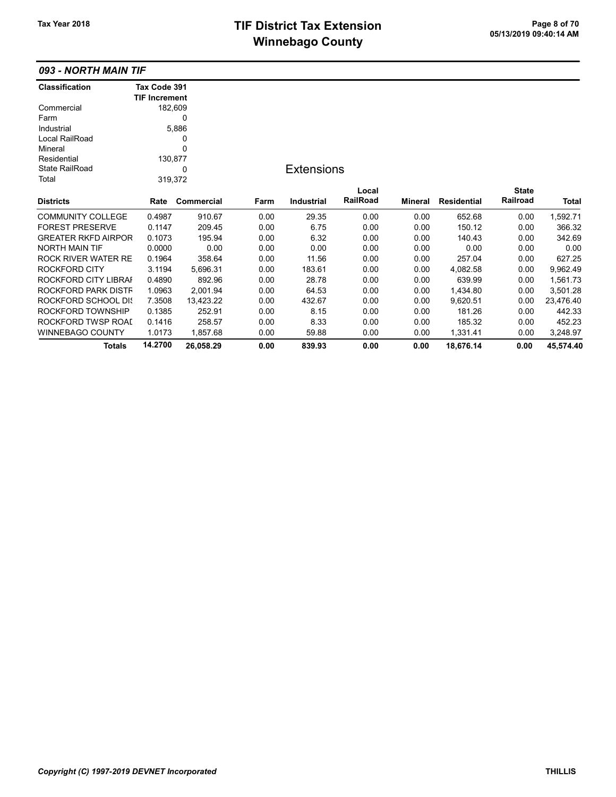# TIF District Tax Extension<br>
M's as has a  $Q_{\text{max}}$ ,  $Q_{\text{max}}$  of 70 **Winnebago County**

## 093 - NORTH MAIN TIF

| <b>Classification</b>      | Tax Code 391         |            |      |                   |          |                |                    |              |           |
|----------------------------|----------------------|------------|------|-------------------|----------|----------------|--------------------|--------------|-----------|
|                            | <b>TIF Increment</b> |            |      |                   |          |                |                    |              |           |
| Commercial                 |                      | 182,609    |      |                   |          |                |                    |              |           |
| Farm                       |                      | 0          |      |                   |          |                |                    |              |           |
| Industrial                 |                      | 5,886      |      |                   |          |                |                    |              |           |
| Local RailRoad             |                      | 0          |      |                   |          |                |                    |              |           |
| Mineral                    |                      | 0          |      |                   |          |                |                    |              |           |
| Residential                |                      | 130,877    |      |                   |          |                |                    |              |           |
| <b>State RailRoad</b>      |                      | 0          |      | <b>Extensions</b> |          |                |                    |              |           |
| Total                      |                      | 319,372    |      |                   |          |                |                    |              |           |
|                            |                      |            |      |                   | Local    |                |                    | <b>State</b> |           |
| <b>Districts</b>           | Rate                 | Commercial | Farm | <b>Industrial</b> | RailRoad | <b>Mineral</b> | <b>Residential</b> | Railroad     | Total     |
| <b>COMMUNITY COLLEGE</b>   | 0.4987               | 910.67     | 0.00 | 29.35             | 0.00     | 0.00           | 652.68             | 0.00         | 1,592.71  |
| <b>FOREST PRESERVE</b>     | 0.1147               | 209.45     | 0.00 | 6.75              | 0.00     | 0.00           | 150.12             | 0.00         | 366.32    |
| <b>GREATER RKFD AIRPOR</b> | 0.1073               | 195.94     | 0.00 | 6.32              | 0.00     | 0.00           | 140.43             | 0.00         | 342.69    |
| <b>NORTH MAIN TIF</b>      | 0.0000               | 0.00       | 0.00 | 0.00              | 0.00     | 0.00           | 0.00               | 0.00         | 0.00      |
| <b>ROCK RIVER WATER RE</b> | 0.1964               | 358.64     | 0.00 | 11.56             | 0.00     | 0.00           | 257.04             | 0.00         | 627.25    |
| <b>ROCKFORD CITY</b>       | 3.1194               | 5,696.31   | 0.00 | 183.61            | 0.00     | 0.00           | 4,082.58           | 0.00         | 9,962.49  |
| ROCKFORD CITY LIBRAI       | 0.4890               | 892.96     | 0.00 | 28.78             | 0.00     | 0.00           | 639.99             | 0.00         | 1,561.73  |
| ROCKFORD PARK DISTF        | 1.0963               | 2,001.94   | 0.00 | 64.53             | 0.00     | 0.00           | 1,434.80           | 0.00         | 3,501.28  |
| ROCKFORD SCHOOL DIS        | 7.3508               | 13,423.22  | 0.00 | 432.67            | 0.00     | 0.00           | 9,620.51           | 0.00         | 23,476.40 |
| ROCKFORD TOWNSHIP          | 0.1385               | 252.91     | 0.00 | 8.15              | 0.00     | 0.00           | 181.26             | 0.00         | 442.33    |
| ROCKFORD TWSP ROAI         | 0.1416               | 258.57     | 0.00 | 8.33              | 0.00     | 0.00           | 185.32             | 0.00         | 452.23    |
| WINNEBAGO COUNTY           | 1.0173               | 1,857.68   | 0.00 | 59.88             | 0.00     | 0.00           | 1,331.41           | 0.00         | 3,248.97  |
| <b>Totals</b>              | 14.2700              | 26,058.29  | 0.00 | 839.93            | 0.00     | 0.00           | 18,676.14          | 0.00         | 45,574.40 |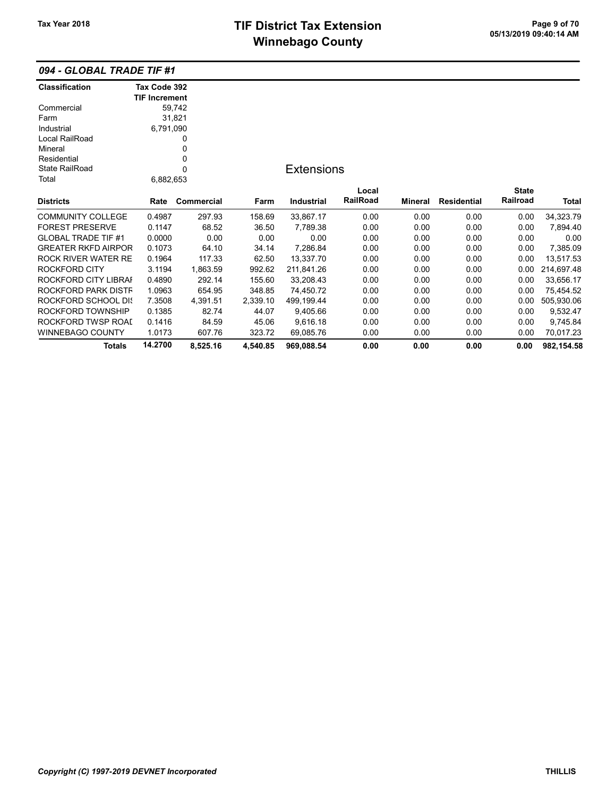# TIF District Tax Extension<br>
M's sales and Osman Page 9 of 70<br>
M's sales and Osman Page 11 of 2000 pm **Winnebago County**

### 094 - GLOBAL TRADE TIF #1

| <b>Classification</b>      | Tax Code 392         |            |          |                   |          |                |             |              |              |
|----------------------------|----------------------|------------|----------|-------------------|----------|----------------|-------------|--------------|--------------|
|                            | <b>TIF Increment</b> |            |          |                   |          |                |             |              |              |
| Commercial                 |                      | 59,742     |          |                   |          |                |             |              |              |
| Farm                       |                      | 31,821     |          |                   |          |                |             |              |              |
| Industrial                 | 6,791,090            |            |          |                   |          |                |             |              |              |
| Local RailRoad             |                      | 0          |          |                   |          |                |             |              |              |
| Mineral                    |                      | 0          |          |                   |          |                |             |              |              |
| Residential                |                      | 0          |          |                   |          |                |             |              |              |
| <b>State RailRoad</b>      |                      | $\Omega$   |          | <b>Extensions</b> |          |                |             |              |              |
| Total                      | 6,882,653            |            |          |                   |          |                |             |              |              |
|                            |                      |            |          |                   | Local    |                |             | <b>State</b> |              |
| <b>Districts</b>           | Rate                 | Commercial | Farm     | <b>Industrial</b> | RailRoad | <b>Mineral</b> | Residential | Railroad     | <b>Total</b> |
| <b>COMMUNITY COLLEGE</b>   | 0.4987               | 297.93     | 158.69   | 33,867.17         | 0.00     | 0.00           | 0.00        | 0.00         | 34,323.79    |
| <b>FOREST PRESERVE</b>     | 0.1147               | 68.52      | 36.50    | 7,789.38          | 0.00     | 0.00           | 0.00        | 0.00         | 7,894.40     |
| <b>GLOBAL TRADE TIF #1</b> | 0.0000               | 0.00       | 0.00     | 0.00              | 0.00     | 0.00           | 0.00        | 0.00         | 0.00         |
| <b>GREATER RKFD AIRPOR</b> | 0.1073               | 64.10      | 34.14    | 7,286.84          | 0.00     | 0.00           | 0.00        | 0.00         | 7,385.09     |
| <b>ROCK RIVER WATER RE</b> | 0.1964               | 117.33     | 62.50    | 13,337.70         | 0.00     | 0.00           | 0.00        | 0.00         | 13,517.53    |
| <b>ROCKFORD CITY</b>       | 3.1194               | 1,863.59   | 992.62   | 211,841.26        | 0.00     | 0.00           | 0.00        | 0.00         | 214,697.48   |
| ROCKFORD CITY LIBRAI       | 0.4890               | 292.14     | 155.60   | 33,208.43         | 0.00     | 0.00           | 0.00        | 0.00         | 33,656.17    |
| ROCKFORD PARK DISTF        | 1.0963               | 654.95     | 348.85   | 74,450.72         | 0.00     | 0.00           | 0.00        | 0.00         | 75,454.52    |
| ROCKFORD SCHOOL DIS        | 7.3508               | 4,391.51   | 2,339.10 | 499,199.44        | 0.00     | 0.00           | 0.00        | 0.00         | 505,930.06   |
| ROCKFORD TOWNSHIP          | 0.1385               | 82.74      | 44.07    | 9,405.66          | 0.00     | 0.00           | 0.00        | 0.00         | 9,532.47     |
| ROCKFORD TWSP ROAI         | 0.1416               | 84.59      | 45.06    | 9,616.18          | 0.00     | 0.00           | 0.00        | 0.00         | 9,745.84     |
| <b>WINNEBAGO COUNTY</b>    | 1.0173               | 607.76     | 323.72   | 69,085.76         | 0.00     | 0.00           | 0.00        | 0.00         | 70,017.23    |
| Totals                     | 14.2700              | 8,525.16   | 4,540.85 | 969,088.54        | 0.00     | 0.00           | 0.00        | 0.00         | 982,154.58   |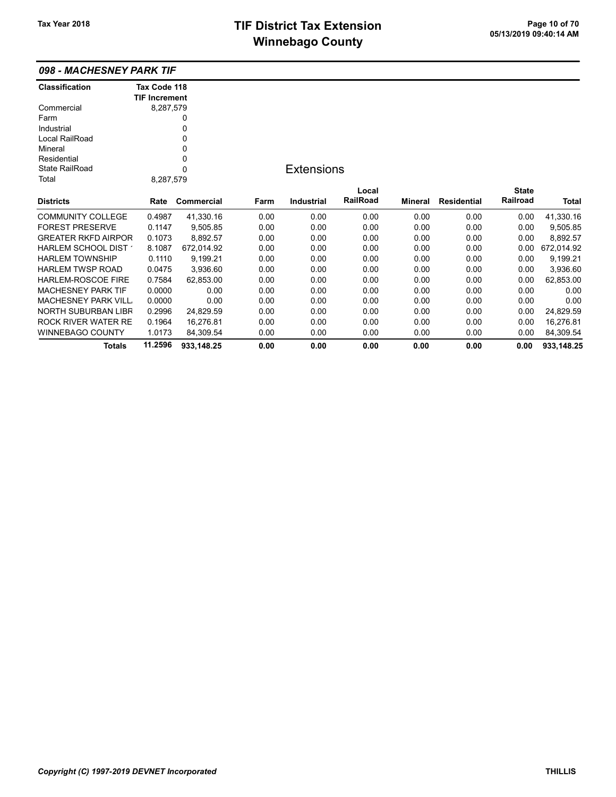| 098 - MACHESNEY PARK TIF |  |
|--------------------------|--|
|--------------------------|--|

| <b>Classification</b>      | Tax Code 118         |            |      |                   |          |                |                    |              |            |
|----------------------------|----------------------|------------|------|-------------------|----------|----------------|--------------------|--------------|------------|
|                            | <b>TIF Increment</b> |            |      |                   |          |                |                    |              |            |
| Commercial                 | 8,287,579            |            |      |                   |          |                |                    |              |            |
| Farm                       |                      | 0          |      |                   |          |                |                    |              |            |
| Industrial                 |                      | 0          |      |                   |          |                |                    |              |            |
| Local RailRoad             |                      | 0          |      |                   |          |                |                    |              |            |
| Mineral                    |                      | 0          |      |                   |          |                |                    |              |            |
| Residential                |                      | 0          |      |                   |          |                |                    |              |            |
| <b>State RailRoad</b>      |                      | 0          |      | <b>Extensions</b> |          |                |                    |              |            |
| Total                      | 8,287,579            |            |      |                   |          |                |                    |              |            |
|                            |                      |            |      |                   | Local    |                |                    | <b>State</b> |            |
| <b>Districts</b>           | Rate                 | Commercial | Farm | <b>Industrial</b> | RailRoad | <b>Mineral</b> | <b>Residential</b> | Railroad     | Total      |
| <b>COMMUNITY COLLEGE</b>   | 0.4987               | 41,330.16  | 0.00 | 0.00              | 0.00     | 0.00           | 0.00               | 0.00         | 41,330.16  |
| <b>FOREST PRESERVE</b>     | 0.1147               | 9,505.85   | 0.00 | 0.00              | 0.00     | 0.00           | 0.00               | 0.00         | 9,505.85   |
| <b>GREATER RKFD AIRPOR</b> | 0.1073               | 8,892.57   | 0.00 | 0.00              | 0.00     | 0.00           | 0.00               | 0.00         | 8,892.57   |
| HARLEM SCHOOL DIST         | 8.1087               | 672,014.92 | 0.00 | 0.00              | 0.00     | 0.00           | 0.00               | 0.00         | 672,014.92 |
| <b>HARLEM TOWNSHIP</b>     | 0.1110               | 9,199.21   | 0.00 | 0.00              | 0.00     | 0.00           | 0.00               | 0.00         | 9,199.21   |
| <b>HARLEM TWSP ROAD</b>    | 0.0475               | 3,936.60   | 0.00 | 0.00              | 0.00     | 0.00           | 0.00               | 0.00         | 3,936.60   |
| HARLEM-ROSCOE FIRE         | 0.7584               | 62,853.00  | 0.00 | 0.00              | 0.00     | 0.00           | 0.00               | 0.00         | 62,853.00  |
| <b>MACHESNEY PARK TIF</b>  | 0.0000               | 0.00       | 0.00 | 0.00              | 0.00     | 0.00           | 0.00               | 0.00         | 0.00       |
| <b>MACHESNEY PARK VILL</b> | 0.0000               | 0.00       | 0.00 | 0.00              | 0.00     | 0.00           | 0.00               | 0.00         | 0.00       |
| <b>NORTH SUBURBAN LIBR</b> | 0.2996               | 24.829.59  | 0.00 | 0.00              | 0.00     | 0.00           | 0.00               | 0.00         | 24,829.59  |
| ROCK RIVER WATER RE        | 0.1964               | 16,276.81  | 0.00 | 0.00              | 0.00     | 0.00           | 0.00               | 0.00         | 16,276.81  |
| <b>WINNEBAGO COUNTY</b>    | 1.0173               | 84,309.54  | 0.00 | 0.00              | 0.00     | 0.00           | 0.00               | 0.00         | 84,309.54  |
| <b>Totals</b>              | 11.2596              | 933,148.25 | 0.00 | 0.00              | 0.00     | 0.00           | 0.00               | 0.00         | 933,148.25 |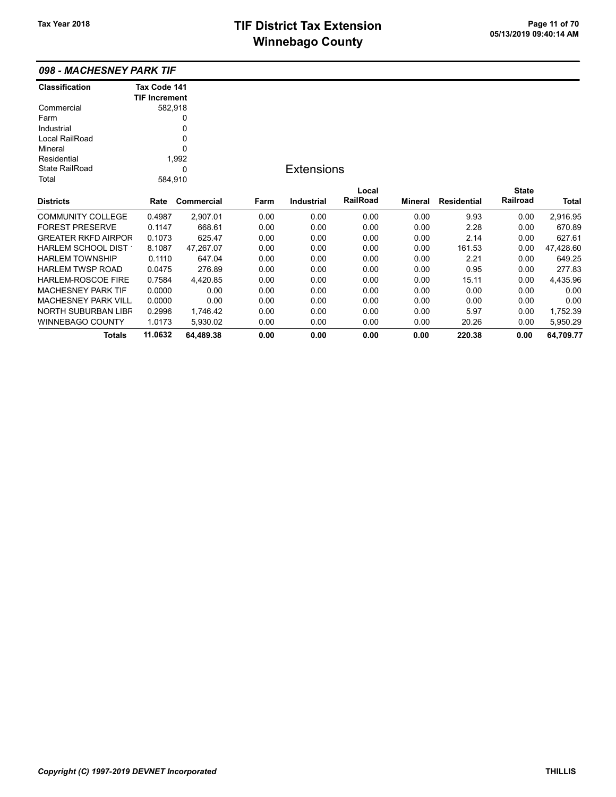| 098 - MACHESNEY PARK TIF   |                      |            |      |                   |                 |         |                    |                 |           |
|----------------------------|----------------------|------------|------|-------------------|-----------------|---------|--------------------|-----------------|-----------|
| <b>Classification</b>      | Tax Code 141         |            |      |                   |                 |         |                    |                 |           |
|                            | <b>TIF Increment</b> |            |      |                   |                 |         |                    |                 |           |
| Commercial                 | 582,918              |            |      |                   |                 |         |                    |                 |           |
| Farm                       |                      | 0          |      |                   |                 |         |                    |                 |           |
| Industrial                 |                      | 0          |      |                   |                 |         |                    |                 |           |
| Local RailRoad             |                      | 0          |      |                   |                 |         |                    |                 |           |
| Mineral                    |                      | $\Omega$   |      |                   |                 |         |                    |                 |           |
| Residential                |                      | 1,992      |      |                   |                 |         |                    |                 |           |
| State RailRoad             |                      | 0          |      | <b>Extensions</b> |                 |         |                    |                 |           |
| Total                      | 584,910              |            |      |                   |                 |         |                    |                 |           |
|                            |                      |            |      |                   | Local           |         |                    | <b>State</b>    |           |
| <b>Districts</b>           | Rate                 | Commercial | Farm | <b>Industrial</b> | <b>RailRoad</b> | Mineral | <b>Residential</b> | <b>Railroad</b> | Total     |
| <b>COMMUNITY COLLEGE</b>   | 0.4987               | 2,907.01   | 0.00 | 0.00              | 0.00            | 0.00    | 9.93               | 0.00            | 2,916.95  |
| <b>FOREST PRESERVE</b>     | 0.1147               | 668.61     | 0.00 | 0.00              | 0.00            | 0.00    | 2.28               | 0.00            | 670.89    |
| <b>GREATER RKFD AIRPOR</b> | 0.1073               | 625.47     | 0.00 | 0.00              | 0.00            | 0.00    | 2.14               | 0.00            | 627.61    |
| HARLEM SCHOOL DIST 1       | 8.1087               | 47,267.07  | 0.00 | 0.00              | 0.00            | 0.00    | 161.53             | 0.00            | 47,428.60 |
| <b>HARLEM TOWNSHIP</b>     | 0.1110               | 647.04     | 0.00 | 0.00              | 0.00            | 0.00    | 2.21               | 0.00            | 649.25    |
| <b>HARLEM TWSP ROAD</b>    | 0.0475               | 276.89     | 0.00 | 0.00              | 0.00            | 0.00    | 0.95               | 0.00            | 277.83    |
| <b>HARLEM-ROSCOE FIRE</b>  | 0.7584               | 4,420.85   | 0.00 | 0.00              | 0.00            | 0.00    | 15.11              | 0.00            | 4,435.96  |
| <b>MACHESNEY PARK TIF</b>  | 0.0000               | 0.00       | 0.00 | 0.00              | 0.00            | 0.00    | 0.00               | 0.00            | 0.00      |
| <b>MACHESNEY PARK VILL</b> | 0.0000               | 0.00       | 0.00 | 0.00              | 0.00            | 0.00    | 0.00               | 0.00            | 0.00      |
| <b>NORTH SUBURBAN LIBR</b> | 0.2996               | 1,746.42   | 0.00 | 0.00              | 0.00            | 0.00    | 5.97               | 0.00            | 1,752.39  |
| <b>WINNEBAGO COUNTY</b>    | 1.0173               | 5,930.02   | 0.00 | 0.00              | 0.00            | 0.00    | 20.26              | 0.00            | 5,950.29  |
| Totals                     | 11.0632              | 64.489.38  | 0.00 | 0.00              | 0.00            | 0.00    | 220.38             | 0.00            | 64,709.77 |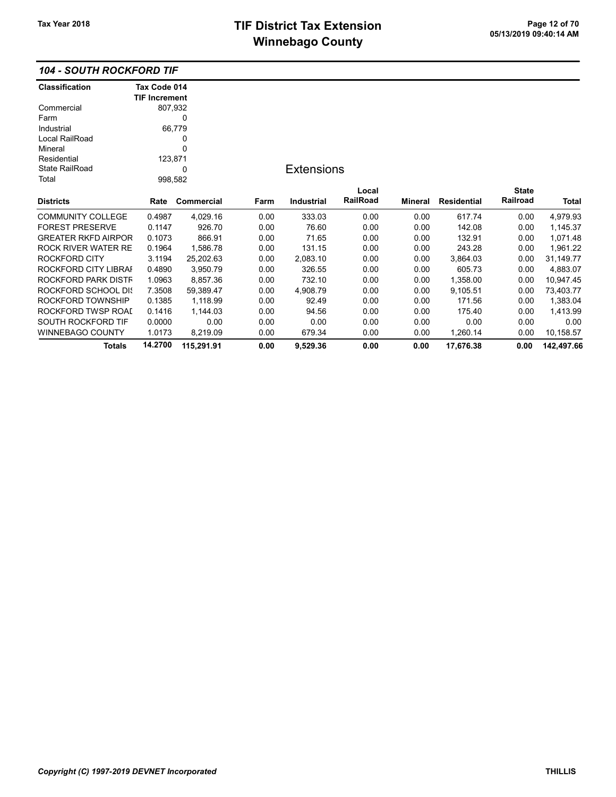| <b>104 - SOUTH ROCKFORD TIF</b> |
|---------------------------------|
|---------------------------------|

| <b>Classification</b>      | Tax Code 014         |            |      |                   |          |                |                    |              |              |
|----------------------------|----------------------|------------|------|-------------------|----------|----------------|--------------------|--------------|--------------|
|                            | <b>TIF Increment</b> |            |      |                   |          |                |                    |              |              |
| Commercial                 | 807,932              |            |      |                   |          |                |                    |              |              |
| Farm                       |                      | 0          |      |                   |          |                |                    |              |              |
| Industrial                 |                      | 66,779     |      |                   |          |                |                    |              |              |
| Local RailRoad             |                      | 0          |      |                   |          |                |                    |              |              |
| Mineral                    |                      | 0          |      |                   |          |                |                    |              |              |
| Residential                | 123,871              |            |      |                   |          |                |                    |              |              |
| <b>State RailRoad</b>      |                      | 0          |      | <b>Extensions</b> |          |                |                    |              |              |
| Total                      | 998,582              |            |      |                   |          |                |                    |              |              |
|                            |                      |            |      |                   | Local    |                |                    | <b>State</b> |              |
| <b>Districts</b>           | Rate                 | Commercial | Farm | Industrial        | RailRoad | <b>Mineral</b> | <b>Residential</b> | Railroad     | <b>Total</b> |
| <b>COMMUNITY COLLEGE</b>   | 0.4987               | 4,029.16   | 0.00 | 333.03            | 0.00     | 0.00           | 617.74             | 0.00         | 4,979.93     |
| <b>FOREST PRESERVE</b>     | 0.1147               | 926.70     | 0.00 | 76.60             | 0.00     | 0.00           | 142.08             | 0.00         | 1,145.37     |
| <b>GREATER RKFD AIRPOR</b> | 0.1073               | 866.91     | 0.00 | 71.65             | 0.00     | 0.00           | 132.91             | 0.00         | 1,071.48     |
| ROCK RIVER WATER RE        | 0.1964               | 1,586.78   | 0.00 | 131.15            | 0.00     | 0.00           | 243.28             | 0.00         | 1,961.22     |
| <b>ROCKFORD CITY</b>       | 3.1194               | 25,202.63  | 0.00 | 2,083.10          | 0.00     | 0.00           | 3,864.03           | 0.00         | 31,149.77    |
| ROCKFORD CITY LIBRAI       | 0.4890               | 3,950.79   | 0.00 | 326.55            | 0.00     | 0.00           | 605.73             | 0.00         | 4,883.07     |
| ROCKFORD PARK DISTF        | 1.0963               | 8,857.36   | 0.00 | 732.10            | 0.00     | 0.00           | 1,358.00           | 0.00         | 10,947.45    |
| <b>ROCKFORD SCHOOL DIS</b> | 7.3508               | 59,389.47  | 0.00 | 4,908.79          | 0.00     | 0.00           | 9,105.51           | 0.00         | 73,403.77    |
| ROCKFORD TOWNSHIP          | 0.1385               | 1,118.99   | 0.00 | 92.49             | 0.00     | 0.00           | 171.56             | 0.00         | 1,383.04     |
| ROCKFORD TWSP ROAI         | 0.1416               | 1,144.03   | 0.00 | 94.56             | 0.00     | 0.00           | 175.40             | 0.00         | 1,413.99     |
| SOUTH ROCKFORD TIF         | 0.0000               | 0.00       | 0.00 | 0.00              | 0.00     | 0.00           | 0.00               | 0.00         | 0.00         |
| WINNEBAGO COUNTY           | 1.0173               | 8,219.09   | 0.00 | 679.34            | 0.00     | 0.00           | 1,260.14           | 0.00         | 10,158.57    |
| Totals                     | 14.2700              | 115,291.91 | 0.00 | 9,529.36          | 0.00     | 0.00           | 17,676.38          | 0.00         | 142.497.66   |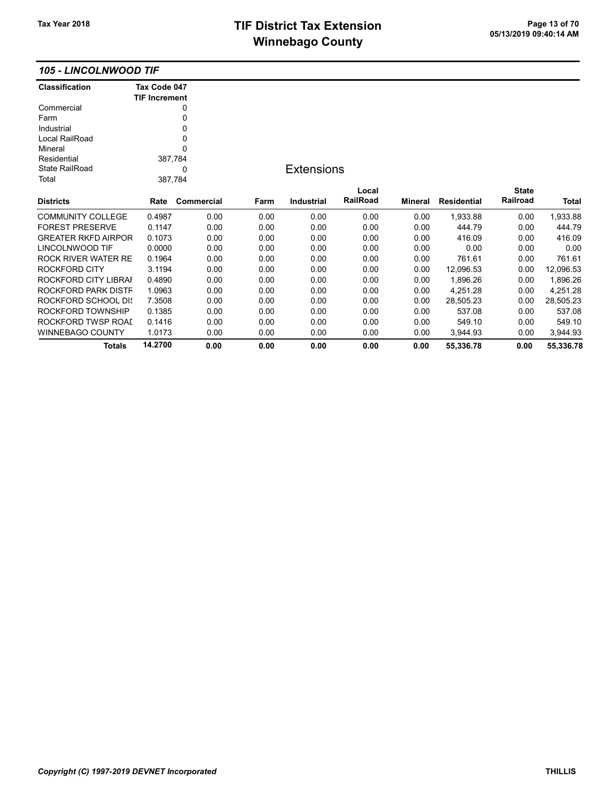## TIF District Tax Extension Page 13 of 70<br>05/13/2019 09:40:14 AM **Winnebago County**

#### 105 - LINCOLNWOOD TIF

| <b>Classification</b>      | Tax Code 047         |            |      |                   |          |                |                    |              |              |
|----------------------------|----------------------|------------|------|-------------------|----------|----------------|--------------------|--------------|--------------|
|                            | <b>TIF Increment</b> |            |      |                   |          |                |                    |              |              |
| Commercial                 |                      | 0          |      |                   |          |                |                    |              |              |
| Farm                       |                      | 0          |      |                   |          |                |                    |              |              |
| Industrial                 |                      | 0          |      |                   |          |                |                    |              |              |
| Local RailRoad             |                      | 0          |      |                   |          |                |                    |              |              |
| Mineral                    |                      | 0          |      |                   |          |                |                    |              |              |
| Residential                | 387,784              |            |      |                   |          |                |                    |              |              |
| <b>State RailRoad</b>      |                      | 0          |      | <b>Extensions</b> |          |                |                    |              |              |
| Total                      | 387,784              |            |      |                   |          |                |                    |              |              |
|                            |                      |            |      |                   | Local    |                |                    | <b>State</b> |              |
| <b>Districts</b>           | Rate                 | Commercial | Farm | <b>Industrial</b> | RailRoad | <b>Mineral</b> | <b>Residential</b> | Railroad     | <b>Total</b> |
| <b>COMMUNITY COLLEGE</b>   | 0.4987               | 0.00       | 0.00 | 0.00              | 0.00     | 0.00           | 1,933.88           | 0.00         | 1,933.88     |
| <b>FOREST PRESERVE</b>     | 0.1147               | 0.00       | 0.00 | 0.00              | 0.00     | 0.00           | 444.79             | 0.00         | 444.79       |
| <b>GREATER RKFD AIRPOR</b> | 0.1073               | 0.00       | 0.00 | 0.00              | 0.00     | 0.00           | 416.09             | 0.00         | 416.09       |
| LINCOLNWOOD TIF            | 0.0000               | 0.00       | 0.00 | 0.00              | 0.00     | 0.00           | 0.00               | 0.00         | 0.00         |
| ROCK RIVER WATER RE        | 0.1964               | 0.00       | 0.00 | 0.00              | 0.00     | 0.00           | 761.61             | 0.00         | 761.61       |
| <b>ROCKFORD CITY</b>       | 3.1194               | 0.00       | 0.00 | 0.00              | 0.00     | 0.00           | 12,096.53          | 0.00         | 12,096.53    |
| ROCKFORD CITY LIBRAI       | 0.4890               | 0.00       | 0.00 | 0.00              | 0.00     | 0.00           | 1,896.26           | 0.00         | 1,896.26     |
| ROCKFORD PARK DISTF        | 1.0963               | 0.00       | 0.00 | 0.00              | 0.00     | 0.00           | 4,251.28           | 0.00         | 4,251.28     |
| ROCKFORD SCHOOL DIS        | 7.3508               | 0.00       | 0.00 | 0.00              | 0.00     | 0.00           | 28,505.23          | 0.00         | 28,505.23    |
| ROCKFORD TOWNSHIP          | 0.1385               | 0.00       | 0.00 | 0.00              | 0.00     | 0.00           | 537.08             | 0.00         | 537.08       |
| ROCKFORD TWSP ROAI         | 0.1416               | 0.00       | 0.00 | 0.00              | 0.00     | 0.00           | 549.10             | 0.00         | 549.10       |
| <b>WINNEBAGO COUNTY</b>    | 1.0173               | 0.00       | 0.00 | 0.00              | 0.00     | 0.00           | 3.944.93           | 0.00         | 3,944.93     |
| <b>Totals</b>              | 14.2700              | 0.00       | 0.00 | 0.00              | 0.00     | 0.00           | 55,336.78          | 0.00         | 55,336.78    |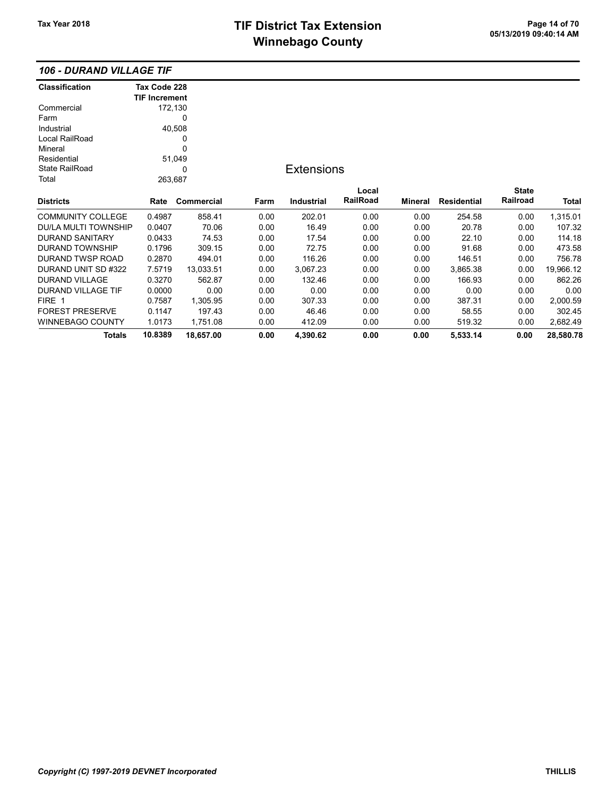### 106 - DURAND VILLAGE TIF

| <b>Classification</b>       | Tax Code 228         |            |      |                   |          |         |                    |              |           |
|-----------------------------|----------------------|------------|------|-------------------|----------|---------|--------------------|--------------|-----------|
|                             | <b>TIF Increment</b> |            |      |                   |          |         |                    |              |           |
| Commercial                  | 172,130              |            |      |                   |          |         |                    |              |           |
| Farm                        |                      | 0          |      |                   |          |         |                    |              |           |
| Industrial                  |                      | 40,508     |      |                   |          |         |                    |              |           |
| Local RailRoad              |                      | 0          |      |                   |          |         |                    |              |           |
| Mineral                     |                      | 0          |      |                   |          |         |                    |              |           |
| Residential                 |                      | 51,049     |      |                   |          |         |                    |              |           |
| <b>State RailRoad</b>       |                      | 0          |      | <b>Extensions</b> |          |         |                    |              |           |
| Total                       | 263,687              |            |      |                   |          |         |                    |              |           |
|                             |                      |            |      |                   | Local    |         |                    | <b>State</b> |           |
| <b>Districts</b>            | Rate                 | Commercial | Farm | Industrial        | RailRoad | Mineral | <b>Residential</b> | Railroad     | Total     |
| <b>COMMUNITY COLLEGE</b>    | 0.4987               | 858.41     | 0.00 | 202.01            | 0.00     | 0.00    | 254.58             | 0.00         | 1,315.01  |
| <b>DU/LA MULTI TOWNSHIP</b> | 0.0407               | 70.06      | 0.00 | 16.49             | 0.00     | 0.00    | 20.78              | 0.00         | 107.32    |
| <b>DURAND SANITARY</b>      | 0.0433               | 74.53      | 0.00 | 17.54             | 0.00     | 0.00    | 22.10              | 0.00         | 114.18    |
| <b>DURAND TOWNSHIP</b>      | 0.1796               | 309.15     | 0.00 | 72.75             | 0.00     | 0.00    | 91.68              | 0.00         | 473.58    |
| DURAND TWSP ROAD            | 0.2870               | 494.01     | 0.00 | 116.26            | 0.00     | 0.00    | 146.51             | 0.00         | 756.78    |
| DURAND UNIT SD #322         | 7.5719               | 13,033.51  | 0.00 | 3,067.23          | 0.00     | 0.00    | 3,865.38           | 0.00         | 19,966.12 |
| DURAND VILLAGE              | 0.3270               | 562.87     | 0.00 | 132.46            | 0.00     | 0.00    | 166.93             | 0.00         | 862.26    |
| DURAND VILLAGE TIF          | 0.0000               | 0.00       | 0.00 | 0.00              | 0.00     | 0.00    | 0.00               | 0.00         | 0.00      |
| FIRE 1                      | 0.7587               | 1,305.95   | 0.00 | 307.33            | 0.00     | 0.00    | 387.31             | 0.00         | 2,000.59  |
| <b>FOREST PRESERVE</b>      | 0.1147               | 197.43     | 0.00 | 46.46             | 0.00     | 0.00    | 58.55              | 0.00         | 302.45    |
| <b>WINNEBAGO COUNTY</b>     | 1.0173               | 1,751.08   | 0.00 | 412.09            | 0.00     | 0.00    | 519.32             | 0.00         | 2,682.49  |
| <b>Totals</b>               | 10.8389              | 18,657.00  | 0.00 | 4,390.62          | 0.00     | 0.00    | 5,533.14           | 0.00         | 28,580.78 |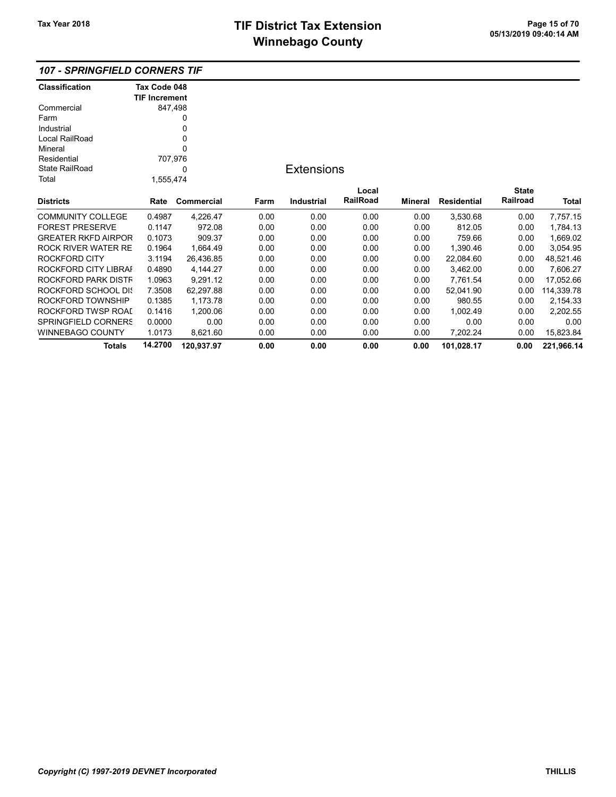107 - SPRINGFIELD CORNERS TIF

| <b>Classification</b>      | Tax Code 048         |            |      |                   |                 |         |                    |              |            |
|----------------------------|----------------------|------------|------|-------------------|-----------------|---------|--------------------|--------------|------------|
|                            | <b>TIF Increment</b> |            |      |                   |                 |         |                    |              |            |
| Commercial                 | 847,498              |            |      |                   |                 |         |                    |              |            |
| Farm                       |                      | 0          |      |                   |                 |         |                    |              |            |
| Industrial                 |                      | 0          |      |                   |                 |         |                    |              |            |
| Local RailRoad             |                      | 0          |      |                   |                 |         |                    |              |            |
| Mineral                    |                      | 0          |      |                   |                 |         |                    |              |            |
| Residential                | 707,976              |            |      |                   |                 |         |                    |              |            |
| <b>State RailRoad</b>      |                      | 0          |      | <b>Extensions</b> |                 |         |                    |              |            |
| Total                      | 1,555,474            |            |      |                   |                 |         |                    |              |            |
|                            |                      |            |      |                   | Local           |         |                    | <b>State</b> |            |
| <b>Districts</b>           | Rate                 | Commercial | Farm | <b>Industrial</b> | <b>RailRoad</b> | Mineral | <b>Residential</b> | Railroad     | Total      |
| <b>COMMUNITY COLLEGE</b>   | 0.4987               | 4,226.47   | 0.00 | 0.00              | 0.00            | 0.00    | 3,530.68           | 0.00         | 7,757.15   |
| <b>FOREST PRESERVE</b>     | 0.1147               | 972.08     | 0.00 | 0.00              | 0.00            | 0.00    | 812.05             | 0.00         | 1,784.13   |
| <b>GREATER RKFD AIRPOR</b> | 0.1073               | 909.37     | 0.00 | 0.00              | 0.00            | 0.00    | 759.66             | 0.00         | 1,669.02   |
| <b>ROCK RIVER WATER RE</b> | 0.1964               | 1,664.49   | 0.00 | 0.00              | 0.00            | 0.00    | 1,390.46           | 0.00         | 3,054.95   |
| <b>ROCKFORD CITY</b>       | 3.1194               | 26,436.85  | 0.00 | 0.00              | 0.00            | 0.00    | 22,084.60          | 0.00         | 48,521.46  |
| ROCKFORD CITY LIBRAI       | 0.4890               | 4,144.27   | 0.00 | 0.00              | 0.00            | 0.00    | 3,462.00           | 0.00         | 7,606.27   |
| ROCKFORD PARK DISTF        | 1.0963               | 9,291.12   | 0.00 | 0.00              | 0.00            | 0.00    | 7,761.54           | 0.00         | 17,052.66  |
| ROCKFORD SCHOOL DIS        | 7.3508               | 62,297.88  | 0.00 | 0.00              | 0.00            | 0.00    | 52,041.90          | 0.00         | 114,339.78 |
| ROCKFORD TOWNSHIP          | 0.1385               | 1,173.78   | 0.00 | 0.00              | 0.00            | 0.00    | 980.55             | 0.00         | 2,154.33   |
| ROCKFORD TWSP ROAI         | 0.1416               | 1,200.06   | 0.00 | 0.00              | 0.00            | 0.00    | 1,002.49           | 0.00         | 2,202.55   |
| <b>SPRINGFIELD CORNERS</b> | 0.0000               | 0.00       | 0.00 | 0.00              | 0.00            | 0.00    | 0.00               | 0.00         | 0.00       |
| <b>WINNEBAGO COUNTY</b>    | 1.0173               | 8,621.60   | 0.00 | 0.00              | 0.00            | 0.00    | 7,202.24           | 0.00         | 15,823.84  |
| <b>Totals</b>              | 14.2700              | 120,937.97 | 0.00 | 0.00              | 0.00            | 0.00    | 101,028.17         | 0.00         | 221,966.14 |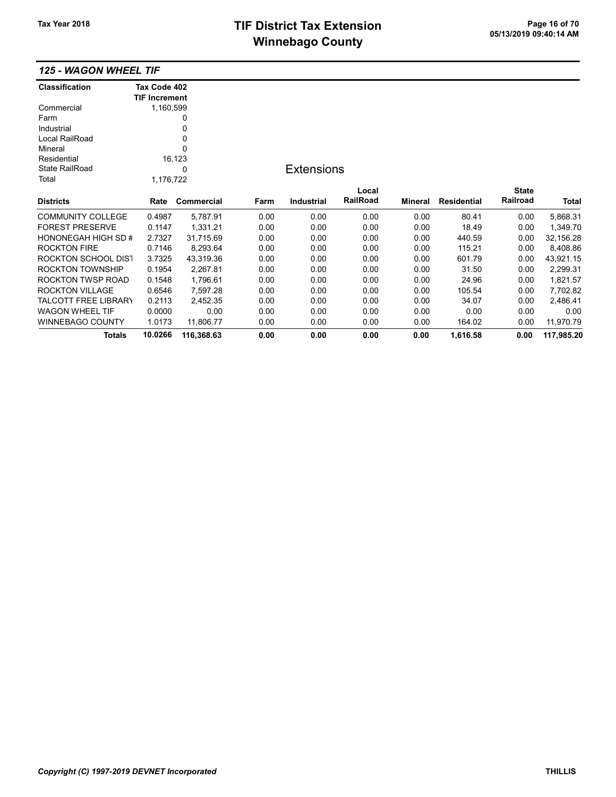# TIF District Tax Extension<br>
M's and an of 20 of 20 of 20 of 70 of 70 of 713/2019 09:40:14 AM **Winnebago County**

### 125 - WAGON WHEEL TIF

| <b>Classification</b>       | Tax Code 402         |            |      |                   |                 |                |             |              |            |
|-----------------------------|----------------------|------------|------|-------------------|-----------------|----------------|-------------|--------------|------------|
|                             | <b>TIF Increment</b> |            |      |                   |                 |                |             |              |            |
| Commercial                  | 1,160,599            |            |      |                   |                 |                |             |              |            |
| Farm                        |                      |            |      |                   |                 |                |             |              |            |
| Industrial                  |                      | 0          |      |                   |                 |                |             |              |            |
| Local RailRoad              |                      |            |      |                   |                 |                |             |              |            |
| Mineral                     |                      | 0          |      |                   |                 |                |             |              |            |
| Residential                 |                      | 16,123     |      |                   |                 |                |             |              |            |
| <b>State RailRoad</b>       |                      | 0          |      | <b>Extensions</b> |                 |                |             |              |            |
| Total                       | 1,176,722            |            |      |                   |                 |                |             |              |            |
|                             |                      |            |      |                   | Local           |                |             | <b>State</b> |            |
| <b>Districts</b>            | Rate                 | Commercial | Farm | <b>Industrial</b> | <b>RailRoad</b> | <b>Mineral</b> | Residential | Railroad     | Total      |
| <b>COMMUNITY COLLEGE</b>    | 0.4987               | 5,787.91   | 0.00 | 0.00              | 0.00            | 0.00           | 80.41       | 0.00         | 5,868.31   |
| <b>FOREST PRESERVE</b>      | 0.1147               | 1,331.21   | 0.00 | 0.00              | 0.00            | 0.00           | 18.49       | 0.00         | 1,349.70   |
| HONONEGAH HIGH SD #         | 2.7327               | 31,715.69  | 0.00 | 0.00              | 0.00            | 0.00           | 440.59      | 0.00         | 32,156.28  |
| <b>ROCKTON FIRE</b>         | 0.7146               | 8,293.64   | 0.00 | 0.00              | 0.00            | 0.00           | 115.21      | 0.00         | 8,408.86   |
| ROCKTON SCHOOL DIST         | 3.7325               | 43,319.36  | 0.00 | 0.00              | 0.00            | 0.00           | 601.79      | 0.00         | 43,921.15  |
| <b>ROCKTON TOWNSHIP</b>     | 0.1954               | 2,267.81   | 0.00 | 0.00              | 0.00            | 0.00           | 31.50       | 0.00         | 2,299.31   |
| ROCKTON TWSP ROAD           | 0.1548               | 1,796.61   | 0.00 | 0.00              | 0.00            | 0.00           | 24.96       | 0.00         | 1,821.57   |
| <b>ROCKTON VILLAGE</b>      | 0.6546               | 7,597.28   | 0.00 | 0.00              | 0.00            | 0.00           | 105.54      | 0.00         | 7,702.82   |
| <b>TALCOTT FREE LIBRARY</b> | 0.2113               | 2,452.35   | 0.00 | 0.00              | 0.00            | 0.00           | 34.07       | 0.00         | 2,486.41   |
| <b>WAGON WHEEL TIF</b>      | 0.0000               | 0.00       | 0.00 | 0.00              | 0.00            | 0.00           | 0.00        | 0.00         | 0.00       |
| <b>WINNEBAGO COUNTY</b>     | 1.0173               | 11,806.77  | 0.00 | 0.00              | 0.00            | 0.00           | 164.02      | 0.00         | 11,970.79  |
| <b>Totals</b>               | 10.0266              | 116,368.63 | 0.00 | 0.00              | 0.00            | 0.00           | 1,616.58    | 0.00         | 117,985.20 |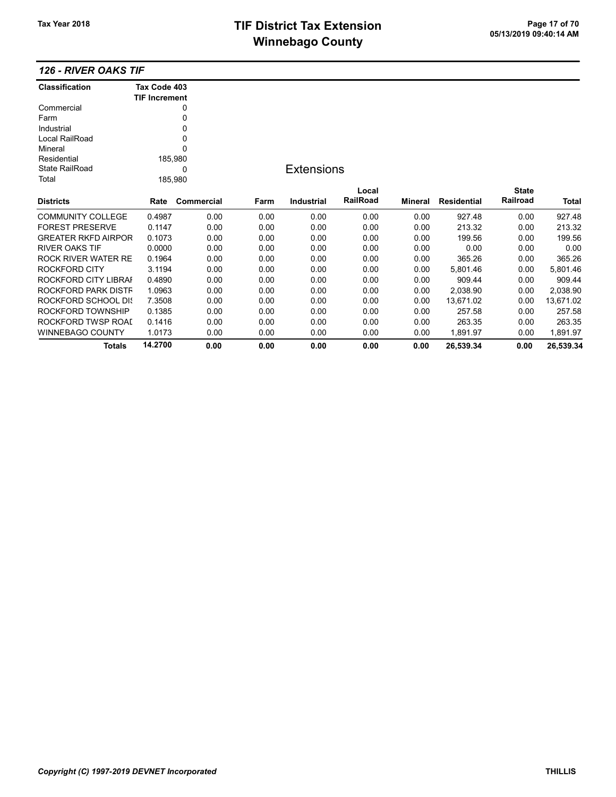# TIF District Tax Extension<br>
M's and an of 20 page 17 of 70<br>
M's and an of 20 page 17 of 70 **Winnebago County**

## 126 - RIVER OAKS TIF

| <b>Classification</b>      | Tax Code 403         |            |      |                   |          |                |                    |                 |              |
|----------------------------|----------------------|------------|------|-------------------|----------|----------------|--------------------|-----------------|--------------|
|                            | <b>TIF Increment</b> |            |      |                   |          |                |                    |                 |              |
| Commercial                 |                      | 0          |      |                   |          |                |                    |                 |              |
| Farm                       |                      | 0          |      |                   |          |                |                    |                 |              |
| Industrial                 |                      | 0          |      |                   |          |                |                    |                 |              |
| Local RailRoad             |                      | 0          |      |                   |          |                |                    |                 |              |
| Mineral                    |                      | 0          |      |                   |          |                |                    |                 |              |
| Residential                |                      | 185,980    |      |                   |          |                |                    |                 |              |
| <b>State RailRoad</b>      |                      | 0          |      | <b>Extensions</b> |          |                |                    |                 |              |
| Total                      |                      | 185,980    |      |                   |          |                |                    |                 |              |
|                            |                      |            |      |                   | Local    |                |                    | <b>State</b>    |              |
| <b>Districts</b>           | Rate                 | Commercial | Farm | <b>Industrial</b> | RailRoad | <b>Mineral</b> | <b>Residential</b> | <b>Railroad</b> | <b>Total</b> |
| <b>COMMUNITY COLLEGE</b>   | 0.4987               | 0.00       | 0.00 | 0.00              | 0.00     | 0.00           | 927.48             | 0.00            | 927.48       |
| <b>FOREST PRESERVE</b>     | 0.1147               | 0.00       | 0.00 | 0.00              | 0.00     | 0.00           | 213.32             | 0.00            | 213.32       |
| <b>GREATER RKFD AIRPOR</b> | 0.1073               | 0.00       | 0.00 | 0.00              | 0.00     | 0.00           | 199.56             | 0.00            | 199.56       |
| <b>RIVER OAKS TIF</b>      | 0.0000               | 0.00       | 0.00 | 0.00              | 0.00     | 0.00           | 0.00               | 0.00            | 0.00         |
| ROCK RIVER WATER RE        | 0.1964               | 0.00       | 0.00 | 0.00              | 0.00     | 0.00           | 365.26             | 0.00            | 365.26       |
| ROCKFORD CITY              | 3.1194               | 0.00       | 0.00 | 0.00              | 0.00     | 0.00           | 5,801.46           | 0.00            | 5,801.46     |
| ROCKFORD CITY LIBRAI       | 0.4890               | 0.00       | 0.00 | 0.00              | 0.00     | 0.00           | 909.44             | 0.00            | 909.44       |
| ROCKFORD PARK DISTF        | 1.0963               | 0.00       | 0.00 | 0.00              | 0.00     | 0.00           | 2,038.90           | 0.00            | 2,038.90     |
| <b>ROCKFORD SCHOOL DIS</b> | 7.3508               | 0.00       | 0.00 | 0.00              | 0.00     | 0.00           | 13,671.02          | 0.00            | 13,671.02    |
| ROCKFORD TOWNSHIP          | 0.1385               | 0.00       | 0.00 | 0.00              | 0.00     | 0.00           | 257.58             | 0.00            | 257.58       |
| ROCKFORD TWSP ROAL         | 0.1416               | 0.00       | 0.00 | 0.00              | 0.00     | 0.00           | 263.35             | 0.00            | 263.35       |
| <b>WINNEBAGO COUNTY</b>    | 1.0173               | 0.00       | 0.00 | 0.00              | 0.00     | 0.00           | 1,891.97           | 0.00            | 1,891.97     |
| <b>Totals</b>              | 14.2700              | 0.00       | 0.00 | 0.00              | 0.00     | 0.00           | 26,539.34          | 0.00            | 26.539.34    |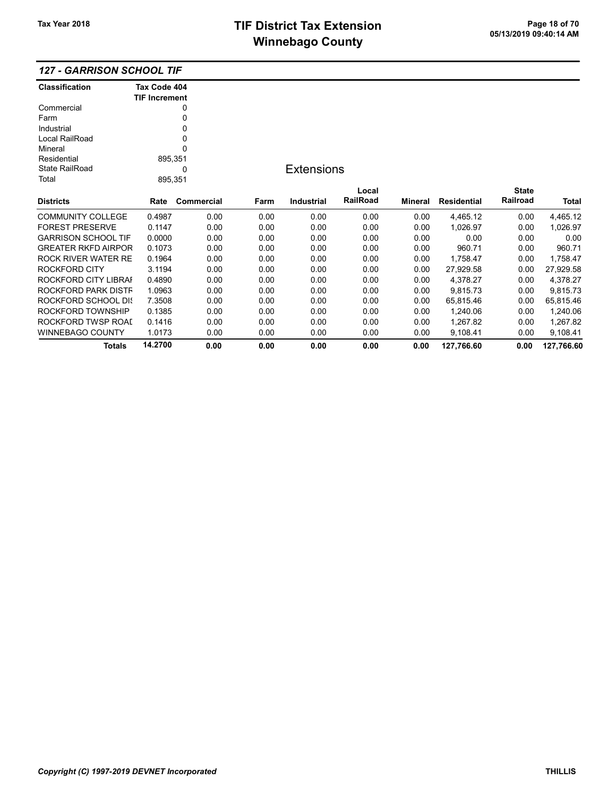WINNEBAGO COUNTY 1.0173 0.00 0.00 0.00 0.00 0.00 9,108.41 0.00 9,108.41

Totals 14.2700 0.00 0.00 0.00 0.00 0.00 127,766.60 0.00 127,766.60

#### 127 - GARRISON SCHOOL TIF

| Classification             | Tax Code 404<br><b>TIF Increment</b> |            |      |                   |          |         |             |              |           |
|----------------------------|--------------------------------------|------------|------|-------------------|----------|---------|-------------|--------------|-----------|
| Commercial                 |                                      | 0          |      |                   |          |         |             |              |           |
| Farm                       |                                      | 0          |      |                   |          |         |             |              |           |
| Industrial                 |                                      | 0          |      |                   |          |         |             |              |           |
| Local RailRoad             |                                      | 0          |      |                   |          |         |             |              |           |
| Mineral                    |                                      | 0          |      |                   |          |         |             |              |           |
| Residential                | 895,351                              |            |      |                   |          |         |             |              |           |
| <b>State RailRoad</b>      |                                      | 0          |      | <b>Extensions</b> |          |         |             |              |           |
| Total                      | 895,351                              |            |      |                   |          |         |             |              |           |
|                            |                                      |            |      |                   | Local    |         |             | <b>State</b> |           |
| <b>Districts</b>           | Rate                                 | Commercial | Farm | Industrial        | RailRoad | Mineral | Residential | Railroad     | Total     |
| <b>COMMUNITY COLLEGE</b>   | 0.4987                               | 0.00       | 0.00 | 0.00              | 0.00     | 0.00    | 4,465.12    | 0.00         | 4,465.12  |
| <b>FOREST PRESERVE</b>     | 0.1147                               | 0.00       | 0.00 | 0.00              | 0.00     | 0.00    | 1,026.97    | 0.00         | 1,026.97  |
| <b>GARRISON SCHOOL TIF</b> | 0.0000                               | 0.00       | 0.00 | 0.00              | 0.00     | 0.00    | 0.00        | 0.00         | 0.00      |
| <b>GREATER RKFD AIRPOR</b> | 0.1073                               | 0.00       | 0.00 | 0.00              | 0.00     | 0.00    | 960.71      | 0.00         | 960.71    |
| <b>ROCK RIVER WATER RE</b> | 0.1964                               | 0.00       | 0.00 | 0.00              | 0.00     | 0.00    | 1,758.47    | 0.00         | 1,758.47  |
| <b>ROCKFORD CITY</b>       | 3.1194                               | 0.00       | 0.00 | 0.00              | 0.00     | 0.00    | 27,929.58   | 0.00         | 27,929.58 |
| ROCKFORD CITY LIBRAI       | 0.4890                               | 0.00       | 0.00 | 0.00              | 0.00     | 0.00    | 4,378.27    | 0.00         | 4,378.27  |
| ROCKFORD PARK DISTF        | 1.0963                               | 0.00       | 0.00 | 0.00              | 0.00     | 0.00    | 9,815.73    | 0.00         | 9,815.73  |
| ROCKFORD SCHOOL DIS        | 7.3508                               | 0.00       | 0.00 | 0.00              | 0.00     | 0.00    | 65,815.46   | 0.00         | 65,815.46 |
| ROCKFORD TOWNSHIP          | 0.1385                               | 0.00       | 0.00 | 0.00              | 0.00     | 0.00    | 1,240.06    | 0.00         | 1,240.06  |
| ROCKFORD TWSP ROAI         | 0.1416                               | 0.00       | 0.00 | 0.00              | 0.00     | 0.00    | 1,267.82    | 0.00         | 1,267.82  |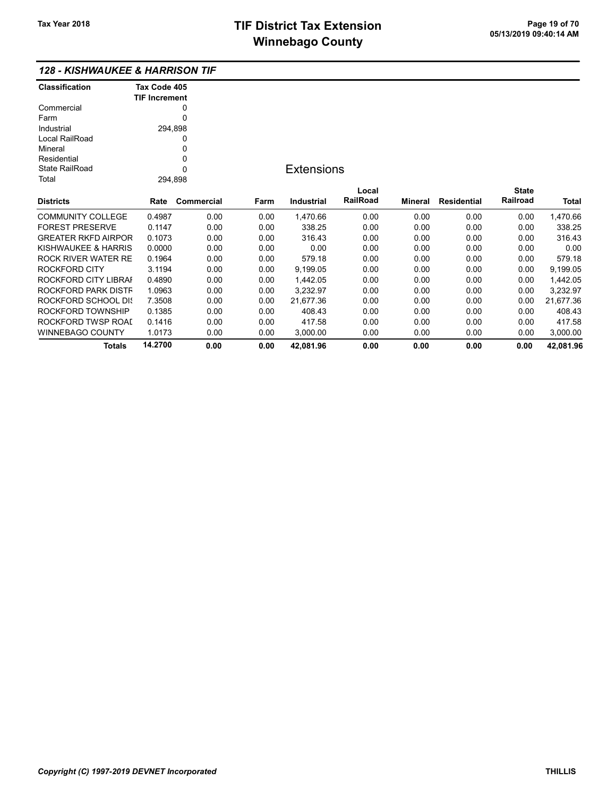#### 128 - KISHWAUKEE & HARRISON TIF

| Classification             | Tax Code 405<br><b>TIF Increment</b> |            |      |                   |                   |                |                    |              |           |
|----------------------------|--------------------------------------|------------|------|-------------------|-------------------|----------------|--------------------|--------------|-----------|
| Commercial                 |                                      | 0          |      |                   |                   |                |                    |              |           |
| Farm                       |                                      | 0          |      |                   |                   |                |                    |              |           |
| Industrial                 | 294,898                              |            |      |                   |                   |                |                    |              |           |
| Local RailRoad             |                                      | 0          |      |                   |                   |                |                    |              |           |
| Mineral                    |                                      | 0          |      |                   |                   |                |                    |              |           |
| Residential                |                                      | 0          |      |                   |                   |                |                    |              |           |
| <b>State RailRoad</b>      |                                      | $\Omega$   |      | <b>Extensions</b> |                   |                |                    |              |           |
| Total                      | 294,898                              |            |      |                   |                   |                |                    |              |           |
|                            |                                      |            |      |                   |                   |                |                    | <b>State</b> |           |
| <b>Districts</b>           | Rate                                 | Commercial | Farm | Industrial        | Local<br>RailRoad | <b>Mineral</b> | <b>Residential</b> | Railroad     | Total     |
|                            |                                      |            |      |                   |                   |                |                    |              |           |
| <b>COMMUNITY COLLEGE</b>   | 0.4987                               | 0.00       | 0.00 | 1,470.66          | 0.00              | 0.00           | 0.00               | 0.00         | 1,470.66  |
| <b>FOREST PRESERVE</b>     | 0.1147                               | 0.00       | 0.00 | 338.25            | 0.00              | 0.00           | 0.00               | 0.00         | 338.25    |
| <b>GREATER RKFD AIRPOR</b> | 0.1073                               | 0.00       | 0.00 | 316.43            | 0.00              | 0.00           | 0.00               | 0.00         | 316.43    |
| KISHWAUKEE & HARRIS        | 0.0000                               | 0.00       | 0.00 | 0.00              | 0.00              | 0.00           | 0.00               | 0.00         | 0.00      |
| <b>ROCK RIVER WATER RE</b> | 0.1964                               | 0.00       | 0.00 | 579.18            | 0.00              | 0.00           | 0.00               | 0.00         | 579.18    |
| ROCKFORD CITY              | 3.1194                               | 0.00       | 0.00 | 9,199.05          | 0.00              | 0.00           | 0.00               | 0.00         | 9,199.05  |
| ROCKFORD CITY LIBRAI       | 0.4890                               | 0.00       | 0.00 | 1,442.05          | 0.00              | 0.00           | 0.00               | 0.00         | 1,442.05  |
| ROCKFORD PARK DISTF        | 1.0963                               | 0.00       | 0.00 | 3,232.97          | 0.00              | 0.00           | 0.00               | 0.00         | 3,232.97  |
| ROCKFORD SCHOOL DIS        | 7.3508                               | 0.00       | 0.00 | 21,677.36         | 0.00              | 0.00           | 0.00               | 0.00         | 21,677.36 |
| ROCKFORD TOWNSHIP          | 0.1385                               | 0.00       | 0.00 | 408.43            | 0.00              | 0.00           | 0.00               | 0.00         | 408.43    |
| ROCKFORD TWSP ROAL         | 0.1416                               | 0.00       | 0.00 | 417.58            | 0.00              | 0.00           | 0.00               | 0.00         | 417.58    |
| WINNEBAGO COUNTY           | 1.0173                               | 0.00       | 0.00 | 3,000.00          | 0.00              | 0.00           | 0.00               | 0.00         | 3,000.00  |
| Totals                     | 14.2700                              | 0.00       | 0.00 | 42,081.96         | 0.00              | 0.00           | 0.00               | 0.00         | 42.081.96 |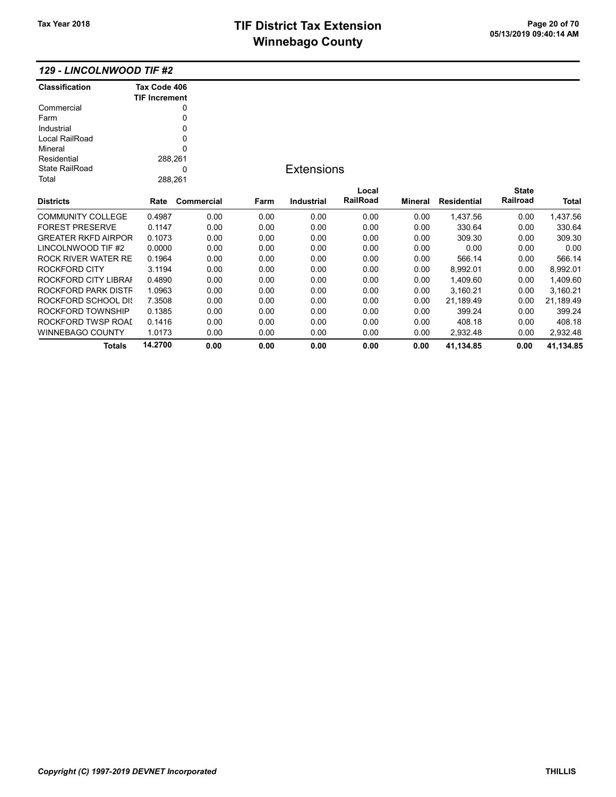Totals 14.2700 0.00 0.00 0.00 0.00 0.00 41,134.85 0.00 41,134.85

#### 129 - LINCOLNWOOD TIF #2

| <b>Classification</b>      | Tax Code 406         |            |      |                   |                 |         |             |              |           |
|----------------------------|----------------------|------------|------|-------------------|-----------------|---------|-------------|--------------|-----------|
|                            | <b>TIF Increment</b> |            |      |                   |                 |         |             |              |           |
| Commercial                 |                      | 0          |      |                   |                 |         |             |              |           |
| Farm                       |                      | 0          |      |                   |                 |         |             |              |           |
| Industrial                 |                      | 0          |      |                   |                 |         |             |              |           |
| Local RailRoad             |                      | 0          |      |                   |                 |         |             |              |           |
| Mineral                    |                      | 0          |      |                   |                 |         |             |              |           |
| Residential                | 288,261              |            |      |                   |                 |         |             |              |           |
| <b>State RailRoad</b>      |                      | 0          |      | <b>Extensions</b> |                 |         |             |              |           |
| Total                      | 288,261              |            |      |                   |                 |         |             |              |           |
|                            |                      |            |      |                   | Local           |         |             | <b>State</b> |           |
| <b>Districts</b>           | Rate                 | Commercial | Farm | Industrial        | <b>RailRoad</b> | Mineral | Residential | Railroad     | Total     |
| <b>COMMUNITY COLLEGE</b>   | 0.4987               | 0.00       | 0.00 | 0.00              | 0.00            | 0.00    | 1,437.56    | 0.00         | 1,437.56  |
| <b>FOREST PRESERVE</b>     | 0.1147               | 0.00       | 0.00 | 0.00              | 0.00            | 0.00    | 330.64      | 0.00         | 330.64    |
| <b>GREATER RKFD AIRPOR</b> | 0.1073               | 0.00       | 0.00 | 0.00              | 0.00            | 0.00    | 309.30      | 0.00         | 309.30    |
| LINCOLNWOOD TIF #2         | 0.0000               | 0.00       | 0.00 | 0.00              | 0.00            | 0.00    | 0.00        | 0.00         | 0.00      |
| ROCK RIVER WATER RE        | 0.1964               | 0.00       | 0.00 | 0.00              | 0.00            | 0.00    | 566.14      | 0.00         | 566.14    |
| ROCKFORD CITY              | 3.1194               | 0.00       | 0.00 | 0.00              | 0.00            | 0.00    | 8,992.01    | 0.00         | 8,992.01  |
| ROCKFORD CITY LIBRAI       | 0.4890               | 0.00       | 0.00 | 0.00              | 0.00            | 0.00    | 1,409.60    | 0.00         | 1,409.60  |
| ROCKFORD PARK DISTF        | 1.0963               | 0.00       | 0.00 | 0.00              | 0.00            | 0.00    | 3,160.21    | 0.00         | 3,160.21  |
| ROCKFORD SCHOOL DIS        | 7.3508               | 0.00       | 0.00 | 0.00              | 0.00            | 0.00    | 21,189.49   | 0.00         | 21,189.49 |
| ROCKFORD TOWNSHIP          | 0.1385               | 0.00       | 0.00 | 0.00              | 0.00            | 0.00    | 399.24      | 0.00         | 399.24    |
| ROCKFORD TWSP ROAI         | 0.1416               | 0.00       | 0.00 | 0.00              | 0.00            | 0.00    | 408.18      | 0.00         | 408.18    |
| <b>WINNEBAGO COUNTY</b>    | 1.0173               | 0.00       | 0.00 | 0.00              | 0.00            | 0.00    | 2,932.48    | 0.00         | 2,932.48  |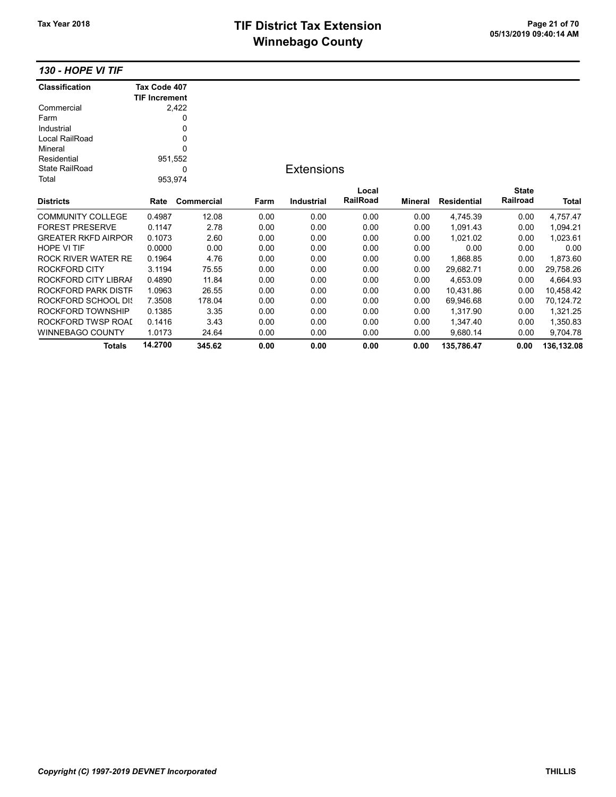# TIF District Tax Extension<br>
Mission 20 and 20 and 20 and 20 and 20 and 20 and 20 and 20 and 20 and 20 and 20 and 20 and 20 and 20 and 20 and 20 and 20 and 20 and 20 and 20 and 20 and 20 and 20 and 20 and 20 and 20 and 20 a **Winnebago County**

130 - HOPE VI TIF

| <b>Classification</b>      | Tax Code 407         |            |                   |            |          |                |                    |              |            |
|----------------------------|----------------------|------------|-------------------|------------|----------|----------------|--------------------|--------------|------------|
|                            | <b>TIF Increment</b> |            |                   |            |          |                |                    |              |            |
| Commercial                 |                      | 2,422      |                   |            |          |                |                    |              |            |
| Farm                       |                      | 0          |                   |            |          |                |                    |              |            |
| Industrial                 |                      | 0          |                   |            |          |                |                    |              |            |
| Local RailRoad             |                      | 0          |                   |            |          |                |                    |              |            |
| Mineral                    |                      | 0          |                   |            |          |                |                    |              |            |
| Residential                |                      | 951,552    |                   |            |          |                |                    |              |            |
| <b>State RailRoad</b><br>0 |                      |            | <b>Extensions</b> |            |          |                |                    |              |            |
| Total                      |                      | 953,974    |                   |            |          |                |                    |              |            |
|                            |                      |            |                   |            | Local    |                |                    | <b>State</b> |            |
| <b>Districts</b>           | Rate                 | Commercial | Farm              | Industrial | RailRoad | <b>Mineral</b> | <b>Residential</b> | Railroad     | Total      |
| <b>COMMUNITY COLLEGE</b>   | 0.4987               | 12.08      | 0.00              | 0.00       | 0.00     | 0.00           | 4,745.39           | 0.00         | 4,757.47   |
| <b>FOREST PRESERVE</b>     | 0.1147               | 2.78       | 0.00              | 0.00       | 0.00     | 0.00           | 1,091.43           | 0.00         | 1,094.21   |
| <b>GREATER RKFD AIRPOR</b> | 0.1073               | 2.60       | 0.00              | 0.00       | 0.00     | 0.00           | 1,021.02           | 0.00         | 1,023.61   |
| <b>HOPE VI TIF</b>         | 0.0000               | 0.00       | 0.00              | 0.00       | 0.00     | 0.00           | 0.00               | 0.00         | 0.00       |
| ROCK RIVER WATER RE        | 0.1964               | 4.76       | 0.00              | 0.00       | 0.00     | 0.00           | 1,868.85           | 0.00         | 1,873.60   |
| ROCKFORD CITY              | 3.1194               | 75.55      | 0.00              | 0.00       | 0.00     | 0.00           | 29,682.71          | 0.00         | 29,758.26  |
| ROCKFORD CITY LIBRAI       | 0.4890               | 11.84      | 0.00              | 0.00       | 0.00     | 0.00           | 4,653.09           | 0.00         | 4,664.93   |
| ROCKFORD PARK DISTF        | 1.0963               | 26.55      | 0.00              | 0.00       | 0.00     | 0.00           | 10,431.86          | 0.00         | 10,458.42  |
| ROCKFORD SCHOOL DIS        | 7.3508               | 178.04     | 0.00              | 0.00       | 0.00     | 0.00           | 69,946.68          | 0.00         | 70,124.72  |
| ROCKFORD TOWNSHIP          | 0.1385               | 3.35       | 0.00              | 0.00       | 0.00     | 0.00           | 1,317.90           | 0.00         | 1,321.25   |
| ROCKFORD TWSP ROAL         | 0.1416               | 3.43       | 0.00              | 0.00       | 0.00     | 0.00           | 1,347.40           | 0.00         | 1,350.83   |
| <b>WINNEBAGO COUNTY</b>    | 1.0173               | 24.64      | 0.00              | 0.00       | 0.00     | 0.00           | 9,680.14           | 0.00         | 9,704.78   |
| <b>Totals</b>              | 14.2700              | 345.62     | 0.00              | 0.00       | 0.00     | 0.00           | 135,786.47         | 0.00         | 136,132.08 |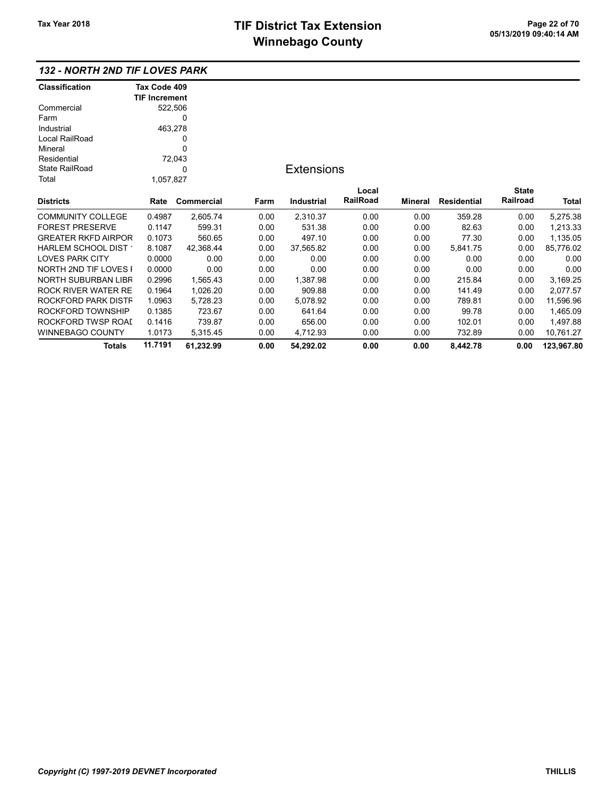## 132 - NORTH 2ND TIF LOVES PARK

| Classification             | Tax Code 409         |            |      |                   |                 |         |                    |              |            |
|----------------------------|----------------------|------------|------|-------------------|-----------------|---------|--------------------|--------------|------------|
|                            | <b>TIF Increment</b> |            |      |                   |                 |         |                    |              |            |
| Commercial                 | 522,506              |            |      |                   |                 |         |                    |              |            |
| Farm                       |                      | 0          |      |                   |                 |         |                    |              |            |
| Industrial                 | 463,278              |            |      |                   |                 |         |                    |              |            |
| Local RailRoad             | 0                    |            |      |                   |                 |         |                    |              |            |
| Mineral                    |                      | 0          |      |                   |                 |         |                    |              |            |
| Residential                |                      | 72,043     |      |                   |                 |         |                    |              |            |
| <b>State RailRoad</b>      | 0                    |            |      | <b>Extensions</b> |                 |         |                    |              |            |
| Total                      | 1,057,827            |            |      |                   |                 |         |                    |              |            |
|                            |                      |            |      |                   | Local           |         |                    | <b>State</b> |            |
| <b>Districts</b>           | Rate                 | Commercial | Farm | Industrial        | <b>RailRoad</b> | Mineral | <b>Residential</b> | Railroad     | Total      |
| <b>COMMUNITY COLLEGE</b>   | 0.4987               | 2,605.74   | 0.00 | 2,310.37          | 0.00            | 0.00    | 359.28             | 0.00         | 5,275.38   |
| <b>FOREST PRESERVE</b>     | 0.1147               | 599.31     | 0.00 | 531.38            | 0.00            | 0.00    | 82.63              | 0.00         | 1,213.33   |
| <b>GREATER RKFD AIRPOR</b> | 0.1073               | 560.65     | 0.00 | 497.10            | 0.00            | 0.00    | 77.30              | 0.00         | 1,135.05   |
| HARLEM SCHOOL DIST         | 8.1087               | 42,368.44  | 0.00 | 37,565.82         | 0.00            | 0.00    | 5,841.75           | 0.00         | 85,776.02  |
| <b>LOVES PARK CITY</b>     | 0.0000               | 0.00       | 0.00 | 0.00              | 0.00            | 0.00    | 0.00               | 0.00         | 0.00       |
| NORTH 2ND TIF LOVES I      | 0.0000               | 0.00       | 0.00 | 0.00              | 0.00            | 0.00    | 0.00               | 0.00         | 0.00       |
| NORTH SUBURBAN LIBR        | 0.2996               | 1,565.43   | 0.00 | 1,387.98          | 0.00            | 0.00    | 215.84             | 0.00         | 3,169.25   |
| ROCK RIVER WATER RE        | 0.1964               | 1,026.20   | 0.00 | 909.88            | 0.00            | 0.00    | 141.49             | 0.00         | 2,077.57   |
| ROCKFORD PARK DISTF        | 1.0963               | 5,728.23   | 0.00 | 5,078.92          | 0.00            | 0.00    | 789.81             | 0.00         | 11,596.96  |
| ROCKFORD TOWNSHIP          | 0.1385               | 723.67     | 0.00 | 641.64            | 0.00            | 0.00    | 99.78              | 0.00         | 1,465.09   |
| ROCKFORD TWSP ROAI         | 0.1416               | 739.87     | 0.00 | 656.00            | 0.00            | 0.00    | 102.01             | 0.00         | 1,497.88   |
| WINNEBAGO COUNTY           | 1.0173               | 5,315.45   | 0.00 | 4,712.93          | 0.00            | 0.00    | 732.89             | 0.00         | 10,761.27  |
| <b>Totals</b>              | 11.7191              | 61,232.99  | 0.00 | 54,292.02         | 0.00            | 0.00    | 8.442.78           | 0.00         | 123,967.80 |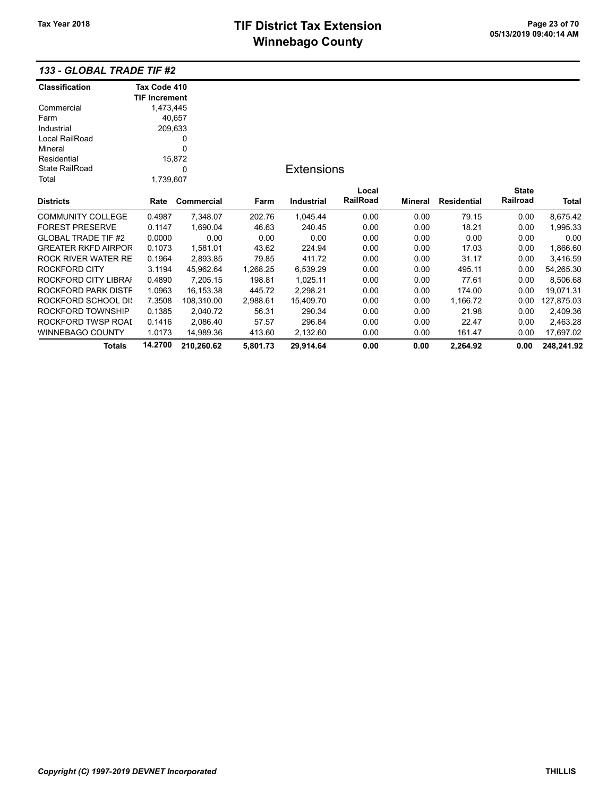### 133 - GLOBAL TRADE TIF #2

| <b>Classification</b>      | Tax Code 410         |            |          |                   |          |                |             |              |            |
|----------------------------|----------------------|------------|----------|-------------------|----------|----------------|-------------|--------------|------------|
|                            | <b>TIF Increment</b> |            |          |                   |          |                |             |              |            |
| Commercial                 | 1,473,445            |            |          |                   |          |                |             |              |            |
| Farm                       |                      | 40,657     |          |                   |          |                |             |              |            |
| Industrial                 | 209,633              |            |          |                   |          |                |             |              |            |
| Local RailRoad             | 0                    |            |          |                   |          |                |             |              |            |
| Mineral                    |                      | 0          |          |                   |          |                |             |              |            |
| Residential                |                      | 15,872     |          |                   |          |                |             |              |            |
| <b>State RailRoad</b>      | 0                    |            |          | <b>Extensions</b> |          |                |             |              |            |
| Total                      | 1,739,607            |            |          |                   |          |                |             |              |            |
|                            |                      |            |          |                   | Local    |                |             | <b>State</b> |            |
| <b>Districts</b>           | Rate                 | Commercial | Farm     | Industrial        | RailRoad | <b>Mineral</b> | Residential | Railroad     | Total      |
| <b>COMMUNITY COLLEGE</b>   | 0.4987               | 7,348.07   | 202.76   | 1,045.44          | 0.00     | 0.00           | 79.15       | 0.00         | 8,675.42   |
| <b>FOREST PRESERVE</b>     | 0.1147               | 1,690.04   | 46.63    | 240.45            | 0.00     | 0.00           | 18.21       | 0.00         | 1,995.33   |
| <b>GLOBAL TRADE TIF #2</b> | 0.0000               | 0.00       | 0.00     | 0.00              | 0.00     | 0.00           | 0.00        | 0.00         | 0.00       |
| <b>GREATER RKFD AIRPOR</b> | 0.1073               | 1,581.01   | 43.62    | 224.94            | 0.00     | 0.00           | 17.03       | 0.00         | 1,866.60   |
| <b>ROCK RIVER WATER RE</b> | 0.1964               | 2,893.85   | 79.85    | 411.72            | 0.00     | 0.00           | 31.17       | 0.00         | 3,416.59   |
| ROCKFORD CITY              | 3.1194               | 45,962.64  | 1,268.25 | 6,539.29          | 0.00     | 0.00           | 495.11      | 0.00         | 54,265.30  |
| ROCKFORD CITY LIBRAI       | 0.4890               | 7,205.15   | 198.81   | 1,025.11          | 0.00     | 0.00           | 77.61       | 0.00         | 8,506.68   |
| ROCKFORD PARK DISTF        | 1.0963               | 16,153.38  | 445.72   | 2,298.21          | 0.00     | 0.00           | 174.00      | 0.00         | 19,071.31  |
| ROCKFORD SCHOOL DIS        | 7.3508               | 108,310.00 | 2,988.61 | 15,409.70         | 0.00     | 0.00           | 1,166.72    | 0.00         | 127,875.03 |
| ROCKFORD TOWNSHIP          | 0.1385               | 2,040.72   | 56.31    | 290.34            | 0.00     | 0.00           | 21.98       | 0.00         | 2,409.36   |
| ROCKFORD TWSP ROAL         | 0.1416               | 2,086.40   | 57.57    | 296.84            | 0.00     | 0.00           | 22.47       | 0.00         | 2,463.28   |
| <b>WINNEBAGO COUNTY</b>    | 1.0173               | 14,989.36  | 413.60   | 2,132.60          | 0.00     | 0.00           | 161.47      | 0.00         | 17,697.02  |
| Totals                     | 14.2700              | 210,260.62 | 5,801.73 | 29,914.64         | 0.00     | 0.00           | 2,264.92    | 0.00         | 248,241.92 |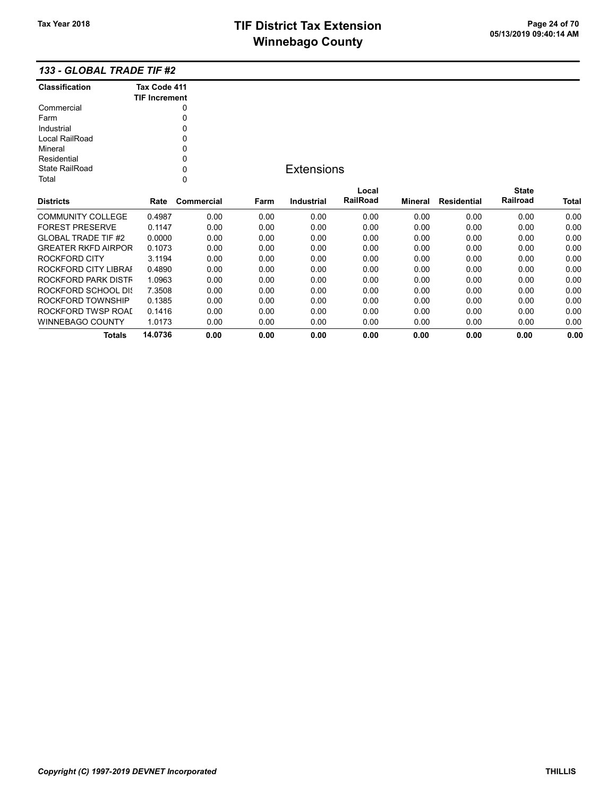### 133 - GLOBAL TRADE TIF #2

| <b>Classification</b>      | Tax Code 411         |             |      |                   |          |         |                    |              |              |
|----------------------------|----------------------|-------------|------|-------------------|----------|---------|--------------------|--------------|--------------|
|                            | <b>TIF Increment</b> |             |      |                   |          |         |                    |              |              |
| Commercial                 |                      | 0           |      |                   |          |         |                    |              |              |
| Farm                       |                      | 0           |      |                   |          |         |                    |              |              |
| Industrial                 |                      | 0           |      |                   |          |         |                    |              |              |
| Local RailRoad             |                      | 0           |      |                   |          |         |                    |              |              |
| Mineral                    |                      | 0           |      |                   |          |         |                    |              |              |
| Residential                |                      | 0           |      |                   |          |         |                    |              |              |
| <b>State RailRoad</b>      |                      | 0           |      | <b>Extensions</b> |          |         |                    |              |              |
| Total                      |                      | $\mathbf 0$ |      |                   |          |         |                    |              |              |
|                            |                      |             |      |                   | Local    |         |                    | <b>State</b> |              |
| <b>Districts</b>           | Rate                 | Commercial  | Farm | <b>Industrial</b> | RailRoad | Mineral | <b>Residential</b> | Railroad     | <b>Total</b> |
| <b>COMMUNITY COLLEGE</b>   | 0.4987               | 0.00        | 0.00 | 0.00              | 0.00     | 0.00    | 0.00               | 0.00         | 0.00         |
| <b>FOREST PRESERVE</b>     | 0.1147               | 0.00        | 0.00 | 0.00              | 0.00     | 0.00    | 0.00               | 0.00         | 0.00         |
| <b>GLOBAL TRADE TIF #2</b> | 0.0000               | 0.00        | 0.00 | 0.00              | 0.00     | 0.00    | 0.00               | 0.00         | 0.00         |
| <b>GREATER RKFD AIRPOR</b> | 0.1073               | 0.00        | 0.00 | 0.00              | 0.00     | 0.00    | 0.00               | 0.00         | 0.00         |
| ROCKFORD CITY              | 3.1194               | 0.00        | 0.00 | 0.00              | 0.00     | 0.00    | 0.00               | 0.00         | 0.00         |
| ROCKFORD CITY LIBRAI       | 0.4890               | 0.00        | 0.00 | 0.00              | 0.00     | 0.00    | 0.00               | 0.00         | 0.00         |
| ROCKFORD PARK DISTF        | 1.0963               | 0.00        | 0.00 | 0.00              | 0.00     | 0.00    | 0.00               | 0.00         | 0.00         |
| <b>ROCKFORD SCHOOL DIS</b> | 7.3508               | 0.00        | 0.00 | 0.00              | 0.00     | 0.00    | 0.00               | 0.00         | 0.00         |
| ROCKFORD TOWNSHIP          | 0.1385               | 0.00        | 0.00 | 0.00              | 0.00     | 0.00    | 0.00               | 0.00         | 0.00         |
| ROCKFORD TWSP ROAI         | 0.1416               | 0.00        | 0.00 | 0.00              | 0.00     | 0.00    | 0.00               | 0.00         | 0.00         |
| <b>WINNEBAGO COUNTY</b>    | 1.0173               | 0.00        | 0.00 | 0.00              | 0.00     | 0.00    | 0.00               | 0.00         | 0.00         |
| Totals                     | 14.0736              | 0.00        | 0.00 | 0.00              | 0.00     | 0.00    | 0.00               | 0.00         | 0.00         |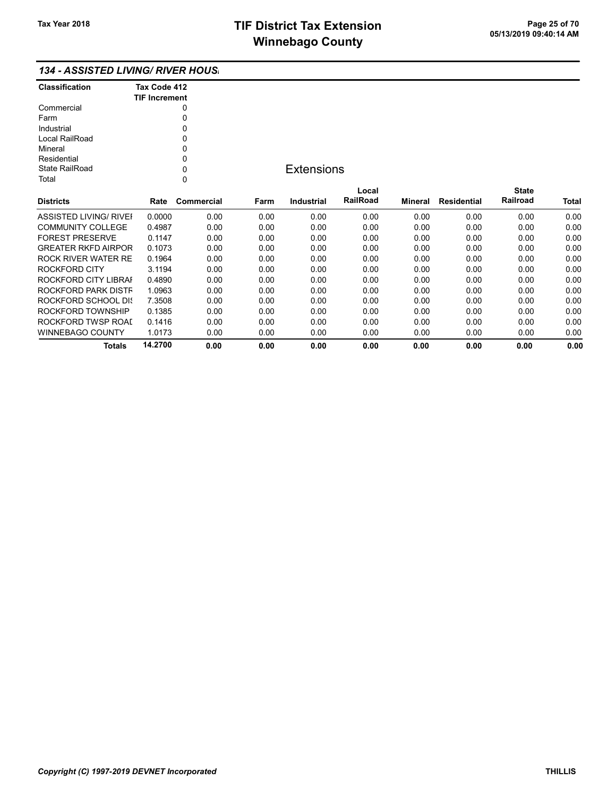### 134 - ASSISTED LIVING/ RIVER HOUSI

| <b>Classification</b> | Tax Code 412<br><b>TIF Increment</b> |
|-----------------------|--------------------------------------|
| Commercial            | Ω                                    |
| Farm                  |                                      |
| Industrial            | ŋ                                    |
| Local RailRoad        | ŋ                                    |
| Mineral               | 0                                    |
| Residential           | ŋ                                    |
| State RailRoad        | ŋ                                    |
| Total                 |                                      |

## **Extensions**

| <b>Districts</b>           | Rate    | Commercial | Farm | Industrial | Local<br><b>RailRoad</b> | Mineral | Residential | <b>State</b><br>Railroad | <b>Total</b> |
|----------------------------|---------|------------|------|------------|--------------------------|---------|-------------|--------------------------|--------------|
|                            |         |            |      |            |                          |         |             |                          |              |
| ASSISTED LIVING/ RIVEL     | 0.0000  | 0.00       | 0.00 | 0.00       | 0.00                     | 0.00    | 0.00        | 0.00                     | 0.00         |
| <b>COMMUNITY COLLEGE</b>   | 0.4987  | 0.00       | 0.00 | 0.00       | 0.00                     | 0.00    | 0.00        | 0.00                     | 0.00         |
| <b>FOREST PRESERVE</b>     | 0.1147  | 0.00       | 0.00 | 0.00       | 0.00                     | 0.00    | 0.00        | 0.00                     | 0.00         |
| <b>GREATER RKFD AIRPOR</b> | 0.1073  | 0.00       | 0.00 | 0.00       | 0.00                     | 0.00    | 0.00        | 0.00                     | 0.00         |
| ROCK RIVER WATER RE        | 0.1964  | 0.00       | 0.00 | 0.00       | 0.00                     | 0.00    | 0.00        | 0.00                     | 0.00         |
| ROCKFORD CITY              | 3.1194  | 0.00       | 0.00 | 0.00       | 0.00                     | 0.00    | 0.00        | 0.00                     | 0.00         |
| ROCKFORD CITY LIBRAL       | 0.4890  | 0.00       | 0.00 | 0.00       | 0.00                     | 0.00    | 0.00        | 0.00                     | 0.00         |
| ROCKFORD PARK DISTF        | 1.0963  | 0.00       | 0.00 | 0.00       | 0.00                     | 0.00    | 0.00        | 0.00                     | 0.00         |
| ROCKFORD SCHOOL DIS        | 7.3508  | 0.00       | 0.00 | 0.00       | 0.00                     | 0.00    | 0.00        | 0.00                     | 0.00         |
| ROCKFORD TOWNSHIP          | 0.1385  | 0.00       | 0.00 | 0.00       | 0.00                     | 0.00    | 0.00        | 0.00                     | 0.00         |
| ROCKFORD TWSP ROAL         | 0.1416  | 0.00       | 0.00 | 0.00       | 0.00                     | 0.00    | 0.00        | 0.00                     | 0.00         |
| WINNEBAGO COUNTY           | 1.0173  | 0.00       | 0.00 | 0.00       | 0.00                     | 0.00    | 0.00        | 0.00                     | 0.00         |
| Totals                     | 14.2700 | 0.00       | 0.00 | 0.00       | 0.00                     | 0.00    | 0.00        | 0.00                     | 0.00         |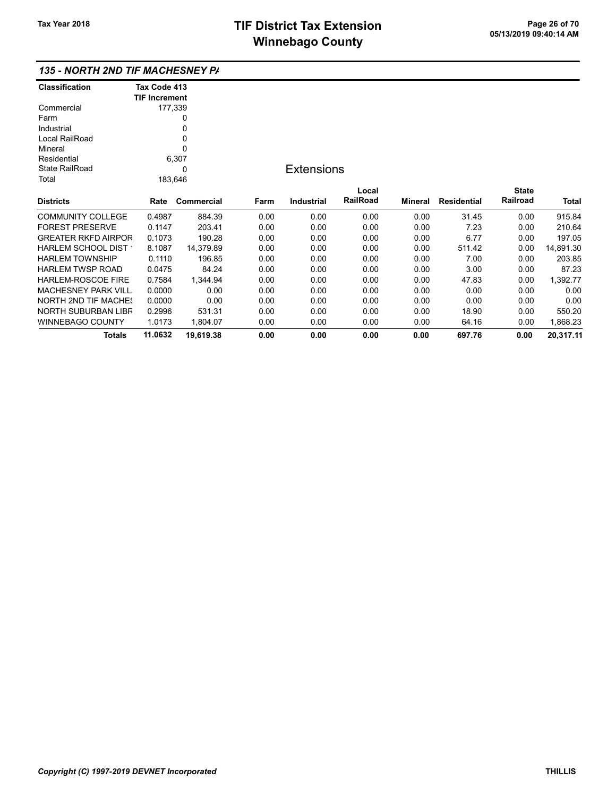| <b>Classification</b>                       | Tax Code 413         |            |                   |            |          |                |                    |              |              |
|---------------------------------------------|----------------------|------------|-------------------|------------|----------|----------------|--------------------|--------------|--------------|
|                                             | <b>TIF Increment</b> |            |                   |            |          |                |                    |              |              |
| Commercial                                  | 177,339              |            |                   |            |          |                |                    |              |              |
| Farm                                        |                      | 0          |                   |            |          |                |                    |              |              |
| Industrial                                  |                      | 0          |                   |            |          |                |                    |              |              |
| Local RailRoad                              | 0                    |            |                   |            |          |                |                    |              |              |
| Mineral                                     |                      | $\Omega$   |                   |            |          |                |                    |              |              |
| Residential                                 |                      | 6,307      |                   |            |          |                |                    |              |              |
| State RailRoad<br>0                         |                      |            | <b>Extensions</b> |            |          |                |                    |              |              |
| Total                                       | 183,646              |            |                   |            |          |                |                    |              |              |
|                                             |                      |            |                   |            | Local    |                |                    | <b>State</b> |              |
| Districts                                   | Rate                 | Commercial | Farm              | Industrial | RailRoad | <b>Mineral</b> | <b>Residential</b> | Railroad     | <b>Total</b> |
| COMMUNITY COLLEGE                           | 0.4987               | 884.39     | 0.00              | 0.00       | 0.00     | 0.00           | 31.45              | 0.00         | 915.84       |
| <b>FOREST PRESERVE</b>                      | 0.1147               | 203.41     | 0.00              | 0.00       | 0.00     | 0.00           | 7.23               | 0.00         | 210.64       |
| GREATER RKFD AIRPOR                         | 0.1073               | 190.28     | 0.00              | 0.00       | 0.00     | 0.00           | 6.77               | 0.00         | 197.05       |
| <code>HARLEM</code> SCHOOL DIST $^{\prime}$ | 8.1087               | 14,379.89  | 0.00              | 0.00       | 0.00     | 0.00           | 511.42             | 0.00         | 14,891.30    |
| HARLEM TOWNSHIP                             | 0.1110               | 196.85     | 0.00              | 0.00       | 0.00     | 0.00           | 7.00               | 0.00         | 203.85       |
| HARLEM TWSP ROAD                            | 0.0475               | 84.24      | 0.00              | 0.00       | 0.00     | 0.00           | 3.00               | 0.00         | 87.23        |
| HARLEM-ROSCOE FIRE                          | 0.7584               | 1,344.94   | 0.00              | 0.00       | 0.00     | 0.00           | 47.83              | 0.00         | 1,392.77     |
| MACHESNEY PARK VILL                         | 0.0000               | 0.00       | 0.00              | 0.00       | 0.00     | 0.00           | 0.00               | 0.00         | 0.00         |
| <b>NORTH 2ND TIF MACHES</b>                 | 0.0000               | 0.00       | 0.00              | 0.00       | 0.00     | 0.00           | 0.00               | 0.00         | 0.00         |
| NORTH SUBURBAN LIBR                         | 0.2996               | 531.31     | 0.00              | 0.00       | 0.00     | 0.00           | 18.90              | 0.00         | 550.20       |
| WINNEBAGO COUNTY                            | 1.0173               | 1,804.07   | 0.00              | 0.00       | 0.00     | 0.00           | 64.16              | 0.00         | 1,868.23     |
| <b>Totals</b>                               | 11.0632              | 19,619.38  | 0.00              | 0.00       | 0.00     | 0.00           | 697.76             | 0.00         | 20,317.11    |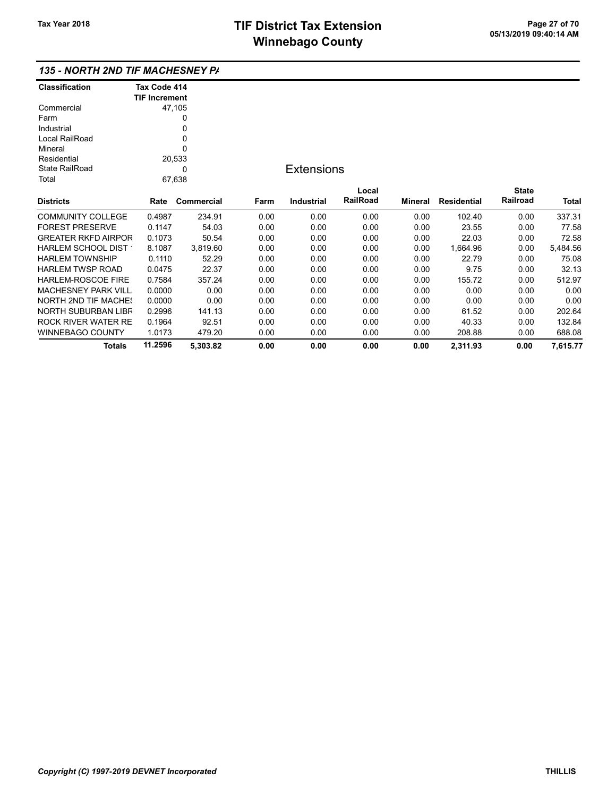| <b>Classification</b>       | Tax Code 414         |            |                   |                   |          |                |                    |              |          |
|-----------------------------|----------------------|------------|-------------------|-------------------|----------|----------------|--------------------|--------------|----------|
|                             | <b>TIF Increment</b> |            |                   |                   |          |                |                    |              |          |
| Commercial                  |                      | 47,105     |                   |                   |          |                |                    |              |          |
| Farm                        |                      | 0          |                   |                   |          |                |                    |              |          |
| Industrial                  |                      | 0          |                   |                   |          |                |                    |              |          |
| Local RailRoad              |                      | 0          |                   |                   |          |                |                    |              |          |
| Mineral                     |                      | 0          |                   |                   |          |                |                    |              |          |
| Residential                 |                      | 20,533     |                   |                   |          |                |                    |              |          |
| State RailRoad<br>0         |                      |            | <b>Extensions</b> |                   |          |                |                    |              |          |
| Total                       |                      | 67,638     |                   |                   |          |                |                    |              |          |
|                             |                      |            |                   |                   | Local    |                |                    | <b>State</b> |          |
| <b>Districts</b>            | Rate                 | Commercial | Farm              | <b>Industrial</b> | RailRoad | <b>Mineral</b> | <b>Residential</b> | Railroad     | Total    |
| <b>COMMUNITY COLLEGE</b>    | 0.4987               | 234.91     | 0.00              | 0.00              | 0.00     | 0.00           | 102.40             | 0.00         | 337.31   |
| <b>FOREST PRESERVE</b>      | 0.1147               | 54.03      | 0.00              | 0.00              | 0.00     | 0.00           | 23.55              | 0.00         | 77.58    |
| <b>GREATER RKFD AIRPOR</b>  | 0.1073               | 50.54      | 0.00              | 0.00              | 0.00     | 0.00           | 22.03              | 0.00         | 72.58    |
| HARLEM SCHOOL DIST          | 8.1087               | 3,819.60   | 0.00              | 0.00              | 0.00     | 0.00           | 1,664.96           | 0.00         | 5,484.56 |
| <b>HARLEM TOWNSHIP</b>      | 0.1110               | 52.29      | 0.00              | 0.00              | 0.00     | 0.00           | 22.79              | 0.00         | 75.08    |
| <b>HARLEM TWSP ROAD</b>     | 0.0475               | 22.37      | 0.00              | 0.00              | 0.00     | 0.00           | 9.75               | 0.00         | 32.13    |
| HARLEM-ROSCOE FIRE          | 0.7584               | 357.24     | 0.00              | 0.00              | 0.00     | 0.00           | 155.72             | 0.00         | 512.97   |
| <b>MACHESNEY PARK VILL</b>  | 0.0000               | 0.00       | 0.00              | 0.00              | 0.00     | 0.00           | 0.00               | 0.00         | 0.00     |
| <b>NORTH 2ND TIF MACHES</b> | 0.0000               | 0.00       | 0.00              | 0.00              | 0.00     | 0.00           | 0.00               | 0.00         | 0.00     |
| NORTH SUBURBAN LIBR         | 0.2996               | 141.13     | 0.00              | 0.00              | 0.00     | 0.00           | 61.52              | 0.00         | 202.64   |
| <b>ROCK RIVER WATER RE</b>  | 0.1964               | 92.51      | 0.00              | 0.00              | 0.00     | 0.00           | 40.33              | 0.00         | 132.84   |
| WINNEBAGO COUNTY            | 1.0173               | 479.20     | 0.00              | 0.00              | 0.00     | 0.00           | 208.88             | 0.00         | 688.08   |
| <b>Totals</b>               | 11.2596              | 5,303.82   | 0.00              | 0.00              | 0.00     | 0.00           | 2,311.93           | 0.00         | 7,615.77 |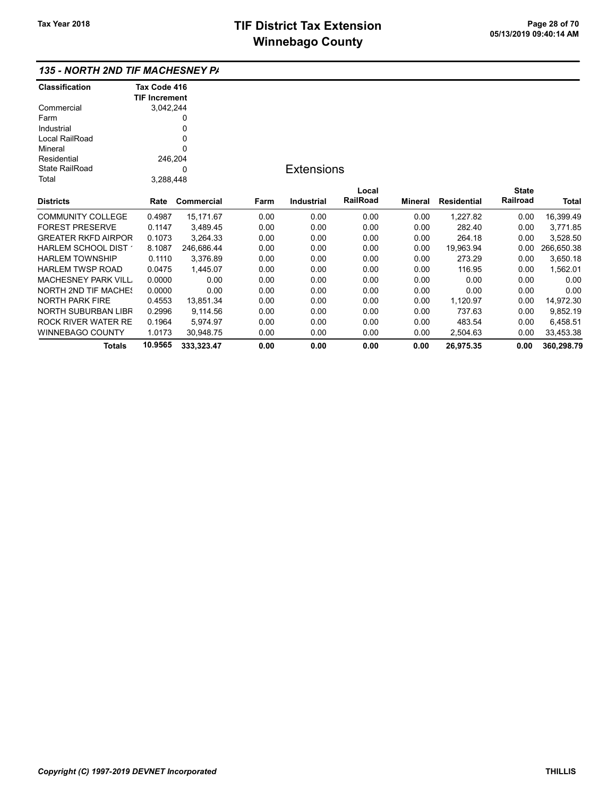## 135 - NORTH 2ND TIF MACHESNEY PA

| <b>Classification</b>       | Tax Code 416         |            |      |                   |          |                |                    |                 |              |
|-----------------------------|----------------------|------------|------|-------------------|----------|----------------|--------------------|-----------------|--------------|
|                             | <b>TIF Increment</b> |            |      |                   |          |                |                    |                 |              |
| Commercial                  | 3,042,244            |            |      |                   |          |                |                    |                 |              |
| Farm                        |                      | 0          |      |                   |          |                |                    |                 |              |
| Industrial                  |                      | 0          |      |                   |          |                |                    |                 |              |
| Local RailRoad              |                      | 0          |      |                   |          |                |                    |                 |              |
| Mineral                     |                      | 0          |      |                   |          |                |                    |                 |              |
| Residential                 | 246,204              |            |      |                   |          |                |                    |                 |              |
| <b>State RailRoad</b>       |                      | 0          |      | <b>Extensions</b> |          |                |                    |                 |              |
| Total                       | 3,288,448            |            |      |                   |          |                |                    |                 |              |
|                             |                      |            |      |                   | Local    |                |                    | <b>State</b>    |              |
| <b>Districts</b>            | Rate                 | Commercial | Farm | <b>Industrial</b> | RailRoad | <b>Mineral</b> | <b>Residential</b> | <b>Railroad</b> | <b>Total</b> |
| <b>COMMUNITY COLLEGE</b>    | 0.4987               | 15,171.67  | 0.00 | 0.00              | 0.00     | 0.00           | 1,227.82           | 0.00            | 16,399.49    |
| <b>FOREST PRESERVE</b>      | 0.1147               | 3,489.45   | 0.00 | 0.00              | 0.00     | 0.00           | 282.40             | 0.00            | 3,771.85     |
| <b>GREATER RKFD AIRPOR</b>  | 0.1073               | 3,264.33   | 0.00 | 0.00              | 0.00     | 0.00           | 264.18             | 0.00            | 3,528.50     |
| HARLEM SCHOOL DIST          | 8.1087               | 246,686.44 | 0.00 | 0.00              | 0.00     | 0.00           | 19,963.94          | 0.00            | 266,650.38   |
| <b>HARLEM TOWNSHIP</b>      | 0.1110               | 3,376.89   | 0.00 | 0.00              | 0.00     | 0.00           | 273.29             | 0.00            | 3,650.18     |
| <b>HARLEM TWSP ROAD</b>     | 0.0475               | 1,445.07   | 0.00 | 0.00              | 0.00     | 0.00           | 116.95             | 0.00            | 1,562.01     |
| <b>MACHESNEY PARK VILL</b>  | 0.0000               | 0.00       | 0.00 | 0.00              | 0.00     | 0.00           | 0.00               | 0.00            | 0.00         |
| <b>NORTH 2ND TIF MACHES</b> | 0.0000               | 0.00       | 0.00 | 0.00              | 0.00     | 0.00           | 0.00               | 0.00            | 0.00         |
| <b>NORTH PARK FIRE</b>      | 0.4553               | 13,851.34  | 0.00 | 0.00              | 0.00     | 0.00           | 1,120.97           | 0.00            | 14,972.30    |
| <b>NORTH SUBURBAN LIBR</b>  | 0.2996               | 9,114.56   | 0.00 | 0.00              | 0.00     | 0.00           | 737.63             | 0.00            | 9,852.19     |
| <b>ROCK RIVER WATER RE</b>  | 0.1964               | 5,974.97   | 0.00 | 0.00              | 0.00     | 0.00           | 483.54             | 0.00            | 6,458.51     |
| <b>WINNEBAGO COUNTY</b>     | 1.0173               | 30,948.75  | 0.00 | 0.00              | 0.00     | 0.00           | 2,504.63           | 0.00            | 33,453.38    |
| Totals                      | 10.9565              | 333,323.47 | 0.00 | 0.00              | 0.00     | 0.00           | 26,975.35          | 0.00            | 360,298.79   |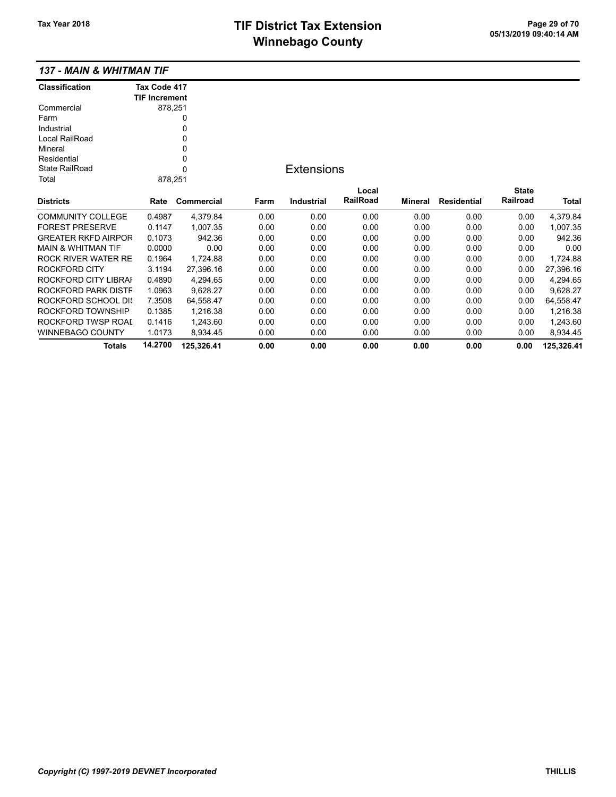|  |  | 137 - MAIN & WHITMAN TIF |  |
|--|--|--------------------------|--|
|--|--|--------------------------|--|

| <b>Classification</b>         | Tax Code 417         |            |      |                   |          |         |                    |              |              |
|-------------------------------|----------------------|------------|------|-------------------|----------|---------|--------------------|--------------|--------------|
|                               | <b>TIF Increment</b> |            |      |                   |          |         |                    |              |              |
| Commercial                    | 878,251              |            |      |                   |          |         |                    |              |              |
| Farm                          |                      | 0          |      |                   |          |         |                    |              |              |
| Industrial                    |                      | 0          |      |                   |          |         |                    |              |              |
| Local RailRoad                |                      | $\Omega$   |      |                   |          |         |                    |              |              |
| Mineral                       |                      | 0          |      |                   |          |         |                    |              |              |
| Residential                   |                      | 0          |      |                   |          |         |                    |              |              |
| <b>State RailRoad</b>         |                      | 0          |      | <b>Extensions</b> |          |         |                    |              |              |
| Total                         | 878,251              |            |      |                   |          |         |                    |              |              |
|                               |                      |            |      |                   | Local    |         |                    | <b>State</b> |              |
| <b>Districts</b>              | Rate                 | Commercial | Farm | <b>Industrial</b> | RailRoad | Mineral | <b>Residential</b> | Railroad     | <b>Total</b> |
| <b>COMMUNITY COLLEGE</b>      | 0.4987               | 4,379.84   | 0.00 | 0.00              | 0.00     | 0.00    | 0.00               | 0.00         | 4,379.84     |
| <b>FOREST PRESERVE</b>        | 0.1147               | 1,007.35   | 0.00 | 0.00              | 0.00     | 0.00    | 0.00               | 0.00         | 1,007.35     |
| <b>GREATER RKFD AIRPOR</b>    | 0.1073               | 942.36     | 0.00 | 0.00              | 0.00     | 0.00    | 0.00               | 0.00         | 942.36       |
| <b>MAIN &amp; WHITMAN TIF</b> | 0.0000               | 0.00       | 0.00 | 0.00              | 0.00     | 0.00    | 0.00               | 0.00         | 0.00         |
| ROCK RIVER WATER RE           | 0.1964               | 1,724.88   | 0.00 | 0.00              | 0.00     | 0.00    | 0.00               | 0.00         | 1,724.88     |
| ROCKFORD CITY                 | 3.1194               | 27,396.16  | 0.00 | 0.00              | 0.00     | 0.00    | 0.00               | 0.00         | 27,396.16    |
| ROCKFORD CITY LIBRAI          | 0.4890               | 4,294.65   | 0.00 | 0.00              | 0.00     | 0.00    | 0.00               | 0.00         | 4,294.65     |
| ROCKFORD PARK DISTF           | 1.0963               | 9,628.27   | 0.00 | 0.00              | 0.00     | 0.00    | 0.00               | 0.00         | 9,628.27     |
| ROCKFORD SCHOOL DIS           | 7.3508               | 64,558.47  | 0.00 | 0.00              | 0.00     | 0.00    | 0.00               | 0.00         | 64,558.47    |
| ROCKFORD TOWNSHIP             | 0.1385               | 1,216.38   | 0.00 | 0.00              | 0.00     | 0.00    | 0.00               | 0.00         | 1,216.38     |
| ROCKFORD TWSP ROAI            | 0.1416               | 1,243.60   | 0.00 | 0.00              | 0.00     | 0.00    | 0.00               | 0.00         | 1,243.60     |
| <b>WINNEBAGO COUNTY</b>       | 1.0173               | 8.934.45   | 0.00 | 0.00              | 0.00     | 0.00    | 0.00               | 0.00         | 8,934.45     |
| <b>Totals</b>                 | 14.2700              | 125,326.41 | 0.00 | 0.00              | 0.00     | 0.00    | 0.00               | 0.00         | 125,326.41   |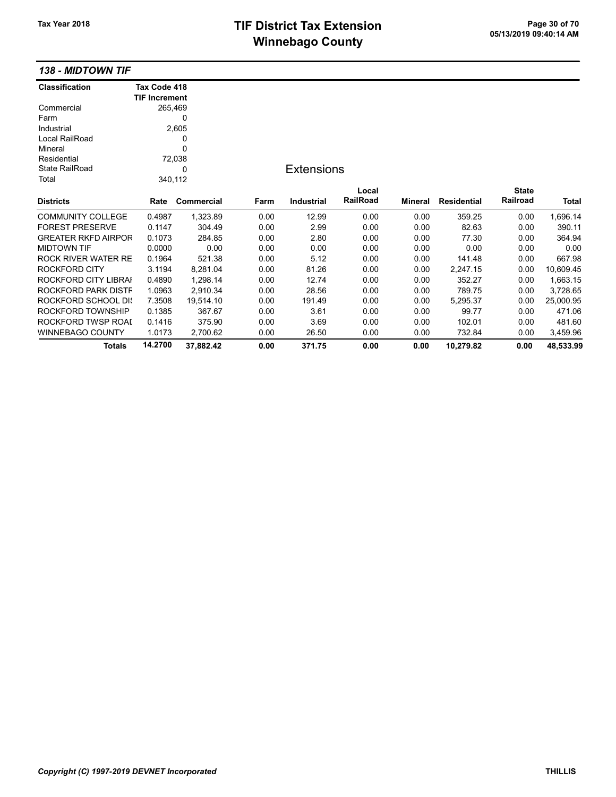# TIF District Tax Extension<br>
M's and an of 20 of 70 of 70 of 70 of 70 of 70 of 713/2019 09:40:14 AM **Winnebago County**

138 - MIDTOWN TIF

| <b>Classification</b>      | Tax Code 418         |            |      |                   |          |         |                    |              |           |
|----------------------------|----------------------|------------|------|-------------------|----------|---------|--------------------|--------------|-----------|
|                            | <b>TIF Increment</b> |            |      |                   |          |         |                    |              |           |
| Commercial                 | 265,469              |            |      |                   |          |         |                    |              |           |
| Farm                       |                      | 0          |      |                   |          |         |                    |              |           |
| Industrial                 |                      | 2,605      |      |                   |          |         |                    |              |           |
| Local RailRoad             |                      | 0          |      |                   |          |         |                    |              |           |
| Mineral                    |                      | 0          |      |                   |          |         |                    |              |           |
| Residential                |                      | 72,038     |      |                   |          |         |                    |              |           |
| <b>State RailRoad</b>      |                      | 0          |      | <b>Extensions</b> |          |         |                    |              |           |
| Total                      | 340,112              |            |      |                   |          |         |                    |              |           |
|                            |                      |            |      |                   | Local    |         |                    | <b>State</b> |           |
| <b>Districts</b>           | Rate                 | Commercial | Farm | <b>Industrial</b> | RailRoad | Mineral | <b>Residential</b> | Railroad     | Total     |
| <b>COMMUNITY COLLEGE</b>   | 0.4987               | 1,323.89   | 0.00 | 12.99             | 0.00     | 0.00    | 359.25             | 0.00         | 1,696.14  |
| <b>FOREST PRESERVE</b>     | 0.1147               | 304.49     | 0.00 | 2.99              | 0.00     | 0.00    | 82.63              | 0.00         | 390.11    |
| <b>GREATER RKFD AIRPOR</b> | 0.1073               | 284.85     | 0.00 | 2.80              | 0.00     | 0.00    | 77.30              | 0.00         | 364.94    |
| <b>MIDTOWN TIF</b>         | 0.0000               | 0.00       | 0.00 | 0.00              | 0.00     | 0.00    | 0.00               | 0.00         | 0.00      |
| <b>ROCK RIVER WATER RE</b> | 0.1964               | 521.38     | 0.00 | 5.12              | 0.00     | 0.00    | 141.48             | 0.00         | 667.98    |
| <b>ROCKFORD CITY</b>       | 3.1194               | 8,281.04   | 0.00 | 81.26             | 0.00     | 0.00    | 2,247.15           | 0.00         | 10,609.45 |
| ROCKFORD CITY LIBRAI       | 0.4890               | 1,298.14   | 0.00 | 12.74             | 0.00     | 0.00    | 352.27             | 0.00         | 1,663.15  |
| ROCKFORD PARK DISTF        | 1.0963               | 2,910.34   | 0.00 | 28.56             | 0.00     | 0.00    | 789.75             | 0.00         | 3,728.65  |
| <b>ROCKFORD SCHOOL DK</b>  | 7.3508               | 19,514.10  | 0.00 | 191.49            | 0.00     | 0.00    | 5,295.37           | 0.00         | 25,000.95 |
| ROCKFORD TOWNSHIP          | 0.1385               | 367.67     | 0.00 | 3.61              | 0.00     | 0.00    | 99.77              | 0.00         | 471.06    |
| ROCKFORD TWSP ROAD         | 0.1416               | 375.90     | 0.00 | 3.69              | 0.00     | 0.00    | 102.01             | 0.00         | 481.60    |
| WINNEBAGO COUNTY           | 1.0173               | 2,700.62   | 0.00 | 26.50             | 0.00     | 0.00    | 732.84             | 0.00         | 3,459.96  |
| <b>Totals</b>              | 14.2700              | 37,882.42  | 0.00 | 371.75            | 0.00     | 0.00    | 10,279.82          | 0.00         | 48,533.99 |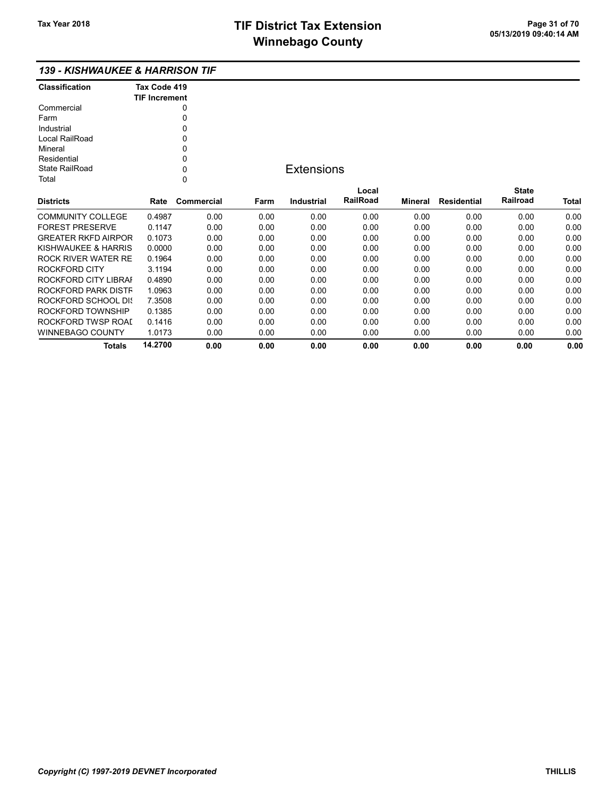### 139 - KISHWAUKEE & HARRISON TIF

| <b>Classification</b> | Tax Code 419<br><b>TIF Increment</b> |
|-----------------------|--------------------------------------|
| Commercial            | 0                                    |
| Farm                  | O                                    |
| Industrial            | ŋ                                    |
| Local RailRoad        | 0                                    |
| Mineral               | ŋ                                    |
| Residential           | ŋ                                    |
| State RailRoad        | ი                                    |
| Total                 |                                      |

## **Extensions**

| <b>Districts</b>           | Rate    | Commercial | Farm | Industrial | Local<br><b>RailRoad</b> | Mineral | Residential | <b>State</b><br>Railroad | <b>Total</b> |
|----------------------------|---------|------------|------|------------|--------------------------|---------|-------------|--------------------------|--------------|
|                            |         |            |      |            |                          |         |             |                          |              |
| COMMUNITY COLLEGE          | 0.4987  | 0.00       | 0.00 | 0.00       | 0.00                     | 0.00    | 0.00        | 0.00                     | 0.00         |
| <b>FOREST PRESERVE</b>     | 0.1147  | 0.00       | 0.00 | 0.00       | 0.00                     | 0.00    | 0.00        | 0.00                     | 0.00         |
| <b>GREATER RKFD AIRPOR</b> | 0.1073  | 0.00       | 0.00 | 0.00       | 0.00                     | 0.00    | 0.00        | 0.00                     | 0.00         |
| KISHWAUKEE & HARRIS        | 0.0000  | 0.00       | 0.00 | 0.00       | 0.00                     | 0.00    | 0.00        | 0.00                     | 0.00         |
| ROCK RIVER WATER RE        | 0.1964  | 0.00       | 0.00 | 0.00       | 0.00                     | 0.00    | 0.00        | 0.00                     | 0.00         |
| ROCKFORD CITY              | 3.1194  | 0.00       | 0.00 | 0.00       | 0.00                     | 0.00    | 0.00        | 0.00                     | 0.00         |
| ROCKFORD CITY LIBRAL       | 0.4890  | 0.00       | 0.00 | 0.00       | 0.00                     | 0.00    | 0.00        | 0.00                     | 0.00         |
| ROCKFORD PARK DISTF        | 1.0963  | 0.00       | 0.00 | 0.00       | 0.00                     | 0.00    | 0.00        | 0.00                     | 0.00         |
| ROCKFORD SCHOOL DIS        | 7.3508  | 0.00       | 0.00 | 0.00       | 0.00                     | 0.00    | 0.00        | 0.00                     | 0.00         |
| ROCKFORD TOWNSHIP          | 0.1385  | 0.00       | 0.00 | 0.00       | 0.00                     | 0.00    | 0.00        | 0.00                     | 0.00         |
| ROCKFORD TWSP ROAL         | 0.1416  | 0.00       | 0.00 | 0.00       | 0.00                     | 0.00    | 0.00        | 0.00                     | 0.00         |
| WINNEBAGO COUNTY           | 1.0173  | 0.00       | 0.00 | 0.00       | 0.00                     | 0.00    | 0.00        | 0.00                     | 0.00         |
| Totals                     | 14.2700 | 0.00       | 0.00 | 0.00       | 0.00                     | 0.00    | 0.00        | 0.00                     | 0.00         |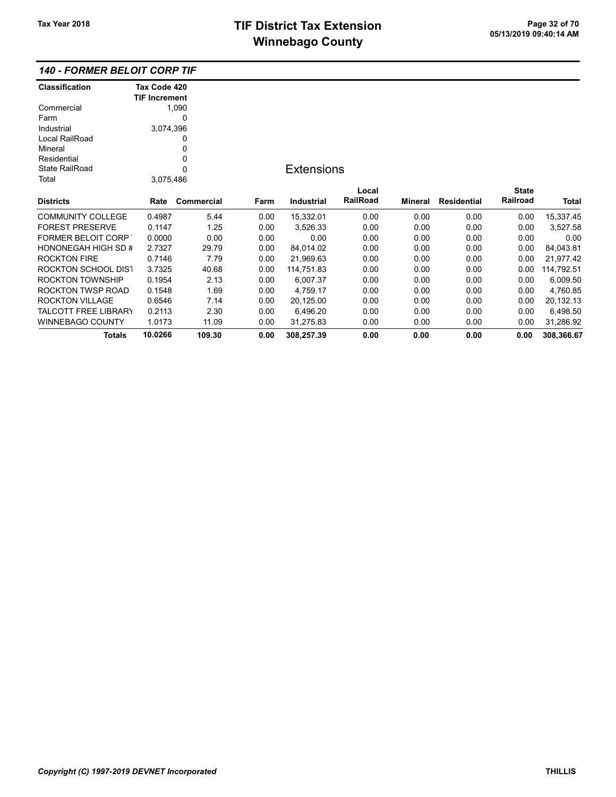#### 140 - FORMER BELOIT CORP TIF

| <b>Classification</b>       | Tax Code 420         |            |      |                   |                 |         |                    |              |            |
|-----------------------------|----------------------|------------|------|-------------------|-----------------|---------|--------------------|--------------|------------|
|                             | <b>TIF Increment</b> |            |      |                   |                 |         |                    |              |            |
| Commercial                  |                      | 1,090      |      |                   |                 |         |                    |              |            |
| Farm                        |                      | 0          |      |                   |                 |         |                    |              |            |
| Industrial                  | 3,074,396            |            |      |                   |                 |         |                    |              |            |
| Local RailRoad              |                      | 0          |      |                   |                 |         |                    |              |            |
| Mineral                     |                      | 0          |      |                   |                 |         |                    |              |            |
| Residential                 |                      | 0          |      |                   |                 |         |                    |              |            |
| <b>State RailRoad</b>       |                      | 0          |      | <b>Extensions</b> |                 |         |                    |              |            |
| Total                       | 3,075,486            |            |      |                   |                 |         |                    |              |            |
|                             |                      |            |      |                   | Local           |         |                    | <b>State</b> |            |
| <b>Districts</b>            | Rate                 | Commercial | Farm | Industrial        | <b>RailRoad</b> | Mineral | <b>Residential</b> | Railroad     | Total      |
| <b>COMMUNITY COLLEGE</b>    | 0.4987               | 5.44       | 0.00 | 15,332.01         | 0.00            | 0.00    | 0.00               | 0.00         | 15,337.45  |
| <b>FOREST PRESERVE</b>      | 0.1147               | 1.25       | 0.00 | 3,526.33          | 0.00            | 0.00    | 0.00               | 0.00         | 3,527.58   |
| <b>FORMER BELOIT CORP</b>   | 0.0000               | 0.00       | 0.00 | 0.00              | 0.00            | 0.00    | 0.00               | 0.00         | 0.00       |
| HONONEGAH HIGH SD #         | 2.7327               | 29.79      | 0.00 | 84,014.02         | 0.00            | 0.00    | 0.00               | 0.00         | 84,043.81  |
| <b>ROCKTON FIRE</b>         | 0.7146               | 7.79       | 0.00 | 21,969.63         | 0.00            | 0.00    | 0.00               | 0.00         | 21,977.42  |
| <b>ROCKTON SCHOOL DIST</b>  | 3.7325               | 40.68      | 0.00 | 114,751.83        | 0.00            | 0.00    | 0.00               | 0.00         | 114,792.51 |
| <b>ROCKTON TOWNSHIP</b>     | 0.1954               | 2.13       | 0.00 | 6,007.37          | 0.00            | 0.00    | 0.00               | 0.00         | 6,009.50   |
| ROCKTON TWSP ROAD           | 0.1548               | 1.69       | 0.00 | 4,759.17          | 0.00            | 0.00    | 0.00               | 0.00         | 4,760.85   |
| <b>ROCKTON VILLAGE</b>      | 0.6546               | 7.14       | 0.00 | 20,125.00         | 0.00            | 0.00    | 0.00               | 0.00         | 20,132.13  |
| <b>TALCOTT FREE LIBRARY</b> | 0.2113               | 2.30       | 0.00 | 6,496.20          | 0.00            | 0.00    | 0.00               | 0.00         | 6,498.50   |
| <b>WINNEBAGO COUNTY</b>     | 1.0173               | 11.09      | 0.00 | 31,275.83         | 0.00            | 0.00    | 0.00               | 0.00         | 31,286.92  |
| <b>Totals</b>               | 10.0266              | 109.30     | 0.00 | 308,257.39        | 0.00            | 0.00    | 0.00               | 0.00         | 308,366.67 |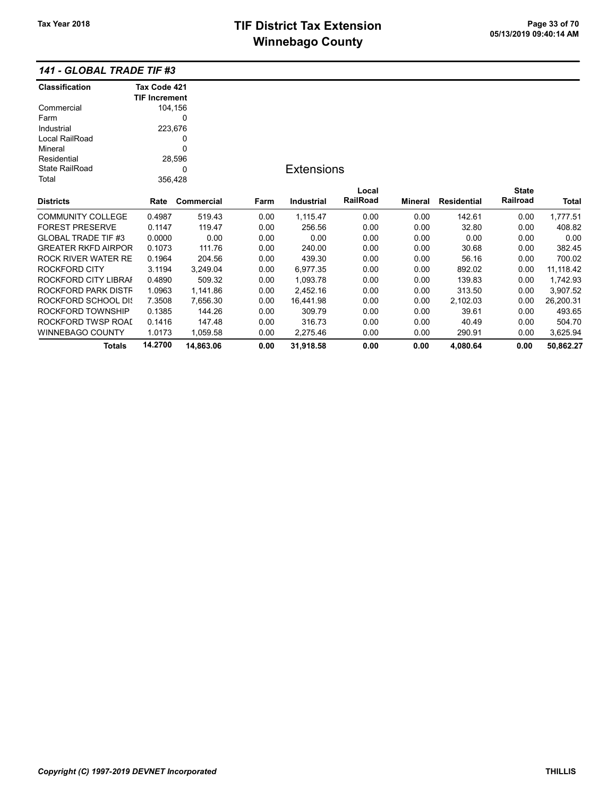## 141 - GLOBAL TRADE TIF #3

| <b>Classification</b>      | Tax Code 421         |                   |      |                   |          |         |                    |              |           |
|----------------------------|----------------------|-------------------|------|-------------------|----------|---------|--------------------|--------------|-----------|
|                            | <b>TIF Increment</b> |                   |      |                   |          |         |                    |              |           |
| Commercial                 | 104,156              |                   |      |                   |          |         |                    |              |           |
| Farm                       |                      | 0                 |      |                   |          |         |                    |              |           |
| Industrial                 | 223,676              |                   |      |                   |          |         |                    |              |           |
| Local RailRoad             |                      | 0                 |      |                   |          |         |                    |              |           |
| Mineral                    |                      | 0                 |      |                   |          |         |                    |              |           |
| Residential                |                      | 28,596            |      |                   |          |         |                    |              |           |
| <b>State RailRoad</b>      |                      | 0                 |      | <b>Extensions</b> |          |         |                    |              |           |
| Total                      | 356,428              |                   |      |                   |          |         |                    |              |           |
|                            |                      |                   |      |                   | Local    |         |                    | <b>State</b> |           |
| <b>Districts</b>           | Rate                 | <b>Commercial</b> | Farm | <b>Industrial</b> | RailRoad | Mineral | <b>Residential</b> | Railroad     | Total     |
| <b>COMMUNITY COLLEGE</b>   | 0.4987               | 519.43            | 0.00 | 1,115.47          | 0.00     | 0.00    | 142.61             | 0.00         | 1,777.51  |
| <b>FOREST PRESERVE</b>     | 0.1147               | 119.47            | 0.00 | 256.56            | 0.00     | 0.00    | 32.80              | 0.00         | 408.82    |
| <b>GLOBAL TRADE TIF #3</b> | 0.0000               | 0.00              | 0.00 | 0.00              | 0.00     | 0.00    | 0.00               | 0.00         | 0.00      |
| <b>GREATER RKFD AIRPOR</b> | 0.1073               | 111.76            | 0.00 | 240.00            | 0.00     | 0.00    | 30.68              | 0.00         | 382.45    |
| <b>ROCK RIVER WATER RE</b> | 0.1964               | 204.56            | 0.00 | 439.30            | 0.00     | 0.00    | 56.16              | 0.00         | 700.02    |
| ROCKFORD CITY              | 3.1194               | 3,249.04          | 0.00 | 6,977.35          | 0.00     | 0.00    | 892.02             | 0.00         | 11,118.42 |
| ROCKFORD CITY LIBRAI       | 0.4890               | 509.32            | 0.00 | 1,093.78          | 0.00     | 0.00    | 139.83             | 0.00         | 1,742.93  |
| ROCKFORD PARK DISTF        | 1.0963               | 1,141.86          | 0.00 | 2,452.16          | 0.00     | 0.00    | 313.50             | 0.00         | 3,907.52  |
| ROCKFORD SCHOOL DIS        | 7.3508               | 7,656.30          | 0.00 | 16,441.98         | 0.00     | 0.00    | 2,102.03           | 0.00         | 26,200.31 |
| ROCKFORD TOWNSHIP          | 0.1385               | 144.26            | 0.00 | 309.79            | 0.00     | 0.00    | 39.61              | 0.00         | 493.65    |
| ROCKFORD TWSP ROAI         | 0.1416               | 147.48            | 0.00 | 316.73            | 0.00     | 0.00    | 40.49              | 0.00         | 504.70    |
| <b>WINNEBAGO COUNTY</b>    | 1.0173               | 1,059.58          | 0.00 | 2,275.46          | 0.00     | 0.00    | 290.91             | 0.00         | 3,625.94  |
| <b>Totals</b>              | 14.2700              | 14,863.06         | 0.00 | 31,918.58         | 0.00     | 0.00    | 4,080.64           | 0.00         | 50,862.27 |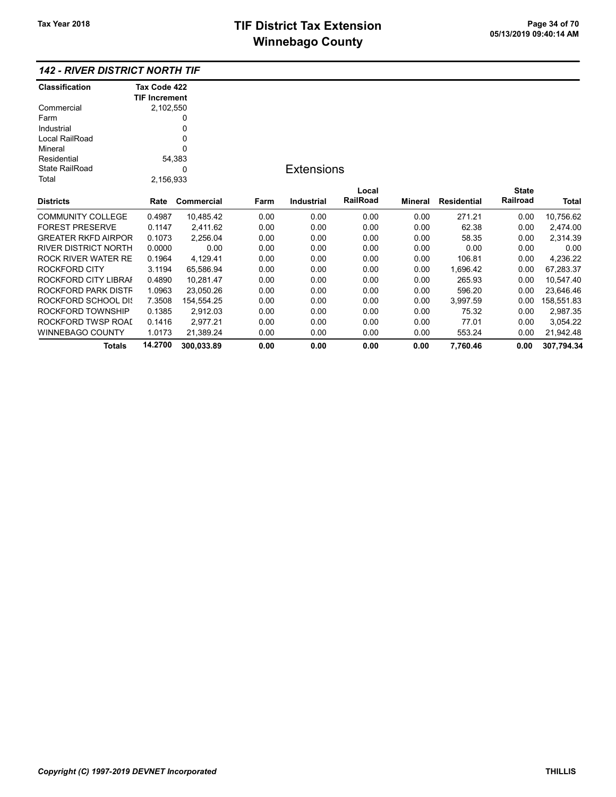### 142 - RIVER DISTRICT NORTH TIF

| <b>Classification</b>      | Tax Code 422         |            |      |                   |                 |         |                    |              |            |
|----------------------------|----------------------|------------|------|-------------------|-----------------|---------|--------------------|--------------|------------|
|                            | <b>TIF Increment</b> |            |      |                   |                 |         |                    |              |            |
| Commercial                 | 2,102,550            |            |      |                   |                 |         |                    |              |            |
| Farm                       |                      | 0          |      |                   |                 |         |                    |              |            |
| Industrial                 |                      | 0          |      |                   |                 |         |                    |              |            |
| Local RailRoad             |                      | 0          |      |                   |                 |         |                    |              |            |
| Mineral                    |                      | 0          |      |                   |                 |         |                    |              |            |
| Residential                |                      | 54,383     |      |                   |                 |         |                    |              |            |
| <b>State RailRoad</b>      |                      | 0          |      | <b>Extensions</b> |                 |         |                    |              |            |
| Total                      | 2,156,933            |            |      |                   |                 |         |                    |              |            |
|                            |                      |            |      |                   | Local           |         |                    | <b>State</b> |            |
| <b>Districts</b>           | Rate                 | Commercial | Farm | <b>Industrial</b> | <b>RailRoad</b> | Mineral | <b>Residential</b> | Railroad     | Total      |
| <b>COMMUNITY COLLEGE</b>   | 0.4987               | 10,485.42  | 0.00 | 0.00              | 0.00            | 0.00    | 271.21             | 0.00         | 10,756.62  |
| <b>FOREST PRESERVE</b>     | 0.1147               | 2,411.62   | 0.00 | 0.00              | 0.00            | 0.00    | 62.38              | 0.00         | 2,474.00   |
| <b>GREATER RKFD AIRPOR</b> | 0.1073               | 2,256.04   | 0.00 | 0.00              | 0.00            | 0.00    | 58.35              | 0.00         | 2,314.39   |
| RIVER DISTRICT NORTH       | 0.0000               | 0.00       | 0.00 | 0.00              | 0.00            | 0.00    | 0.00               | 0.00         | 0.00       |
| ROCK RIVER WATER RE        | 0.1964               | 4,129.41   | 0.00 | 0.00              | 0.00            | 0.00    | 106.81             | 0.00         | 4,236.22   |
| ROCKFORD CITY              | 3.1194               | 65,586.94  | 0.00 | 0.00              | 0.00            | 0.00    | 1,696.42           | 0.00         | 67,283.37  |
| ROCKFORD CITY LIBRAI       | 0.4890               | 10,281.47  | 0.00 | 0.00              | 0.00            | 0.00    | 265.93             | 0.00         | 10,547.40  |
| ROCKFORD PARK DISTF        | 1.0963               | 23,050.26  | 0.00 | 0.00              | 0.00            | 0.00    | 596.20             | 0.00         | 23,646.46  |
| ROCKFORD SCHOOL DIS        | 7.3508               | 154,554.25 | 0.00 | 0.00              | 0.00            | 0.00    | 3,997.59           | 0.00         | 158,551.83 |
| ROCKFORD TOWNSHIP          | 0.1385               | 2,912.03   | 0.00 | 0.00              | 0.00            | 0.00    | 75.32              | 0.00         | 2,987.35   |
| ROCKFORD TWSP ROAI         | 0.1416               | 2,977.21   | 0.00 | 0.00              | 0.00            | 0.00    | 77.01              | 0.00         | 3,054.22   |
| WINNEBAGO COUNTY           | 1.0173               | 21.389.24  | 0.00 | 0.00              | 0.00            | 0.00    | 553.24             | 0.00         | 21,942.48  |
| <b>Totals</b>              | 14.2700              | 300,033.89 | 0.00 | 0.00              | 0.00            | 0.00    | 7,760.46           | 0.00         | 307,794.34 |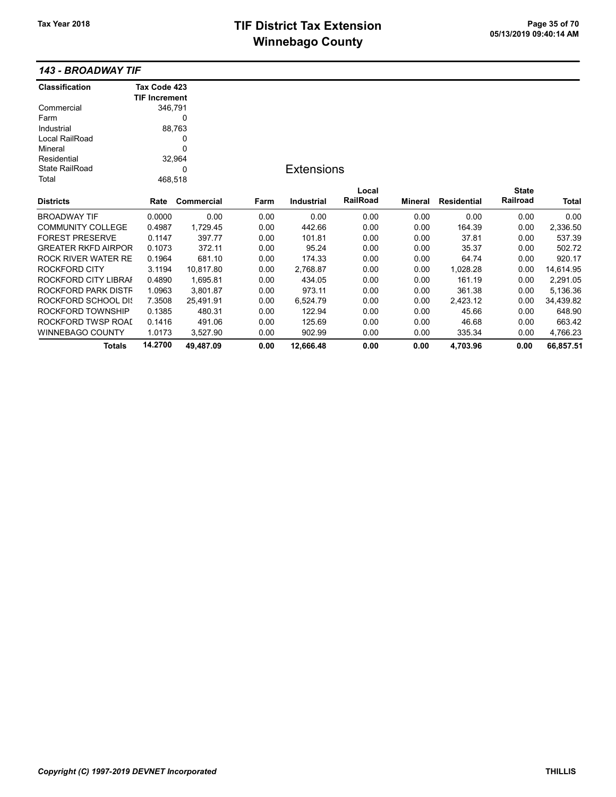## TIF District Tax Extension Page 35 of 70<br>05/13/2019 09:40:14 AM **Winnebago County**

#### 143 - BROADWAY TIF

| <b>Classification</b>      | Tax Code 423         |                   |      |                   |          |         |                    |              |           |
|----------------------------|----------------------|-------------------|------|-------------------|----------|---------|--------------------|--------------|-----------|
|                            | <b>TIF Increment</b> |                   |      |                   |          |         |                    |              |           |
| Commercial                 | 346,791              |                   |      |                   |          |         |                    |              |           |
| Farm                       |                      | 0                 |      |                   |          |         |                    |              |           |
| Industrial                 |                      | 88,763            |      |                   |          |         |                    |              |           |
| Local RailRoad             |                      | 0                 |      |                   |          |         |                    |              |           |
| Mineral                    |                      | 0                 |      |                   |          |         |                    |              |           |
| Residential                |                      | 32,964            |      |                   |          |         |                    |              |           |
| <b>State RailRoad</b>      |                      | 0                 |      | <b>Extensions</b> |          |         |                    |              |           |
| Total                      | 468,518              |                   |      |                   |          |         |                    |              |           |
|                            |                      |                   |      |                   | Local    |         |                    | <b>State</b> |           |
| <b>Districts</b>           | Rate                 | <b>Commercial</b> | Farm | <b>Industrial</b> | RailRoad | Mineral | <b>Residential</b> | Railroad     | Total     |
| <b>BROADWAY TIF</b>        | 0.0000               | 0.00              | 0.00 | 0.00              | 0.00     | 0.00    | 0.00               | 0.00         | 0.00      |
| <b>COMMUNITY COLLEGE</b>   | 0.4987               | 1,729.45          | 0.00 | 442.66            | 0.00     | 0.00    | 164.39             | 0.00         | 2,336.50  |
| <b>FOREST PRESERVE</b>     | 0.1147               | 397.77            | 0.00 | 101.81            | 0.00     | 0.00    | 37.81              | 0.00         | 537.39    |
| <b>GREATER RKFD AIRPOR</b> | 0.1073               | 372.11            | 0.00 | 95.24             | 0.00     | 0.00    | 35.37              | 0.00         | 502.72    |
| <b>ROCK RIVER WATER RE</b> | 0.1964               | 681.10            | 0.00 | 174.33            | 0.00     | 0.00    | 64.74              | 0.00         | 920.17    |
| <b>ROCKFORD CITY</b>       | 3.1194               | 10,817.80         | 0.00 | 2,768.87          | 0.00     | 0.00    | 1,028.28           | 0.00         | 14,614.95 |
| ROCKFORD CITY LIBRAI       | 0.4890               | 1,695.81          | 0.00 | 434.05            | 0.00     | 0.00    | 161.19             | 0.00         | 2,291.05  |
| ROCKFORD PARK DISTF        | 1.0963               | 3,801.87          | 0.00 | 973.11            | 0.00     | 0.00    | 361.38             | 0.00         | 5,136.36  |
| ROCKFORD SCHOOL DIS        | 7.3508               | 25,491.91         | 0.00 | 6,524.79          | 0.00     | 0.00    | 2,423.12           | 0.00         | 34,439.82 |
| ROCKFORD TOWNSHIP          | 0.1385               | 480.31            | 0.00 | 122.94            | 0.00     | 0.00    | 45.66              | 0.00         | 648.90    |
| ROCKFORD TWSP ROAI         | 0.1416               | 491.06            | 0.00 | 125.69            | 0.00     | 0.00    | 46.68              | 0.00         | 663.42    |
| <b>WINNEBAGO COUNTY</b>    | 1.0173               | 3,527.90          | 0.00 | 902.99            | 0.00     | 0.00    | 335.34             | 0.00         | 4,766.23  |
| Totals                     | 14.2700              | 49,487.09         | 0.00 | 12,666.48         | 0.00     | 0.00    | 4,703.96           | 0.00         | 66,857.51 |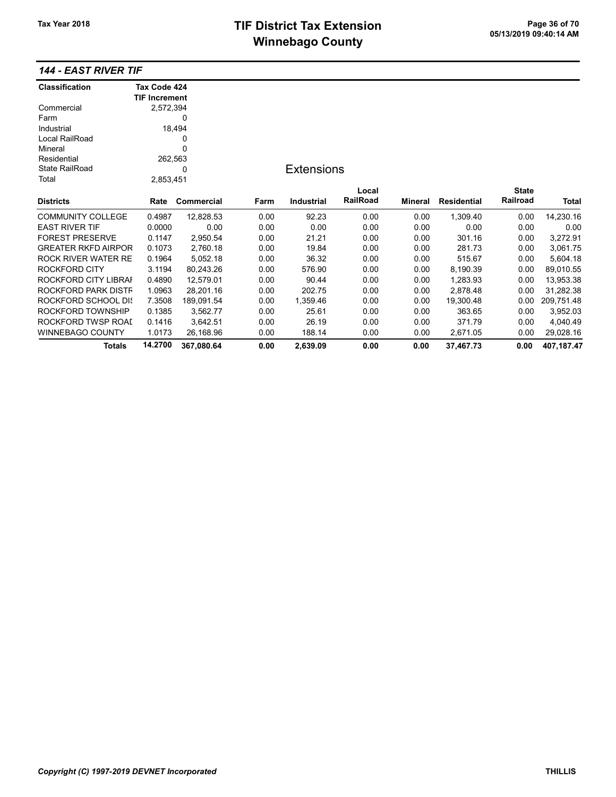# TIF District Tax Extension<br>
M's and an of 20 of 20 of 20 of 70 of 13/2019 09:40:14 AM **Winnebago County**

## 144 - EAST RIVER TIF

| <b>Classification</b>      | Tax Code 424         |            |      |                   |          |         |                    |              |              |
|----------------------------|----------------------|------------|------|-------------------|----------|---------|--------------------|--------------|--------------|
|                            | <b>TIF Increment</b> |            |      |                   |          |         |                    |              |              |
| Commercial                 | 2,572,394            |            |      |                   |          |         |                    |              |              |
| Farm                       |                      | 0          |      |                   |          |         |                    |              |              |
| Industrial                 |                      | 18,494     |      |                   |          |         |                    |              |              |
| Local RailRoad             |                      | 0          |      |                   |          |         |                    |              |              |
| Mineral                    |                      | 0          |      |                   |          |         |                    |              |              |
| Residential                | 262,563              |            |      |                   |          |         |                    |              |              |
| <b>State RailRoad</b>      |                      | 0          |      | <b>Extensions</b> |          |         |                    |              |              |
| Total                      | 2,853,451            |            |      |                   |          |         |                    |              |              |
|                            |                      |            |      |                   | Local    |         |                    | <b>State</b> |              |
| <b>Districts</b>           | Rate                 | Commercial | Farm | <b>Industrial</b> | RailRoad | Mineral | <b>Residential</b> | Railroad     | <b>Total</b> |
| <b>COMMUNITY COLLEGE</b>   | 0.4987               | 12,828.53  | 0.00 | 92.23             | 0.00     | 0.00    | 1,309.40           | 0.00         | 14,230.16    |
| <b>EAST RIVER TIF</b>      | 0.0000               | 0.00       | 0.00 | 0.00              | 0.00     | 0.00    | 0.00               | 0.00         | 0.00         |
| <b>FOREST PRESERVE</b>     | 0.1147               | 2,950.54   | 0.00 | 21.21             | 0.00     | 0.00    | 301.16             | 0.00         | 3,272.91     |
| <b>GREATER RKFD AIRPOR</b> | 0.1073               | 2,760.18   | 0.00 | 19.84             | 0.00     | 0.00    | 281.73             | 0.00         | 3,061.75     |
| <b>ROCK RIVER WATER RE</b> | 0.1964               | 5,052.18   | 0.00 | 36.32             | 0.00     | 0.00    | 515.67             | 0.00         | 5,604.18     |
| <b>ROCKFORD CITY</b>       | 3.1194               | 80,243.26  | 0.00 | 576.90            | 0.00     | 0.00    | 8,190.39           | 0.00         | 89,010.55    |
| ROCKFORD CITY LIBRAI       | 0.4890               | 12,579.01  | 0.00 | 90.44             | 0.00     | 0.00    | 1,283.93           | 0.00         | 13,953.38    |
| ROCKFORD PARK DISTF        | 1.0963               | 28,201.16  | 0.00 | 202.75            | 0.00     | 0.00    | 2,878.48           | 0.00         | 31,282.38    |
| ROCKFORD SCHOOL DIS        | 7.3508               | 189,091.54 | 0.00 | 1,359.46          | 0.00     | 0.00    | 19,300.48          | 0.00         | 209,751.48   |
| ROCKFORD TOWNSHIP          | 0.1385               | 3,562.77   | 0.00 | 25.61             | 0.00     | 0.00    | 363.65             | 0.00         | 3,952.03     |
| ROCKFORD TWSP ROAI         | 0.1416               | 3,642.51   | 0.00 | 26.19             | 0.00     | 0.00    | 371.79             | 0.00         | 4,040.49     |
| <b>WINNEBAGO COUNTY</b>    | 1.0173               | 26,168.96  | 0.00 | 188.14            | 0.00     | 0.00    | 2,671.05           | 0.00         | 29,028.16    |
| <b>Totals</b>              | 14.2700              | 367,080.64 | 0.00 | 2,639.09          | 0.00     | 0.00    | 37.467.73          | 0.00         | 407.187.47   |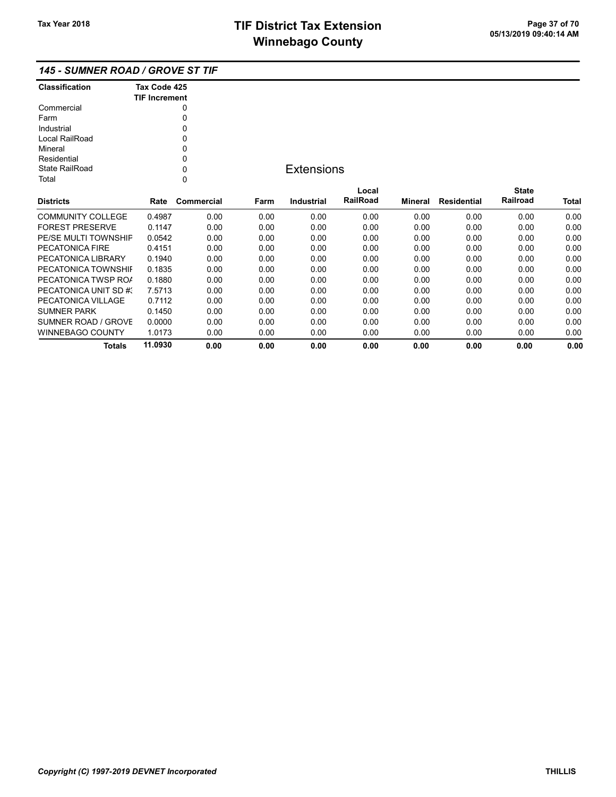### 145 - SUMNER ROAD / GROVE ST TIF

| <b>Classification</b> | Tax Code 425<br><b>TIF Increment</b> |
|-----------------------|--------------------------------------|
| Commercial            | 0                                    |
| Farm                  |                                      |
| Industrial            | U                                    |
| Local RailRoad        | ŋ                                    |
| Mineral               | 0                                    |
| Residential           | U                                    |
| State RailRoad        | U                                    |
| Total                 |                                      |

## **Extensions**

| <b>Districts</b>       | Rate    | Commercial | Farm | Industrial | Local<br><b>RailRoad</b> | Mineral | Residential | <b>State</b><br>Railroad | <b>Total</b> |
|------------------------|---------|------------|------|------------|--------------------------|---------|-------------|--------------------------|--------------|
|                        |         |            |      |            |                          |         |             |                          |              |
| COMMUNITY COLLEGE      | 0.4987  | 0.00       | 0.00 | 0.00       | 0.00                     | 0.00    | 0.00        | 0.00                     | 0.00         |
| <b>FOREST PRESERVE</b> | 0.1147  | 0.00       | 0.00 | 0.00       | 0.00                     | 0.00    | 0.00        | 0.00                     | 0.00         |
| PE/SE MULTI TOWNSHIF   | 0.0542  | 0.00       | 0.00 | 0.00       | 0.00                     | 0.00    | 0.00        | 0.00                     | 0.00         |
| PECATONICA FIRE        | 0.4151  | 0.00       | 0.00 | 0.00       | 0.00                     | 0.00    | 0.00        | 0.00                     | 0.00         |
| PECATONICA LIBRARY     | 0.1940  | 0.00       | 0.00 | 0.00       | 0.00                     | 0.00    | 0.00        | 0.00                     | 0.00         |
| PECATONICA TOWNSHIL    | 0.1835  | 0.00       | 0.00 | 0.00       | 0.00                     | 0.00    | 0.00        | 0.00                     | 0.00         |
| PECATONICA TWSP ROA    | 0.1880  | 0.00       | 0.00 | 0.00       | 0.00                     | 0.00    | 0.00        | 0.00                     | 0.00         |
| PECATONICA UNIT SD #3  | 7.5713  | 0.00       | 0.00 | 0.00       | 0.00                     | 0.00    | 0.00        | 0.00                     | 0.00         |
| PECATONICA VILLAGE     | 0.7112  | 0.00       | 0.00 | 0.00       | 0.00                     | 0.00    | 0.00        | 0.00                     | 0.00         |
| <b>SUMNER PARK</b>     | 0.1450  | 0.00       | 0.00 | 0.00       | 0.00                     | 0.00    | 0.00        | 0.00                     | 0.00         |
| SUMNER ROAD / GROVE    | 0.0000  | 0.00       | 0.00 | 0.00       | 0.00                     | 0.00    | 0.00        | 0.00                     | 0.00         |
| WINNEBAGO COUNTY       | 1.0173  | 0.00       | 0.00 | 0.00       | 0.00                     | 0.00    | 0.00        | 0.00                     | 0.00         |
| Totals                 | 11.0930 | 0.00       | 0.00 | 0.00       | 0.00                     | 0.00    | 0.00        | 0.00                     | 0.00         |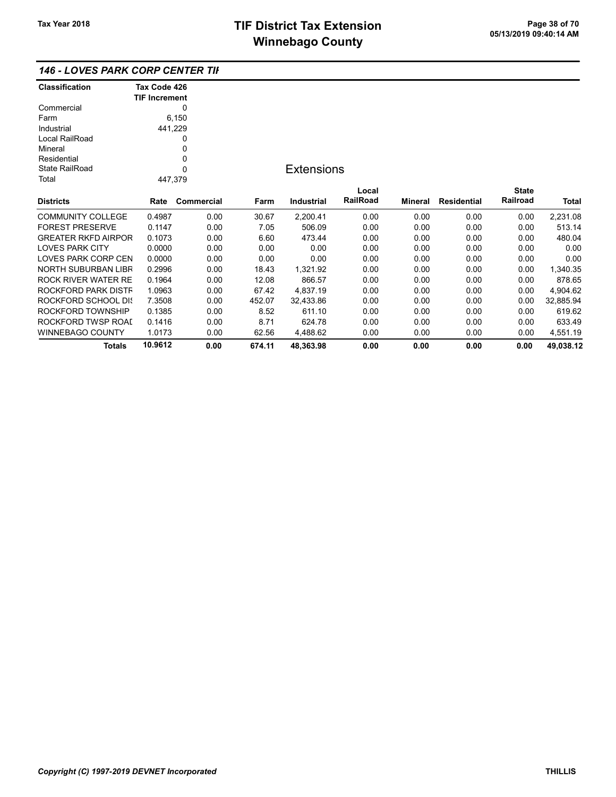#### 146 - LOVES PARK CORP CENTER TIF

| <b>Classification</b>      | Tax Code 426         |            |        |                   |          |         |                    |              |           |
|----------------------------|----------------------|------------|--------|-------------------|----------|---------|--------------------|--------------|-----------|
|                            | <b>TIF Increment</b> |            |        |                   |          |         |                    |              |           |
| Commercial                 |                      | 0          |        |                   |          |         |                    |              |           |
| Farm                       |                      | 6,150      |        |                   |          |         |                    |              |           |
| Industrial                 | 441,229              |            |        |                   |          |         |                    |              |           |
| Local RailRoad             |                      | 0          |        |                   |          |         |                    |              |           |
| Mineral                    |                      | 0          |        |                   |          |         |                    |              |           |
| Residential                |                      | 0          |        |                   |          |         |                    |              |           |
| <b>State RailRoad</b>      |                      | 0          |        | <b>Extensions</b> |          |         |                    |              |           |
| Total                      | 447,379              |            |        |                   |          |         |                    |              |           |
|                            |                      |            |        |                   | Local    |         |                    | <b>State</b> |           |
| <b>Districts</b>           | Rate                 | Commercial | Farm   | <b>Industrial</b> | RailRoad | Mineral | <b>Residential</b> | Railroad     | Total     |
| <b>COMMUNITY COLLEGE</b>   | 0.4987               | 0.00       | 30.67  | 2,200.41          | 0.00     | 0.00    | 0.00               | 0.00         | 2,231.08  |
| <b>FOREST PRESERVE</b>     | 0.1147               | 0.00       | 7.05   | 506.09            | 0.00     | 0.00    | 0.00               | 0.00         | 513.14    |
| <b>GREATER RKFD AIRPOR</b> | 0.1073               | 0.00       | 6.60   | 473.44            | 0.00     | 0.00    | 0.00               | 0.00         | 480.04    |
| <b>LOVES PARK CITY</b>     | 0.0000               | 0.00       | 0.00   | 0.00              | 0.00     | 0.00    | 0.00               | 0.00         | 0.00      |
| LOVES PARK CORP CEN        | 0.0000               | 0.00       | 0.00   | 0.00              | 0.00     | 0.00    | 0.00               | 0.00         | 0.00      |
| <b>NORTH SUBURBAN LIBR</b> | 0.2996               | 0.00       | 18.43  | 1,321.92          | 0.00     | 0.00    | 0.00               | 0.00         | 1,340.35  |
| ROCK RIVER WATER RE        | 0.1964               | 0.00       | 12.08  | 866.57            | 0.00     | 0.00    | 0.00               | 0.00         | 878.65    |
| ROCKFORD PARK DISTF        | 1.0963               | 0.00       | 67.42  | 4,837.19          | 0.00     | 0.00    | 0.00               | 0.00         | 4,904.62  |
| ROCKFORD SCHOOL DIS        | 7.3508               | 0.00       | 452.07 | 32,433.86         | 0.00     | 0.00    | 0.00               | 0.00         | 32,885.94 |
| ROCKFORD TOWNSHIP          | 0.1385               | 0.00       | 8.52   | 611.10            | 0.00     | 0.00    | 0.00               | 0.00         | 619.62    |
| ROCKFORD TWSP ROAI         | 0.1416               | 0.00       | 8.71   | 624.78            | 0.00     | 0.00    | 0.00               | 0.00         | 633.49    |
| <b>WINNEBAGO COUNTY</b>    | 1.0173               | 0.00       | 62.56  | 4,488.62          | 0.00     | 0.00    | 0.00               | 0.00         | 4,551.19  |
| Totals                     | 10.9612              | 0.00       | 674.11 | 48,363.98         | 0.00     | 0.00    | 0.00               | 0.00         | 49,038.12 |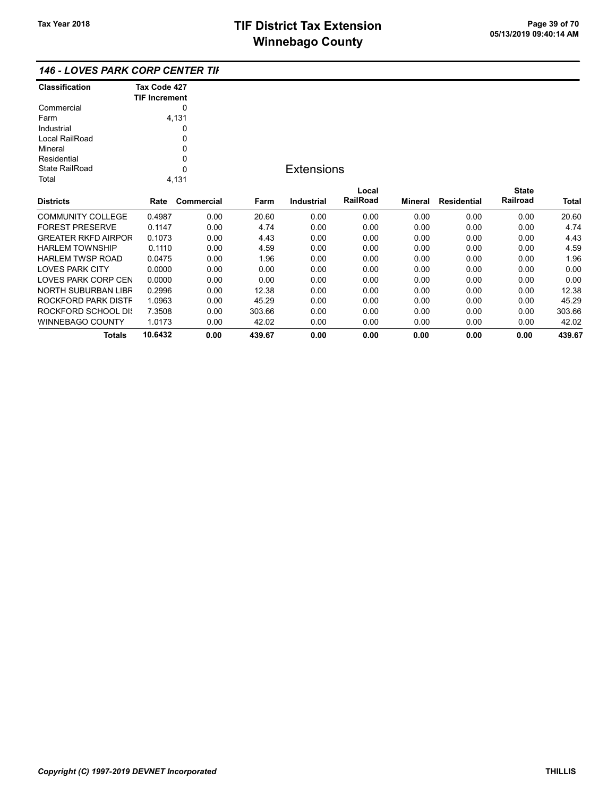|  | <b>146 - LOVES PARK CORP CENTER TII</b> |  |
|--|-----------------------------------------|--|
|--|-----------------------------------------|--|

| <b>Classification</b> | Tax Code 427<br><b>TIF Increment</b> |
|-----------------------|--------------------------------------|
| Commercial            |                                      |
| Farm                  | 4,131                                |
| Industrial            |                                      |
| Local RailRoad        | Ω                                    |
| Mineral               | 0                                    |
| Residential           | U                                    |
| State RailRoad        |                                      |
| Total                 | 4.131                                |

## **Extensions**

| <b>Districts</b>           | Rate    | Commercial | Farm   | Industrial | Local<br><b>RailRoad</b> | Mineral | Residential | <b>State</b><br>Railroad | <b>Total</b> |
|----------------------------|---------|------------|--------|------------|--------------------------|---------|-------------|--------------------------|--------------|
|                            |         |            |        |            |                          |         |             |                          |              |
| <b>COMMUNITY COLLEGE</b>   | 0.4987  | 0.00       | 20.60  | 0.00       | 0.00                     | 0.00    | 0.00        | 0.00                     | 20.60        |
| <b>FOREST PRESERVE</b>     | 0.1147  | 0.00       | 4.74   | 0.00       | 0.00                     | 0.00    | 0.00        | 0.00                     | 4.74         |
| <b>GREATER RKFD AIRPOR</b> | 0.1073  | 0.00       | 4.43   | 0.00       | 0.00                     | 0.00    | 0.00        | 0.00                     | 4.43         |
| <b>HARLEM TOWNSHIP</b>     | 0.1110  | 0.00       | 4.59   | 0.00       | 0.00                     | 0.00    | 0.00        | 0.00                     | 4.59         |
| <b>HARLEM TWSP ROAD</b>    | 0.0475  | 0.00       | 1.96   | 0.00       | 0.00                     | 0.00    | 0.00        | 0.00                     | 1.96         |
| <b>LOVES PARK CITY</b>     | 0.0000  | 0.00       | 0.00   | 0.00       | 0.00                     | 0.00    | 0.00        | 0.00                     | 0.00         |
| LOVES PARK CORP CEN        | 0.0000  | 0.00       | 0.00   | 0.00       | 0.00                     | 0.00    | 0.00        | 0.00                     | 0.00         |
| NORTH SUBURBAN LIBR        | 0.2996  | 0.00       | 12.38  | 0.00       | 0.00                     | 0.00    | 0.00        | 0.00                     | 12.38        |
| ROCKFORD PARK DISTF        | 1.0963  | 0.00       | 45.29  | 0.00       | 0.00                     | 0.00    | 0.00        | 0.00                     | 45.29        |
| ROCKFORD SCHOOL DIS        | 7.3508  | 0.00       | 303.66 | 0.00       | 0.00                     | 0.00    | 0.00        | 0.00                     | 303.66       |
| WINNEBAGO COUNTY           | 1.0173  | 0.00       | 42.02  | 0.00       | 0.00                     | 0.00    | 0.00        | 0.00                     | 42.02        |
| Totals                     | 10.6432 | 0.00       | 439.67 | 0.00       | 0.00                     | 0.00    | 0.00        | 0.00                     | 439.67       |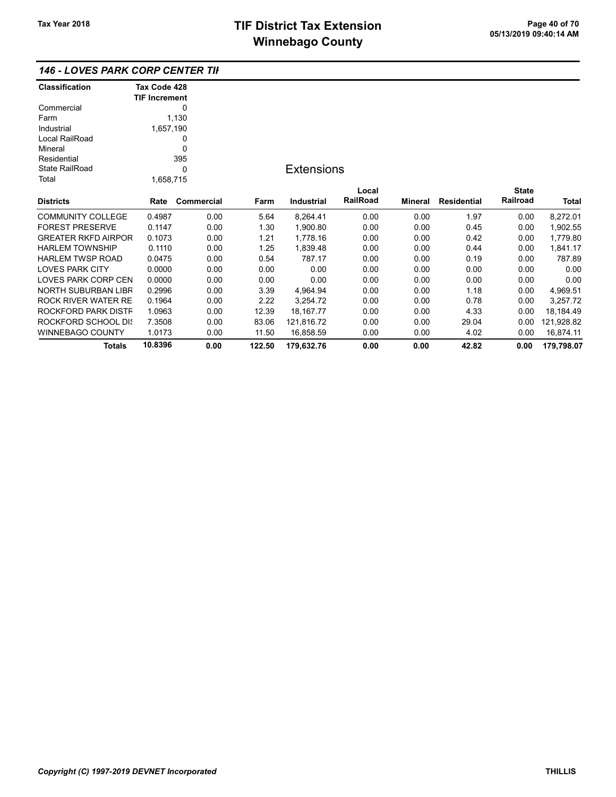## 146 - LOVES PARK CORP CENTER TIF

| <b>Classification</b>      | Tax Code 428         |            |        |                   |          |                |                    |              |              |
|----------------------------|----------------------|------------|--------|-------------------|----------|----------------|--------------------|--------------|--------------|
|                            | <b>TIF Increment</b> |            |        |                   |          |                |                    |              |              |
| Commercial                 |                      | 0          |        |                   |          |                |                    |              |              |
| Farm                       |                      | 1,130      |        |                   |          |                |                    |              |              |
| Industrial                 | 1,657,190            |            |        |                   |          |                |                    |              |              |
| Local RailRoad             |                      | 0          |        |                   |          |                |                    |              |              |
| Mineral                    |                      | 0          |        |                   |          |                |                    |              |              |
| Residential                |                      | 395        |        |                   |          |                |                    |              |              |
| <b>State RailRoad</b>      |                      | 0          |        | <b>Extensions</b> |          |                |                    |              |              |
| Total                      | 1,658,715            |            |        |                   |          |                |                    |              |              |
|                            |                      |            |        |                   | Local    |                |                    | <b>State</b> |              |
| <b>Districts</b>           | Rate                 | Commercial | Farm   | <b>Industrial</b> | RailRoad | <b>Mineral</b> | <b>Residential</b> | Railroad     | <b>Total</b> |
| <b>COMMUNITY COLLEGE</b>   | 0.4987               | 0.00       | 5.64   | 8,264.41          | 0.00     | 0.00           | 1.97               | 0.00         | 8,272.01     |
| <b>FOREST PRESERVE</b>     | 0.1147               | 0.00       | 1.30   | 1,900.80          | 0.00     | 0.00           | 0.45               | 0.00         | 1,902.55     |
| <b>GREATER RKFD AIRPOR</b> | 0.1073               | 0.00       | 1.21   | 1,778.16          | 0.00     | 0.00           | 0.42               | 0.00         | 1,779.80     |
| <b>HARLEM TOWNSHIP</b>     | 0.1110               | 0.00       | 1.25   | 1,839.48          | 0.00     | 0.00           | 0.44               | 0.00         | 1,841.17     |
| <b>HARLEM TWSP ROAD</b>    | 0.0475               | 0.00       | 0.54   | 787.17            | 0.00     | 0.00           | 0.19               | 0.00         | 787.89       |
| <b>LOVES PARK CITY</b>     | 0.0000               | 0.00       | 0.00   | 0.00              | 0.00     | 0.00           | 0.00               | 0.00         | 0.00         |
| <b>LOVES PARK CORP CEN</b> | 0.0000               | 0.00       | 0.00   | 0.00              | 0.00     | 0.00           | 0.00               | 0.00         | 0.00         |
| NORTH SUBURBAN LIBR        | 0.2996               | 0.00       | 3.39   | 4,964.94          | 0.00     | 0.00           | 1.18               | 0.00         | 4,969.51     |
| ROCK RIVER WATER RE        | 0.1964               | 0.00       | 2.22   | 3,254.72          | 0.00     | 0.00           | 0.78               | 0.00         | 3,257.72     |
| ROCKFORD PARK DISTF        | 1.0963               | 0.00       | 12.39  | 18, 167. 77       | 0.00     | 0.00           | 4.33               | 0.00         | 18,184.49    |
| ROCKFORD SCHOOL DIS        | 7.3508               | 0.00       | 83.06  | 121,816.72        | 0.00     | 0.00           | 29.04              | 0.00         | 121,928.82   |
| <b>WINNEBAGO COUNTY</b>    | 1.0173               | 0.00       | 11.50  | 16,858.59         | 0.00     | 0.00           | 4.02               | 0.00         | 16,874.11    |
| <b>Totals</b>              | 10.8396              | 0.00       | 122.50 | 179,632.76        | 0.00     | 0.00           | 42.82              | 0.00         | 179,798.07   |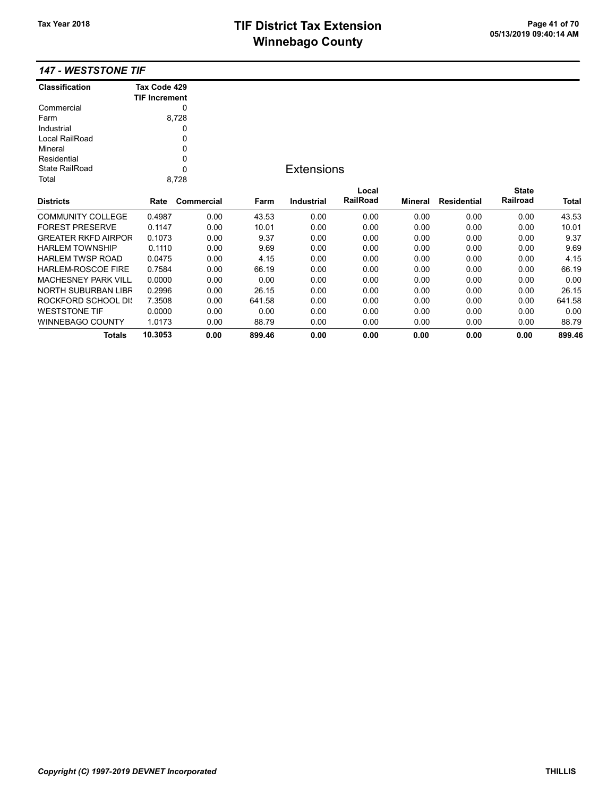## TIF District Tax Extension<br>
Mission 2009 14:40 05/13/2019 09:40:14 AM **Winnebago County**

| <b>Classification</b>      | Tax Code 429         |            |        |                   |          |         |                    |              |        |
|----------------------------|----------------------|------------|--------|-------------------|----------|---------|--------------------|--------------|--------|
|                            | <b>TIF Increment</b> |            |        |                   |          |         |                    |              |        |
| Commercial                 |                      | 0          |        |                   |          |         |                    |              |        |
| Farm                       |                      | 8,728      |        |                   |          |         |                    |              |        |
| Industrial                 |                      | 0          |        |                   |          |         |                    |              |        |
| Local RailRoad             |                      | 0          |        |                   |          |         |                    |              |        |
| Mineral                    |                      | 0          |        |                   |          |         |                    |              |        |
| Residential                |                      | 0          |        |                   |          |         |                    |              |        |
| <b>State RailRoad</b>      |                      | 0          |        | <b>Extensions</b> |          |         |                    |              |        |
| Total                      |                      | 8,728      |        |                   |          |         |                    |              |        |
|                            |                      |            |        |                   | Local    |         |                    | <b>State</b> |        |
| <b>Districts</b>           | Rate                 | Commercial | Farm   | Industrial        | RailRoad | Mineral | <b>Residential</b> | Railroad     | Total  |
| <b>COMMUNITY COLLEGE</b>   | 0.4987               | 0.00       | 43.53  | 0.00              | 0.00     | 0.00    | 0.00               | 0.00         | 43.53  |
| <b>FOREST PRESERVE</b>     | 0.1147               | 0.00       | 10.01  | 0.00              | 0.00     | 0.00    | 0.00               | 0.00         | 10.01  |
| <b>GREATER RKFD AIRPOR</b> | 0.1073               | 0.00       | 9.37   | 0.00              | 0.00     | 0.00    | 0.00               | 0.00         | 9.37   |
| <b>HARLEM TOWNSHIP</b>     | 0.1110               | 0.00       | 9.69   | 0.00              | 0.00     | 0.00    | 0.00               | 0.00         | 9.69   |
| <b>HARLEM TWSP ROAD</b>    | 0.0475               | 0.00       | 4.15   | 0.00              | 0.00     | 0.00    | 0.00               | 0.00         | 4.15   |
| <b>HARLEM-ROSCOE FIRE</b>  | 0.7584               | 0.00       | 66.19  | 0.00              | 0.00     | 0.00    | 0.00               | 0.00         | 66.19  |
| <b>MACHESNEY PARK VILL</b> | 0.0000               | 0.00       | 0.00   | 0.00              | 0.00     | 0.00    | 0.00               | 0.00         | 0.00   |
| <b>NORTH SUBURBAN LIBR</b> | 0.2996               | 0.00       | 26.15  | 0.00              | 0.00     | 0.00    | 0.00               | 0.00         | 26.15  |
| ROCKFORD SCHOOL DIS        | 7.3508               | 0.00       | 641.58 | 0.00              | 0.00     | 0.00    | 0.00               | 0.00         | 641.58 |
| <b>WESTSTONE TIF</b>       | 0.0000               | 0.00       | 0.00   | 0.00              | 0.00     | 0.00    | 0.00               | 0.00         | 0.00   |
| <b>WINNEBAGO COUNTY</b>    | 1.0173               | 0.00       | 88.79  | 0.00              | 0.00     | 0.00    | 0.00               | 0.00         | 88.79  |
| <b>Totals</b>              | 10.3053              | 0.00       | 899.46 | 0.00              | 0.00     | 0.00    | 0.00               | 0.00         | 899.46 |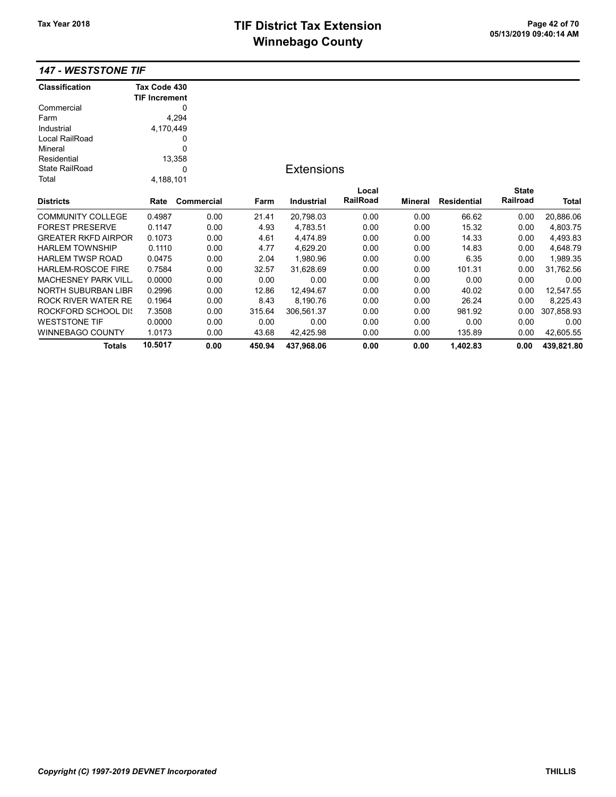# TIF District Tax Extension<br>
M's and an of 20 of 113/2019 09:40:14 AM **Winnebago County**

| <b>Classification</b>      | Tax Code 430         |                   |        |                   |          |         |                    |              |            |
|----------------------------|----------------------|-------------------|--------|-------------------|----------|---------|--------------------|--------------|------------|
|                            | <b>TIF Increment</b> |                   |        |                   |          |         |                    |              |            |
| Commercial                 |                      | 0                 |        |                   |          |         |                    |              |            |
| Farm                       |                      | 4,294             |        |                   |          |         |                    |              |            |
| Industrial                 | 4,170,449            |                   |        |                   |          |         |                    |              |            |
| Local RailRoad             |                      | 0                 |        |                   |          |         |                    |              |            |
| Mineral                    |                      | 0                 |        |                   |          |         |                    |              |            |
| Residential                |                      | 13,358            |        |                   |          |         |                    |              |            |
| <b>State RailRoad</b>      |                      | 0                 |        | <b>Extensions</b> |          |         |                    |              |            |
| Total                      | 4,188,101            |                   |        |                   |          |         |                    |              |            |
|                            |                      |                   |        |                   | Local    |         |                    | <b>State</b> |            |
| <b>Districts</b>           | Rate                 | <b>Commercial</b> | Farm   | <b>Industrial</b> | RailRoad | Mineral | <b>Residential</b> | Railroad     | Total      |
| <b>COMMUNITY COLLEGE</b>   | 0.4987               | 0.00              | 21.41  | 20,798.03         | 0.00     | 0.00    | 66.62              | 0.00         | 20,886.06  |
| <b>FOREST PRESERVE</b>     | 0.1147               | 0.00              | 4.93   | 4,783.51          | 0.00     | 0.00    | 15.32              | 0.00         | 4,803.75   |
| <b>GREATER RKFD AIRPOR</b> | 0.1073               | 0.00              | 4.61   | 4,474.89          | 0.00     | 0.00    | 14.33              | 0.00         | 4,493.83   |
| <b>HARLEM TOWNSHIP</b>     | 0.1110               | 0.00              | 4.77   | 4,629.20          | 0.00     | 0.00    | 14.83              | 0.00         | 4,648.79   |
| <b>HARLEM TWSP ROAD</b>    | 0.0475               | 0.00              | 2.04   | 1,980.96          | 0.00     | 0.00    | 6.35               | 0.00         | 1,989.35   |
| <b>HARLEM-ROSCOE FIRE</b>  | 0.7584               | 0.00              | 32.57  | 31,628.69         | 0.00     | 0.00    | 101.31             | 0.00         | 31,762.56  |
| <b>MACHESNEY PARK VILL</b> | 0.0000               | 0.00              | 0.00   | 0.00              | 0.00     | 0.00    | 0.00               | 0.00         | 0.00       |
| NORTH SUBURBAN LIBR        | 0.2996               | 0.00              | 12.86  | 12,494.67         | 0.00     | 0.00    | 40.02              | 0.00         | 12,547.55  |
| <b>ROCK RIVER WATER RE</b> | 0.1964               | 0.00              | 8.43   | 8,190.76          | 0.00     | 0.00    | 26.24              | 0.00         | 8,225.43   |
| <b>ROCKFORD SCHOOL DIS</b> | 7.3508               | 0.00              | 315.64 | 306,561.37        | 0.00     | 0.00    | 981.92             | 0.00         | 307,858.93 |
| <b>WESTSTONE TIF</b>       | 0.0000               | 0.00              | 0.00   | 0.00              | 0.00     | 0.00    | 0.00               | 0.00         | 0.00       |
| <b>WINNEBAGO COUNTY</b>    | 1.0173               | 0.00              | 43.68  | 42,425.98         | 0.00     | 0.00    | 135.89             | 0.00         | 42,605.55  |
| <b>Totals</b>              | 10.5017              | 0.00              | 450.94 | 437,968.06        | 0.00     | 0.00    | 1,402.83           | 0.00         | 439,821.80 |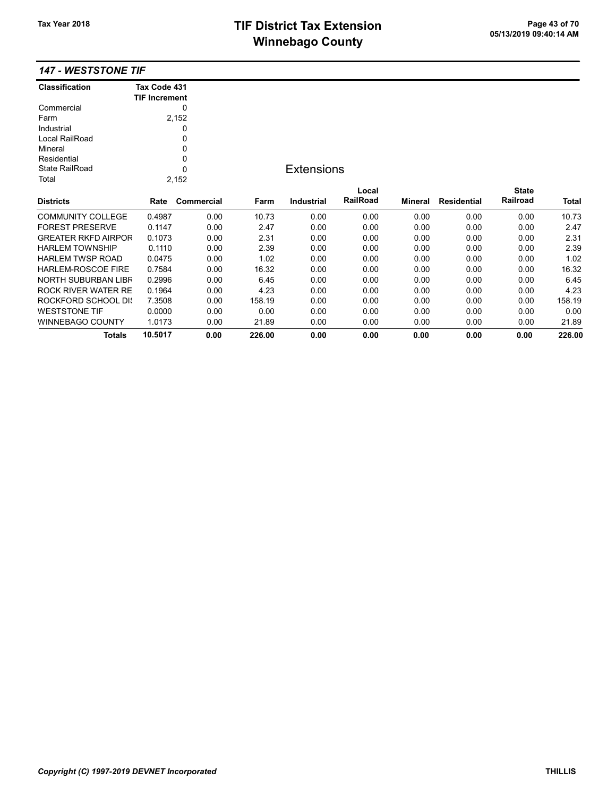# TIF District Tax Extension<br>
Mission 2009 14:40 05/13/2019 09:40:14 AM **Winnebago County**

| <b>Classification</b>      | Tax Code 431         |            |        |                   |          |         |                    |              |              |
|----------------------------|----------------------|------------|--------|-------------------|----------|---------|--------------------|--------------|--------------|
|                            | <b>TIF Increment</b> |            |        |                   |          |         |                    |              |              |
| Commercial                 |                      | 0          |        |                   |          |         |                    |              |              |
| Farm                       |                      | 2,152      |        |                   |          |         |                    |              |              |
| Industrial                 |                      | 0          |        |                   |          |         |                    |              |              |
| Local RailRoad             |                      | 0          |        |                   |          |         |                    |              |              |
| Mineral                    |                      | 0          |        |                   |          |         |                    |              |              |
| Residential                |                      | 0          |        |                   |          |         |                    |              |              |
| <b>State RailRoad</b>      |                      | 0          |        | <b>Extensions</b> |          |         |                    |              |              |
| Total                      |                      | 2,152      |        |                   |          |         |                    |              |              |
|                            |                      |            |        |                   | Local    |         |                    | <b>State</b> |              |
| <b>Districts</b>           | Rate                 | Commercial | Farm   | <b>Industrial</b> | RailRoad | Mineral | <b>Residential</b> | Railroad     | <b>Total</b> |
| <b>COMMUNITY COLLEGE</b>   | 0.4987               | 0.00       | 10.73  | 0.00              | 0.00     | 0.00    | 0.00               | 0.00         | 10.73        |
| <b>FOREST PRESERVE</b>     | 0.1147               | 0.00       | 2.47   | 0.00              | 0.00     | 0.00    | 0.00               | 0.00         | 2.47         |
| <b>GREATER RKFD AIRPOR</b> | 0.1073               | 0.00       | 2.31   | 0.00              | 0.00     | 0.00    | 0.00               | 0.00         | 2.31         |
| <b>HARLEM TOWNSHIP</b>     | 0.1110               | 0.00       | 2.39   | 0.00              | 0.00     | 0.00    | 0.00               | 0.00         | 2.39         |
| <b>HARLEM TWSP ROAD</b>    | 0.0475               | 0.00       | 1.02   | 0.00              | 0.00     | 0.00    | 0.00               | 0.00         | 1.02         |
| <b>HARLEM-ROSCOE FIRE</b>  | 0.7584               | 0.00       | 16.32  | 0.00              | 0.00     | 0.00    | 0.00               | 0.00         | 16.32        |
| <b>NORTH SUBURBAN LIBR</b> | 0.2996               | 0.00       | 6.45   | 0.00              | 0.00     | 0.00    | 0.00               | 0.00         | 6.45         |
| <b>ROCK RIVER WATER RE</b> | 0.1964               | 0.00       | 4.23   | 0.00              | 0.00     | 0.00    | 0.00               | 0.00         | 4.23         |
| <b>ROCKFORD SCHOOL DIS</b> | 7.3508               | 0.00       | 158.19 | 0.00              | 0.00     | 0.00    | 0.00               | 0.00         | 158.19       |
| <b>WESTSTONE TIF</b>       | 0.0000               | 0.00       | 0.00   | 0.00              | 0.00     | 0.00    | 0.00               | 0.00         | 0.00         |
| <b>WINNEBAGO COUNTY</b>    | 1.0173               | 0.00       | 21.89  | 0.00              | 0.00     | 0.00    | 0.00               | 0.00         | 21.89        |
| Totals                     | 10.5017              | 0.00       | 226.00 | 0.00              | 0.00     | 0.00    | 0.00               | 0.00         | 226.00       |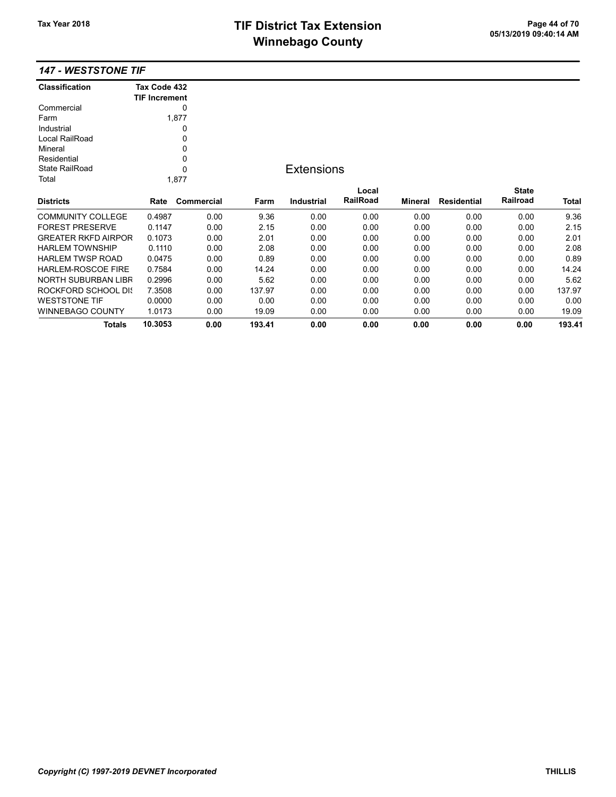# TIF District Tax Extension<br>
Mission 2009 14:40 05/13/2019 09:40:14 AM **Winnebago County**

| <b>Classification</b>      | Tax Code 432<br><b>TIF Increment</b> |            |        |                   |          |                |                    |              |        |
|----------------------------|--------------------------------------|------------|--------|-------------------|----------|----------------|--------------------|--------------|--------|
| Commercial                 |                                      | 0          |        |                   |          |                |                    |              |        |
| Farm                       |                                      | 1,877      |        |                   |          |                |                    |              |        |
| Industrial                 |                                      | 0          |        |                   |          |                |                    |              |        |
| Local RailRoad             |                                      | 0          |        |                   |          |                |                    |              |        |
| Mineral                    |                                      | 0          |        |                   |          |                |                    |              |        |
| Residential                |                                      | 0          |        |                   |          |                |                    |              |        |
| <b>State RailRoad</b>      |                                      | 0          |        | <b>Extensions</b> |          |                |                    |              |        |
| Total                      |                                      | 1,877      |        |                   |          |                |                    |              |        |
|                            |                                      |            |        |                   | Local    |                |                    | <b>State</b> |        |
| <b>Districts</b>           | Rate                                 | Commercial | Farm   | <b>Industrial</b> | RailRoad | <b>Mineral</b> | <b>Residential</b> | Railroad     | Total  |
| <b>COMMUNITY COLLEGE</b>   | 0.4987                               | 0.00       | 9.36   | 0.00              | 0.00     | 0.00           | 0.00               | 0.00         | 9.36   |
| <b>FOREST PRESERVE</b>     | 0.1147                               | 0.00       | 2.15   | 0.00              | 0.00     | 0.00           | 0.00               | 0.00         | 2.15   |
| <b>GREATER RKFD AIRPOR</b> | 0.1073                               | 0.00       | 2.01   | 0.00              | 0.00     | 0.00           | 0.00               | 0.00         | 2.01   |
| <b>HARLEM TOWNSHIP</b>     | 0.1110                               | 0.00       | 2.08   | 0.00              | 0.00     | 0.00           | 0.00               | 0.00         | 2.08   |
| <b>HARLEM TWSP ROAD</b>    | 0.0475                               | 0.00       | 0.89   | 0.00              | 0.00     | 0.00           | 0.00               | 0.00         | 0.89   |
| <b>HARLEM-ROSCOE FIRE</b>  | 0.7584                               | 0.00       | 14.24  | 0.00              | 0.00     | 0.00           | 0.00               | 0.00         | 14.24  |
| NORTH SUBURBAN LIBR        | 0.2996                               | 0.00       | 5.62   | 0.00              | 0.00     | 0.00           | 0.00               | 0.00         | 5.62   |
| ROCKFORD SCHOOL DIS        | 7.3508                               | 0.00       | 137.97 | 0.00              | 0.00     | 0.00           | 0.00               | 0.00         | 137.97 |
| <b>WESTSTONE TIF</b>       | 0.0000                               | 0.00       | 0.00   | 0.00              | 0.00     | 0.00           | 0.00               | 0.00         | 0.00   |
| <b>WINNEBAGO COUNTY</b>    | 1.0173                               | 0.00       | 19.09  | 0.00              | 0.00     | 0.00           | 0.00               | 0.00         | 19.09  |
| <b>Totals</b>              | 10.3053                              | 0.00       | 193.41 | 0.00              | 0.00     | 0.00           | 0.00               | 0.00         | 193.41 |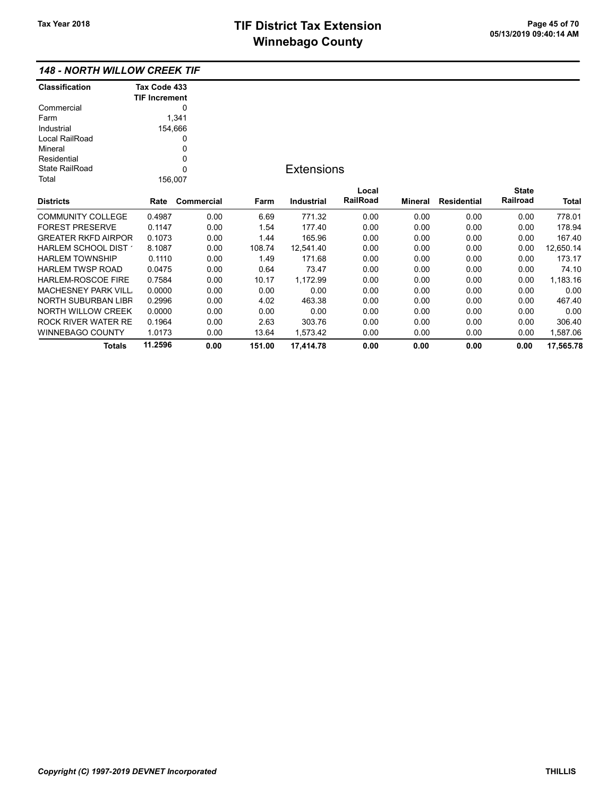### 148 - NORTH WILLOW CREEK TIF

| <b>Classification</b>      | Tax Code 433         |            |        |                   |          |                |                    |              |           |
|----------------------------|----------------------|------------|--------|-------------------|----------|----------------|--------------------|--------------|-----------|
|                            | <b>TIF Increment</b> |            |        |                   |          |                |                    |              |           |
| Commercial                 |                      | 0          |        |                   |          |                |                    |              |           |
| Farm                       |                      | 1,341      |        |                   |          |                |                    |              |           |
| Industrial                 | 154,666              |            |        |                   |          |                |                    |              |           |
| Local RailRoad             |                      | 0          |        |                   |          |                |                    |              |           |
| Mineral                    |                      | 0          |        |                   |          |                |                    |              |           |
| Residential                |                      | 0          |        |                   |          |                |                    |              |           |
| <b>State RailRoad</b>      |                      | 0          |        | <b>Extensions</b> |          |                |                    |              |           |
| Total                      | 156,007              |            |        |                   |          |                |                    |              |           |
|                            |                      |            |        |                   | Local    |                |                    | <b>State</b> |           |
| <b>Districts</b>           | Rate                 | Commercial | Farm   | <b>Industrial</b> | RailRoad | <b>Mineral</b> | <b>Residential</b> | Railroad     | Total     |
| <b>COMMUNITY COLLEGE</b>   | 0.4987               | 0.00       | 6.69   | 771.32            | 0.00     | 0.00           | 0.00               | 0.00         | 778.01    |
| <b>FOREST PRESERVE</b>     | 0.1147               | 0.00       | 1.54   | 177.40            | 0.00     | 0.00           | 0.00               | 0.00         | 178.94    |
| <b>GREATER RKFD AIRPOR</b> | 0.1073               | 0.00       | 1.44   | 165.96            | 0.00     | 0.00           | 0.00               | 0.00         | 167.40    |
| HARLEM SCHOOL DIST         | 8.1087               | 0.00       | 108.74 | 12,541.40         | 0.00     | 0.00           | 0.00               | 0.00         | 12,650.14 |
| <b>HARLEM TOWNSHIP</b>     | 0.1110               | 0.00       | 1.49   | 171.68            | 0.00     | 0.00           | 0.00               | 0.00         | 173.17    |
| <b>HARLEM TWSP ROAD</b>    | 0.0475               | 0.00       | 0.64   | 73.47             | 0.00     | 0.00           | 0.00               | 0.00         | 74.10     |
| HARLEM-ROSCOE FIRE         | 0.7584               | 0.00       | 10.17  | 1,172.99          | 0.00     | 0.00           | 0.00               | 0.00         | 1,183.16  |
| <b>MACHESNEY PARK VILL</b> | 0.0000               | 0.00       | 0.00   | 0.00              | 0.00     | 0.00           | 0.00               | 0.00         | 0.00      |
| NORTH SUBURBAN LIBR        | 0.2996               | 0.00       | 4.02   | 463.38            | 0.00     | 0.00           | 0.00               | 0.00         | 467.40    |
| NORTH WILLOW CREEK         | 0.0000               | 0.00       | 0.00   | 0.00              | 0.00     | 0.00           | 0.00               | 0.00         | 0.00      |
| ROCK RIVER WATER RE        | 0.1964               | 0.00       | 2.63   | 303.76            | 0.00     | 0.00           | 0.00               | 0.00         | 306.40    |
| WINNEBAGO COUNTY           | 1.0173               | 0.00       | 13.64  | 1,573.42          | 0.00     | 0.00           | 0.00               | 0.00         | 1,587.06  |
| <b>Totals</b>              | 11.2596              | 0.00       | 151.00 | 17,414.78         | 0.00     | 0.00           | 0.00               | 0.00         | 17,565.78 |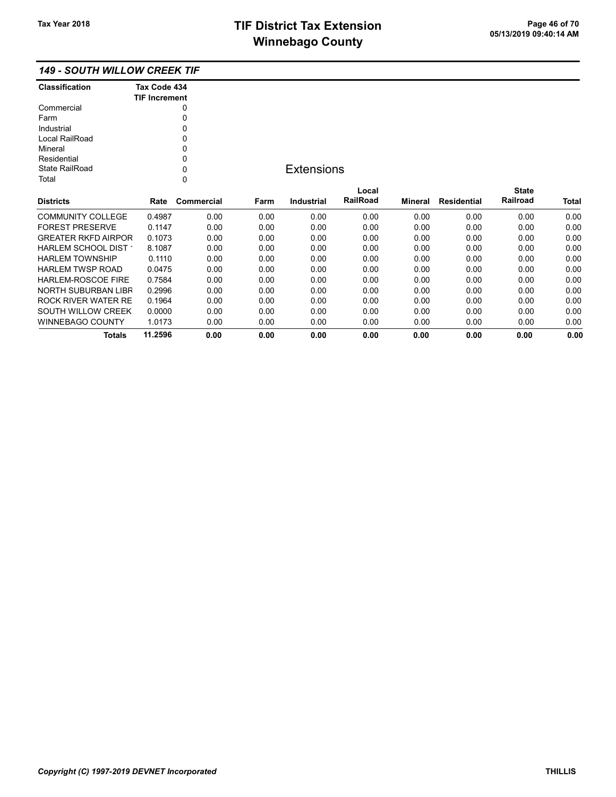Totals 11.2596 0.00 0.00 0.00 0.00 0.00 0.00 0.00 0.00

### 149 - SOUTH WILLOW CREEK TIF

| <b>Classification</b>      | Tax Code 434         |             |      |                   |          |         |                    |              |       |
|----------------------------|----------------------|-------------|------|-------------------|----------|---------|--------------------|--------------|-------|
|                            | <b>TIF Increment</b> |             |      |                   |          |         |                    |              |       |
| Commercial                 |                      | 0           |      |                   |          |         |                    |              |       |
| Farm                       |                      | 0           |      |                   |          |         |                    |              |       |
| Industrial                 |                      | 0           |      |                   |          |         |                    |              |       |
| Local RailRoad             |                      | 0           |      |                   |          |         |                    |              |       |
| Mineral                    |                      | 0           |      |                   |          |         |                    |              |       |
| Residential                |                      | 0           |      |                   |          |         |                    |              |       |
| State RailRoad             |                      | 0           |      | <b>Extensions</b> |          |         |                    |              |       |
| Total                      |                      | $\mathbf 0$ |      |                   |          |         |                    |              |       |
|                            |                      |             |      |                   | Local    |         |                    | <b>State</b> |       |
| <b>Districts</b>           | Rate                 | Commercial  | Farm | <b>Industrial</b> | RailRoad | Mineral | <b>Residential</b> | Railroad     | Total |
| <b>COMMUNITY COLLEGE</b>   | 0.4987               | 0.00        | 0.00 | 0.00              | 0.00     | 0.00    | 0.00               | 0.00         | 0.00  |
| <b>FOREST PRESERVE</b>     | 0.1147               | 0.00        | 0.00 | 0.00              | 0.00     | 0.00    | 0.00               | 0.00         | 0.00  |
| <b>GREATER RKFD AIRPOR</b> | 0.1073               | 0.00        | 0.00 | 0.00              | 0.00     | 0.00    | 0.00               | 0.00         | 0.00  |
| HARLEM SCHOOL DIST         | 8.1087               | 0.00        | 0.00 | 0.00              | 0.00     | 0.00    | 0.00               | 0.00         | 0.00  |
| <b>HARLEM TOWNSHIP</b>     | 0.1110               | 0.00        | 0.00 | 0.00              | 0.00     | 0.00    | 0.00               | 0.00         | 0.00  |
| <b>HARLEM TWSP ROAD</b>    | 0.0475               | 0.00        | 0.00 | 0.00              | 0.00     | 0.00    | 0.00               | 0.00         | 0.00  |
| <b>HARLEM-ROSCOE FIRE</b>  | 0.7584               | 0.00        | 0.00 | 0.00              | 0.00     | 0.00    | 0.00               | 0.00         | 0.00  |
| NORTH SUBURBAN LIBR        | 0.2996               | 0.00        | 0.00 | 0.00              | 0.00     | 0.00    | 0.00               | 0.00         | 0.00  |
| ROCK RIVER WATER RE        | 0.1964               | 0.00        | 0.00 | 0.00              | 0.00     | 0.00    | 0.00               | 0.00         | 0.00  |
| SOUTH WILLOW CREEK         | 0.0000               | 0.00        | 0.00 | 0.00              | 0.00     | 0.00    | 0.00               | 0.00         | 0.00  |
| <b>WINNEBAGO COUNTY</b>    | 1.0173               | 0.00        | 0.00 | 0.00              | 0.00     | 0.00    | 0.00               | 0.00         | 0.00  |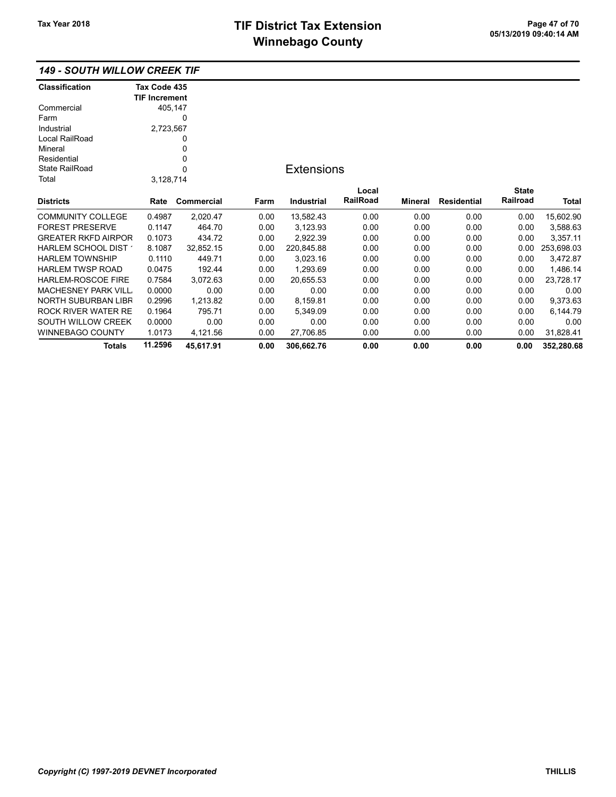### 149 - SOUTH WILLOW CREEK TIF

| <b>Classification</b>      | Tax Code 435         |            |      |                   |                 |         |             |              |            |
|----------------------------|----------------------|------------|------|-------------------|-----------------|---------|-------------|--------------|------------|
|                            | <b>TIF Increment</b> |            |      |                   |                 |         |             |              |            |
| Commercial                 |                      | 405,147    |      |                   |                 |         |             |              |            |
| Farm                       |                      | 0          |      |                   |                 |         |             |              |            |
| Industrial                 | 2,723,567            |            |      |                   |                 |         |             |              |            |
| Local RailRoad             |                      | 0          |      |                   |                 |         |             |              |            |
| Mineral                    |                      | 0          |      |                   |                 |         |             |              |            |
| Residential                |                      | 0          |      |                   |                 |         |             |              |            |
| <b>State RailRoad</b>      |                      | 0          |      | <b>Extensions</b> |                 |         |             |              |            |
| Total                      | 3,128,714            |            |      |                   |                 |         |             |              |            |
|                            |                      |            |      |                   | Local           |         |             | <b>State</b> |            |
| <b>Districts</b>           | Rate                 | Commercial | Farm | <b>Industrial</b> | <b>RailRoad</b> | Mineral | Residential | Railroad     | Total      |
| <b>COMMUNITY COLLEGE</b>   | 0.4987               | 2,020.47   | 0.00 | 13,582.43         | 0.00            | 0.00    | 0.00        | 0.00         | 15,602.90  |
| <b>FOREST PRESERVE</b>     | 0.1147               | 464.70     | 0.00 | 3,123.93          | 0.00            | 0.00    | 0.00        | 0.00         | 3,588.63   |
| <b>GREATER RKFD AIRPOR</b> | 0.1073               | 434.72     | 0.00 | 2,922.39          | 0.00            | 0.00    | 0.00        | 0.00         | 3,357.11   |
| HARLEM SCHOOL DIST         | 8.1087               | 32,852.15  | 0.00 | 220,845.88        | 0.00            | 0.00    | 0.00        | 0.00         | 253,698.03 |
| <b>HARLEM TOWNSHIP</b>     | 0.1110               | 449.71     | 0.00 | 3,023.16          | 0.00            | 0.00    | 0.00        | 0.00         | 3,472.87   |
| <b>HARLEM TWSP ROAD</b>    | 0.0475               | 192.44     | 0.00 | 1,293.69          | 0.00            | 0.00    | 0.00        | 0.00         | 1,486.14   |
| <b>HARLEM-ROSCOE FIRE</b>  | 0.7584               | 3,072.63   | 0.00 | 20,655.53         | 0.00            | 0.00    | 0.00        | 0.00         | 23,728.17  |
| <b>MACHESNEY PARK VILL</b> | 0.0000               | 0.00       | 0.00 | 0.00              | 0.00            | 0.00    | 0.00        | 0.00         | 0.00       |
| NORTH SUBURBAN LIBR        | 0.2996               | 1,213.82   | 0.00 | 8,159.81          | 0.00            | 0.00    | 0.00        | 0.00         | 9,373.63   |
| <b>ROCK RIVER WATER RE</b> | 0.1964               | 795.71     | 0.00 | 5,349.09          | 0.00            | 0.00    | 0.00        | 0.00         | 6,144.79   |
| SOUTH WILLOW CREEK         | 0.0000               | 0.00       | 0.00 | 0.00              | 0.00            | 0.00    | 0.00        | 0.00         | 0.00       |
| <b>WINNEBAGO COUNTY</b>    | 1.0173               | 4,121.56   | 0.00 | 27,706.85         | 0.00            | 0.00    | 0.00        | 0.00         | 31,828.41  |
| <b>Totals</b>              | 11.2596              | 45,617.91  | 0.00 | 306,662.76        | 0.00            | 0.00    | 0.00        | 0.00         | 352,280.68 |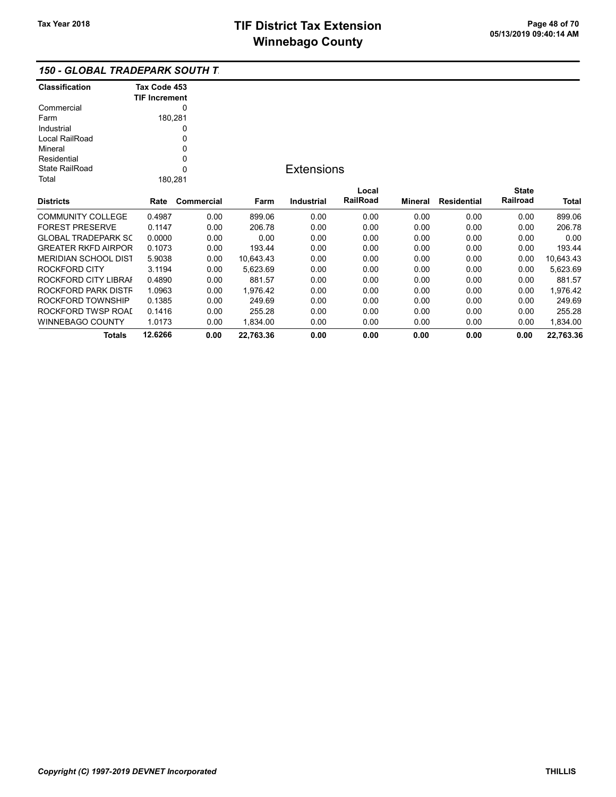Totals 12.6266 0.00 22,763.36 0.00 0.00 0.00 0.00 0.00 22,763.36

### 150 - GLOBAL TRADEPARK SOUTH T

| <b>Classification</b>       | Tax Code 453<br><b>TIF Increment</b> |             |           |                   |          |         |                    |              |           |
|-----------------------------|--------------------------------------|-------------|-----------|-------------------|----------|---------|--------------------|--------------|-----------|
| Commercial                  |                                      | 0           |           |                   |          |         |                    |              |           |
| Farm                        |                                      | 180,281     |           |                   |          |         |                    |              |           |
| Industrial                  |                                      | 0           |           |                   |          |         |                    |              |           |
| Local RailRoad              |                                      | 0           |           |                   |          |         |                    |              |           |
| Mineral                     |                                      | 0           |           |                   |          |         |                    |              |           |
| Residential                 |                                      | 0           |           |                   |          |         |                    |              |           |
| State RailRoad              |                                      | $\mathbf 0$ |           | <b>Extensions</b> |          |         |                    |              |           |
| Total                       |                                      | 180,281     |           |                   |          |         |                    |              |           |
|                             |                                      |             |           |                   | Local    |         |                    | <b>State</b> |           |
| <b>Districts</b>            | Rate                                 | Commercial  | Farm      | Industrial        | RailRoad | Mineral | <b>Residential</b> | Railroad     | Total     |
| <b>COMMUNITY COLLEGE</b>    | 0.4987                               | 0.00        | 899.06    | 0.00              | 0.00     | 0.00    | 0.00               | 0.00         | 899.06    |
| <b>FOREST PRESERVE</b>      | 0.1147                               | 0.00        | 206.78    | 0.00              | 0.00     | 0.00    | 0.00               | 0.00         | 206.78    |
| <b>GLOBAL TRADEPARK SC</b>  | 0.0000                               | 0.00        | 0.00      | 0.00              | 0.00     | 0.00    | 0.00               | 0.00         | 0.00      |
| <b>GREATER RKFD AIRPOR</b>  | 0.1073                               | 0.00        | 193.44    | 0.00              | 0.00     | 0.00    | 0.00               | 0.00         | 193.44    |
| <b>MERIDIAN SCHOOL DIST</b> | 5.9038                               | 0.00        | 10,643.43 | 0.00              | 0.00     | 0.00    | 0.00               | 0.00         | 10,643.43 |
| ROCKFORD CITY               | 3.1194                               | 0.00        | 5,623.69  | 0.00              | 0.00     | 0.00    | 0.00               | 0.00         | 5,623.69  |
| ROCKFORD CITY LIBRAI        | 0.4890                               | 0.00        | 881.57    | 0.00              | 0.00     | 0.00    | 0.00               | 0.00         | 881.57    |
| ROCKFORD PARK DISTF         | 1.0963                               | 0.00        | 1,976.42  | 0.00              | 0.00     | 0.00    | 0.00               | 0.00         | 1,976.42  |
| ROCKFORD TOWNSHIP           | 0.1385                               | 0.00        | 249.69    | 0.00              | 0.00     | 0.00    | 0.00               | 0.00         | 249.69    |
| ROCKFORD TWSP ROAI          | 0.1416                               | 0.00        | 255.28    | 0.00              | 0.00     | 0.00    | 0.00               | 0.00         | 255.28    |
| <b>WINNEBAGO COUNTY</b>     | 1.0173                               | 0.00        | 1,834.00  | 0.00              | 0.00     | 0.00    | 0.00               | 0.00         | 1,834.00  |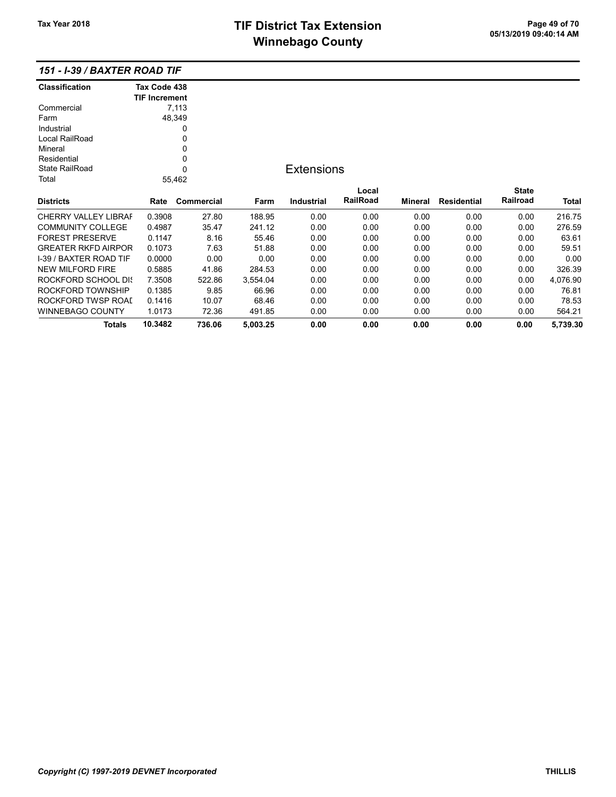# TIF District Tax Extension<br>
Mission 2009 19:40:14 AM **Winnebago County**

| <b>Classification</b>         | Tax Code 438         |            |          |                   |          |         |                    |              |          |
|-------------------------------|----------------------|------------|----------|-------------------|----------|---------|--------------------|--------------|----------|
|                               | <b>TIF Increment</b> | 7,113      |          |                   |          |         |                    |              |          |
| Commercial<br>Farm            |                      | 48,349     |          |                   |          |         |                    |              |          |
|                               |                      |            |          |                   |          |         |                    |              |          |
| Industrial                    |                      | 0          |          |                   |          |         |                    |              |          |
| Local RailRoad                |                      | 0          |          |                   |          |         |                    |              |          |
| Mineral                       |                      | $\Omega$   |          |                   |          |         |                    |              |          |
| Residential                   |                      | 0          |          |                   |          |         |                    |              |          |
| <b>State RailRoad</b>         |                      | $\Omega$   |          | <b>Extensions</b> |          |         |                    |              |          |
| Total                         |                      | 55,462     |          |                   |          |         |                    |              |          |
|                               |                      |            |          |                   | Local    |         |                    | <b>State</b> |          |
| <b>Districts</b>              | Rate                 | Commercial | Farm     | <b>Industrial</b> | RailRoad | Mineral | <b>Residential</b> | Railroad     | Total    |
| <b>CHERRY VALLEY LIBRAF</b>   | 0.3908               | 27.80      | 188.95   | 0.00              | 0.00     | 0.00    | 0.00               | 0.00         | 216.75   |
| <b>COMMUNITY COLLEGE</b>      | 0.4987               | 35.47      | 241.12   | 0.00              | 0.00     | 0.00    | 0.00               | 0.00         | 276.59   |
| <b>FOREST PRESERVE</b>        | 0.1147               | 8.16       | 55.46    | 0.00              | 0.00     | 0.00    | 0.00               | 0.00         | 63.61    |
| <b>GREATER RKFD AIRPOR</b>    | 0.1073               | 7.63       | 51.88    | 0.00              | 0.00     | 0.00    | 0.00               | 0.00         | 59.51    |
| <b>I-39 / BAXTER ROAD TIF</b> | 0.0000               | 0.00       | 0.00     | 0.00              | 0.00     | 0.00    | 0.00               | 0.00         | 0.00     |
| <b>NEW MILFORD FIRE</b>       | 0.5885               | 41.86      | 284.53   | 0.00              | 0.00     | 0.00    | 0.00               | 0.00         | 326.39   |
| ROCKFORD SCHOOL DIS           | 7.3508               | 522.86     | 3,554.04 | 0.00              | 0.00     | 0.00    | 0.00               | 0.00         | 4,076.90 |
| ROCKFORD TOWNSHIP             | 0.1385               | 9.85       | 66.96    | 0.00              | 0.00     | 0.00    | 0.00               | 0.00         | 76.81    |
| ROCKFORD TWSP ROAI            | 0.1416               | 10.07      | 68.46    | 0.00              | 0.00     | 0.00    | 0.00               | 0.00         | 78.53    |
| <b>WINNEBAGO COUNTY</b>       | 1.0173               | 72.36      | 491.85   | 0.00              | 0.00     | 0.00    | 0.00               | 0.00         | 564.21   |
| <b>Totals</b>                 | 10.3482              | 736.06     | 5,003.25 | 0.00              | 0.00     | 0.00    | 0.00               | 0.00         | 5,739.30 |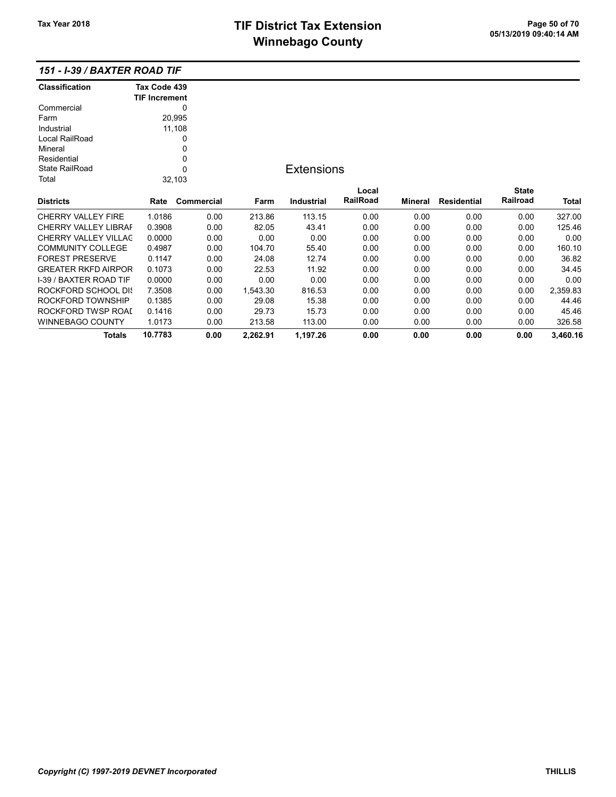# TIF District Tax Extension<br>
Mission 2009 14:44 05/13/2019 09:40:14 AM **Winnebago County**

| <b>Classification</b>       | Tax Code 439         |             |          |                   |          |         |                    |              |          |
|-----------------------------|----------------------|-------------|----------|-------------------|----------|---------|--------------------|--------------|----------|
|                             | <b>TIF Increment</b> |             |          |                   |          |         |                    |              |          |
| Commercial                  |                      | 0           |          |                   |          |         |                    |              |          |
| Farm                        |                      | 20,995      |          |                   |          |         |                    |              |          |
| Industrial                  |                      | 11,108      |          |                   |          |         |                    |              |          |
| Local RailRoad              |                      | 0           |          |                   |          |         |                    |              |          |
| Mineral                     |                      | 0           |          |                   |          |         |                    |              |          |
| Residential                 |                      | 0           |          |                   |          |         |                    |              |          |
| State RailRoad              |                      | $\mathbf 0$ |          | <b>Extensions</b> |          |         |                    |              |          |
| Total                       |                      | 32,103      |          |                   |          |         |                    |              |          |
|                             |                      |             |          |                   | Local    |         |                    | <b>State</b> |          |
| <b>Districts</b>            | Rate                 | Commercial  | Farm     | <b>Industrial</b> | RailRoad | Mineral | <b>Residential</b> | Railroad     | Total    |
| <b>CHERRY VALLEY FIRE</b>   | 1.0186               | 0.00        | 213.86   | 113.15            | 0.00     | 0.00    | 0.00               | 0.00         | 327.00   |
| <b>CHERRY VALLEY LIBRAF</b> | 0.3908               | 0.00        | 82.05    | 43.41             | 0.00     | 0.00    | 0.00               | 0.00         | 125.46   |
| <b>CHERRY VALLEY VILLAC</b> | 0.0000               | 0.00        | 0.00     | 0.00              | 0.00     | 0.00    | 0.00               | 0.00         | 0.00     |
| <b>COMMUNITY COLLEGE</b>    | 0.4987               | 0.00        | 104.70   | 55.40             | 0.00     | 0.00    | 0.00               | 0.00         | 160.10   |
| <b>FOREST PRESERVE</b>      | 0.1147               | 0.00        | 24.08    | 12.74             | 0.00     | 0.00    | 0.00               | 0.00         | 36.82    |
| <b>GREATER RKFD AIRPOR</b>  | 0.1073               | 0.00        | 22.53    | 11.92             | 0.00     | 0.00    | 0.00               | 0.00         | 34.45    |
| I-39 / BAXTER ROAD TIF      | 0.0000               | 0.00        | 0.00     | 0.00              | 0.00     | 0.00    | 0.00               | 0.00         | 0.00     |
| <b>ROCKFORD SCHOOL DIS</b>  | 7.3508               | 0.00        | 1,543.30 | 816.53            | 0.00     | 0.00    | 0.00               | 0.00         | 2,359.83 |
| ROCKFORD TOWNSHIP           | 0.1385               | 0.00        | 29.08    | 15.38             | 0.00     | 0.00    | 0.00               | 0.00         | 44.46    |
| ROCKFORD TWSP ROAI          | 0.1416               | 0.00        | 29.73    | 15.73             | 0.00     | 0.00    | 0.00               | 0.00         | 45.46    |
| <b>WINNEBAGO COUNTY</b>     | 1.0173               | 0.00        | 213.58   | 113.00            | 0.00     | 0.00    | 0.00               | 0.00         | 326.58   |
| Totals                      | 10.7783              | 0.00        | 2,262.91 | 1,197.26          | 0.00     | 0.00    | 0.00               | 0.00         | 3,460.16 |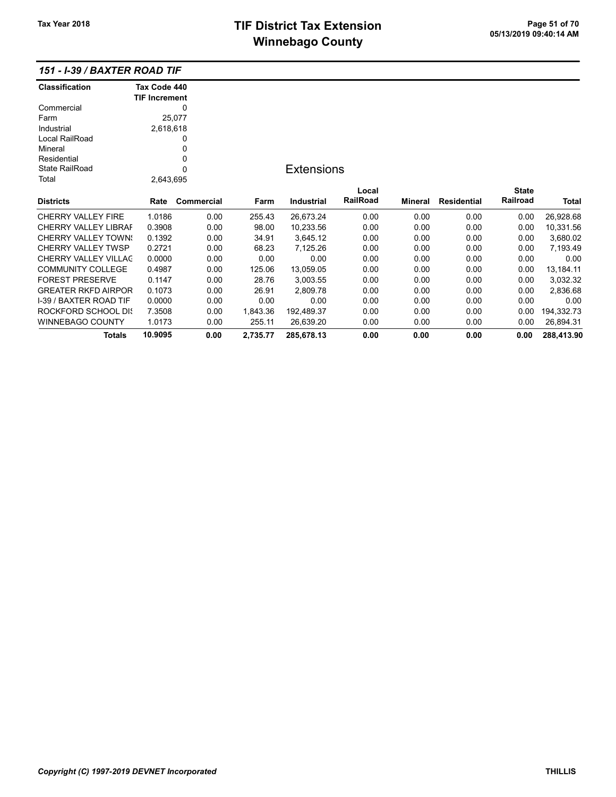# TIF District Tax Extension<br>
M's and an of 20 of 21 of 70 of 70 of 713/2019 09:40:14 AM **Winnebago County**

| <b>Classification</b>       | Tax Code 440         |            |          |                   |          |         |                    |              |            |
|-----------------------------|----------------------|------------|----------|-------------------|----------|---------|--------------------|--------------|------------|
|                             | <b>TIF Increment</b> |            |          |                   |          |         |                    |              |            |
| Commercial                  |                      | 0          |          |                   |          |         |                    |              |            |
| Farm                        |                      | 25,077     |          |                   |          |         |                    |              |            |
| Industrial                  | 2,618,618            |            |          |                   |          |         |                    |              |            |
| Local RailRoad              |                      | 0          |          |                   |          |         |                    |              |            |
| Mineral                     |                      | 0          |          |                   |          |         |                    |              |            |
| Residential                 |                      | 0          |          |                   |          |         |                    |              |            |
| <b>State RailRoad</b>       |                      | 0          |          | <b>Extensions</b> |          |         |                    |              |            |
| Total                       | 2,643,695            |            |          |                   |          |         |                    |              |            |
|                             |                      |            |          |                   | Local    |         |                    | <b>State</b> |            |
| <b>Districts</b>            | Rate                 | Commercial | Farm     | Industrial        | RailRoad | Mineral | <b>Residential</b> | Railroad     | Total      |
| <b>CHERRY VALLEY FIRE</b>   | 1.0186               | 0.00       | 255.43   | 26,673.24         | 0.00     | 0.00    | 0.00               | 0.00         | 26,928.68  |
| <b>CHERRY VALLEY LIBRAF</b> | 0.3908               | 0.00       | 98.00    | 10,233.56         | 0.00     | 0.00    | 0.00               | 0.00         | 10,331.56  |
| <b>CHERRY VALLEY TOWN:</b>  | 0.1392               | 0.00       | 34.91    | 3,645.12          | 0.00     | 0.00    | 0.00               | 0.00         | 3,680.02   |
| <b>CHERRY VALLEY TWSP</b>   | 0.2721               | 0.00       | 68.23    | 7,125.26          | 0.00     | 0.00    | 0.00               | 0.00         | 7,193.49   |
| <b>CHERRY VALLEY VILLAC</b> | 0.0000               | 0.00       | 0.00     | 0.00              | 0.00     | 0.00    | 0.00               | 0.00         | 0.00       |
| <b>COMMUNITY COLLEGE</b>    | 0.4987               | 0.00       | 125.06   | 13,059.05         | 0.00     | 0.00    | 0.00               | 0.00         | 13,184.11  |
| <b>FOREST PRESERVE</b>      | 0.1147               | 0.00       | 28.76    | 3,003.55          | 0.00     | 0.00    | 0.00               | 0.00         | 3,032.32   |
| <b>GREATER RKFD AIRPOR</b>  | 0.1073               | 0.00       | 26.91    | 2,809.78          | 0.00     | 0.00    | 0.00               | 0.00         | 2,836.68   |
| I-39 / BAXTER ROAD TIF      | 0.0000               | 0.00       | 0.00     | 0.00              | 0.00     | 0.00    | 0.00               | 0.00         | 0.00       |
| ROCKFORD SCHOOL DIS         | 7.3508               | 0.00       | 1,843.36 | 192,489.37        | 0.00     | 0.00    | 0.00               | 0.00         | 194,332.73 |
| WINNEBAGO COUNTY            | 1.0173               | 0.00       | 255.11   | 26,639.20         | 0.00     | 0.00    | 0.00               | 0.00         | 26,894.31  |
| <b>Totals</b>               | 10.9095              | 0.00       | 2,735.77 | 285,678.13        | 0.00     | 0.00    | 0.00               | 0.00         | 288,413.90 |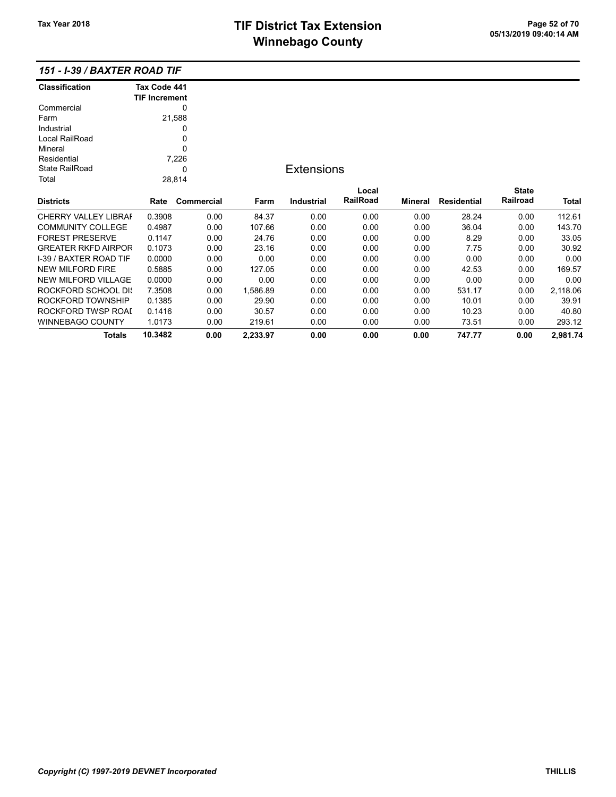| <b>Classification</b>       | Tax Code 441<br><b>TIF Increment</b> |            |          |                   |          |         |             |              |          |
|-----------------------------|--------------------------------------|------------|----------|-------------------|----------|---------|-------------|--------------|----------|
| Commercial                  |                                      | 0          |          |                   |          |         |             |              |          |
| Farm                        |                                      | 21,588     |          |                   |          |         |             |              |          |
| Industrial                  |                                      | 0          |          |                   |          |         |             |              |          |
| Local RailRoad              |                                      | 0          |          |                   |          |         |             |              |          |
| Mineral                     |                                      | $\Omega$   |          |                   |          |         |             |              |          |
| Residential                 |                                      | 7,226      |          |                   |          |         |             |              |          |
| <b>State RailRoad</b>       |                                      | 0          |          | <b>Extensions</b> |          |         |             |              |          |
| Total                       |                                      | 28,814     |          |                   |          |         |             |              |          |
|                             |                                      |            |          |                   | Local    |         |             | <b>State</b> |          |
| <b>Districts</b>            | Rate                                 | Commercial | Farm     | <b>Industrial</b> | RailRoad | Mineral | Residential | Railroad     | Total    |
| <b>CHERRY VALLEY LIBRAF</b> | 0.3908                               | 0.00       | 84.37    | 0.00              | 0.00     | 0.00    | 28.24       | 0.00         | 112.61   |
| <b>COMMUNITY COLLEGE</b>    | 0.4987                               | 0.00       | 107.66   | 0.00              | 0.00     | 0.00    | 36.04       | 0.00         | 143.70   |
| <b>FOREST PRESERVE</b>      | 0.1147                               | 0.00       | 24.76    | 0.00              | 0.00     | 0.00    | 8.29        | 0.00         | 33.05    |
| <b>GREATER RKFD AIRPOR</b>  | 0.1073                               | 0.00       | 23.16    | 0.00              | 0.00     | 0.00    | 7.75        | 0.00         | 30.92    |
| I-39 / BAXTER ROAD TIF      | 0.0000                               | 0.00       | 0.00     | 0.00              | 0.00     | 0.00    | 0.00        | 0.00         | 0.00     |
| <b>NEW MILFORD FIRE</b>     | 0.5885                               | 0.00       | 127.05   | 0.00              | 0.00     | 0.00    | 42.53       | 0.00         | 169.57   |
| <b>NEW MILFORD VILLAGE</b>  | 0.0000                               | 0.00       | 0.00     | 0.00              | 0.00     | 0.00    | 0.00        | 0.00         | 0.00     |
| <b>ROCKFORD SCHOOL DIS</b>  | 7.3508                               | 0.00       | 1,586.89 | 0.00              | 0.00     | 0.00    | 531.17      | 0.00         | 2,118.06 |
| ROCKFORD TOWNSHIP           | 0.1385                               | 0.00       | 29.90    | 0.00              | 0.00     | 0.00    | 10.01       | 0.00         | 39.91    |
| ROCKFORD TWSP ROAI          | 0.1416                               | 0.00       | 30.57    | 0.00              | 0.00     | 0.00    | 10.23       | 0.00         | 40.80    |
| WINNEBAGO COUNTY            | 1.0173                               | 0.00       | 219.61   | 0.00              | 0.00     | 0.00    | 73.51       | 0.00         | 293.12   |
| <b>Totals</b>               | 10.3482                              | 0.00       | 2,233.97 | 0.00              | 0.00     | 0.00    | 747.77      | 0.00         | 2,981.74 |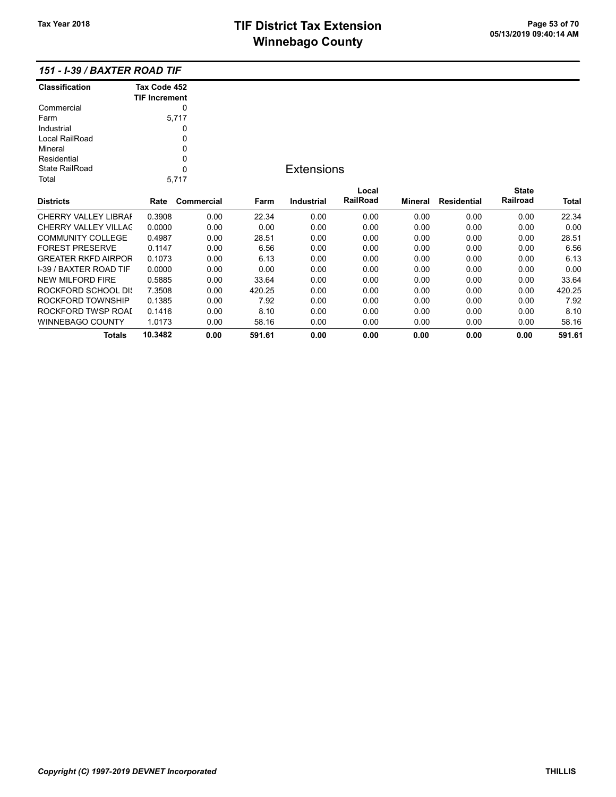|  |  |  |  |  | 151 - I-39 / BAXTER ROAD TIF |
|--|--|--|--|--|------------------------------|
|--|--|--|--|--|------------------------------|

| <b>Classification</b> | Tax Code 452         |
|-----------------------|----------------------|
|                       | <b>TIF Increment</b> |
| Commercial            |                      |
| Farm                  | 5,717                |
| Industrial            |                      |
| Local RailRoad        | 0                    |
| Mineral               | ŋ                    |
| Residential           | ŋ                    |
| State RailRoad        | U                    |
| Total                 | 5.717                |

## **Extensions**

| <b>Districts</b>              | Rate    | Commercial | Farm   | <b>Industrial</b> | Local<br><b>RailRoad</b> | <b>Mineral</b> | Residential | <b>State</b><br>Railroad | <b>Total</b> |
|-------------------------------|---------|------------|--------|-------------------|--------------------------|----------------|-------------|--------------------------|--------------|
| <b>CHERRY VALLEY LIBRAF</b>   | 0.3908  | 0.00       | 22.34  | 0.00              | 0.00                     | 0.00           | 0.00        | 0.00                     | 22.34        |
| CHERRY VALLEY VILLAC          | 0.0000  | 0.00       | 0.00   | 0.00              | 0.00                     | 0.00           | 0.00        | 0.00                     | 0.00         |
| <b>COMMUNITY COLLEGE</b>      | 0.4987  | 0.00       | 28.51  | 0.00              | 0.00                     | 0.00           | 0.00        | 0.00                     | 28.51        |
| <b>FOREST PRESERVE</b>        | 0.1147  | 0.00       | 6.56   | 0.00              | 0.00                     | 0.00           | 0.00        | 0.00                     | 6.56         |
| <b>GREATER RKFD AIRPOR</b>    | 0.1073  | 0.00       | 6.13   | 0.00              | 0.00                     | 0.00           | 0.00        | 0.00                     | 6.13         |
| <b>I-39 / BAXTER ROAD TIF</b> | 0.0000  | 0.00       | 0.00   | 0.00              | 0.00                     | 0.00           | 0.00        | 0.00                     | 0.00         |
| NEW MILFORD FIRE              | 0.5885  | 0.00       | 33.64  | 0.00              | 0.00                     | 0.00           | 0.00        | 0.00                     | 33.64        |
| ROCKFORD SCHOOL DIS           | 7.3508  | 0.00       | 420.25 | 0.00              | 0.00                     | 0.00           | 0.00        | 0.00                     | 420.25       |
| ROCKFORD TOWNSHIP             | 0.1385  | 0.00       | 7.92   | 0.00              | 0.00                     | 0.00           | 0.00        | 0.00                     | 7.92         |
| ROCKFORD TWSP ROAL            | 0.1416  | 0.00       | 8.10   | 0.00              | 0.00                     | 0.00           | 0.00        | 0.00                     | 8.10         |
| WINNEBAGO COUNTY              | 1.0173  | 0.00       | 58.16  | 0.00              | 0.00                     | 0.00           | 0.00        | 0.00                     | 58.16        |
| Totals                        | 10.3482 | 0.00       | 591.61 | 0.00              | 0.00                     | 0.00           | 0.00        | 0.00                     | 591.61       |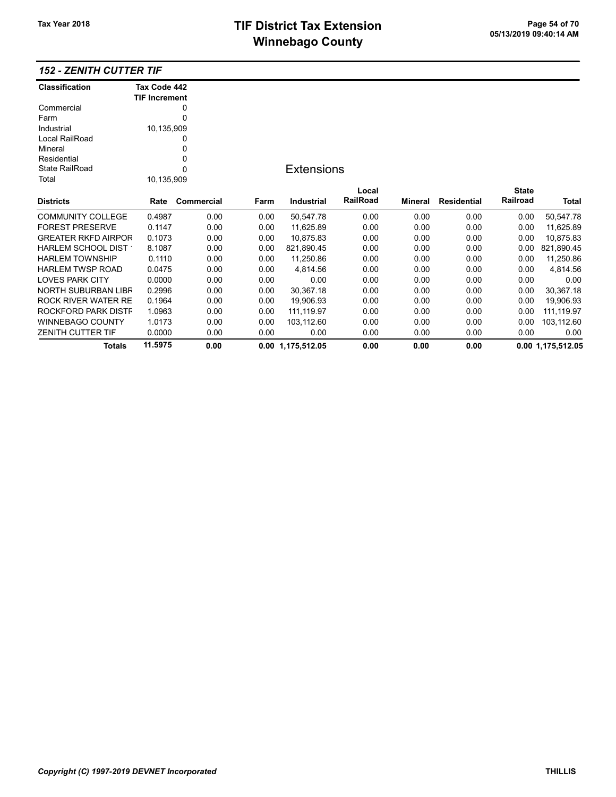# TIF District Tax Extension<br>
M's and an of 20 of 113/2019 09:40:14 AM **Winnebago County**

## 152 - ZENITH CUTTER TIF

| <b>Classification</b>      | Tax Code 442         |            |      |                   |          |         |             |                 |                   |
|----------------------------|----------------------|------------|------|-------------------|----------|---------|-------------|-----------------|-------------------|
|                            | <b>TIF Increment</b> |            |      |                   |          |         |             |                 |                   |
| Commercial                 |                      | 0          |      |                   |          |         |             |                 |                   |
| Farm                       |                      | 0          |      |                   |          |         |             |                 |                   |
| Industrial                 | 10,135,909           |            |      |                   |          |         |             |                 |                   |
| Local RailRoad             |                      | 0          |      |                   |          |         |             |                 |                   |
| Mineral                    |                      | 0          |      |                   |          |         |             |                 |                   |
| Residential                |                      | 0          |      |                   |          |         |             |                 |                   |
| <b>State RailRoad</b>      |                      | 0          |      | <b>Extensions</b> |          |         |             |                 |                   |
| Total                      | 10,135,909           |            |      |                   |          |         |             |                 |                   |
|                            |                      |            |      |                   | Local    |         |             | <b>State</b>    |                   |
| <b>Districts</b>           | Rate                 | Commercial | Farm | Industrial        | RailRoad | Mineral | Residential | <b>Railroad</b> | Total             |
| <b>COMMUNITY COLLEGE</b>   | 0.4987               | 0.00       | 0.00 | 50,547.78         | 0.00     | 0.00    | 0.00        | 0.00            | 50,547.78         |
| <b>FOREST PRESERVE</b>     | 0.1147               | 0.00       | 0.00 | 11,625.89         | 0.00     | 0.00    | 0.00        | 0.00            | 11,625.89         |
| <b>GREATER RKFD AIRPOR</b> | 0.1073               | 0.00       | 0.00 | 10,875.83         | 0.00     | 0.00    | 0.00        | 0.00            | 10,875.83         |
| HARLEM SCHOOL DIST         | 8.1087               | 0.00       | 0.00 | 821,890.45        | 0.00     | 0.00    | 0.00        | 0.00            | 821,890.45        |
| <b>HARLEM TOWNSHIP</b>     | 0.1110               | 0.00       | 0.00 | 11,250.86         | 0.00     | 0.00    | 0.00        | 0.00            | 11,250.86         |
| <b>HARLEM TWSP ROAD</b>    | 0.0475               | 0.00       | 0.00 | 4,814.56          | 0.00     | 0.00    | 0.00        | 0.00            | 4,814.56          |
| <b>LOVES PARK CITY</b>     | 0.0000               | 0.00       | 0.00 | 0.00              | 0.00     | 0.00    | 0.00        | 0.00            | 0.00              |
| <b>NORTH SUBURBAN LIBR</b> | 0.2996               | 0.00       | 0.00 | 30,367.18         | 0.00     | 0.00    | 0.00        | 0.00            | 30,367.18         |
| ROCK RIVER WATER RE        | 0.1964               | 0.00       | 0.00 | 19,906.93         | 0.00     | 0.00    | 0.00        | 0.00            | 19,906.93         |
| ROCKFORD PARK DISTF        | 1.0963               | 0.00       | 0.00 | 111,119.97        | 0.00     | 0.00    | 0.00        | 0.00            | 111, 119.97       |
| <b>WINNEBAGO COUNTY</b>    | 1.0173               | 0.00       | 0.00 | 103,112.60        | 0.00     | 0.00    | 0.00        | 0.00            | 103,112.60        |
| <b>ZENITH CUTTER TIF</b>   | 0.0000               | 0.00       | 0.00 | 0.00              | 0.00     | 0.00    | 0.00        | 0.00            | 0.00              |
| <b>Totals</b>              | 11.5975              | 0.00       |      | 0.00 1,175,512.05 | 0.00     | 0.00    | 0.00        |                 | 0.00 1,175,512.05 |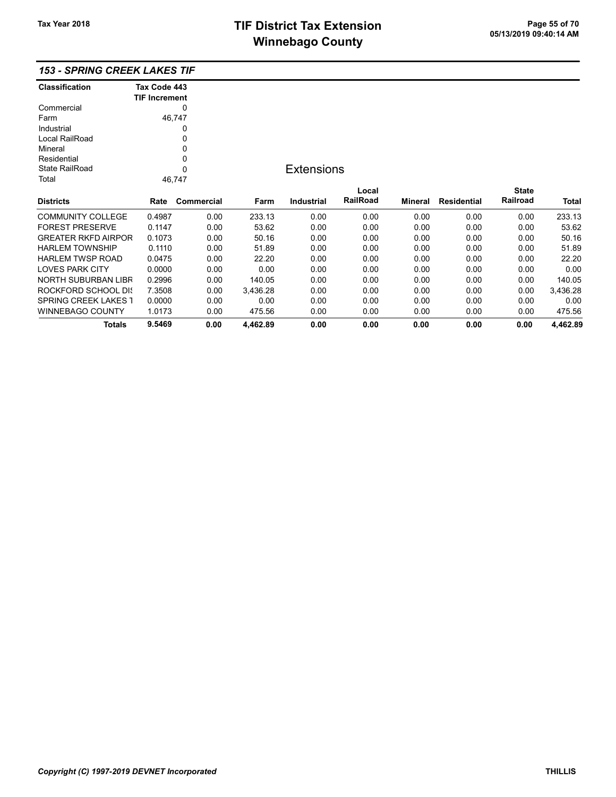# TIF District Tax Extension<br>
M's and an and Canada page 15 of 70<br>
M's and an and Canada page 11 of 200 pm **Winnebago County**

## 153 - SPRING CREEK LAKES TIF

| <b>Classification</b>      | Tax Code 443         |            |        |   |
|----------------------------|----------------------|------------|--------|---|
|                            | <b>TIF Increment</b> |            |        |   |
| Commercial                 |                      | 0          |        |   |
| Farm                       |                      | 46.747     |        |   |
| Industrial                 |                      | O          |        |   |
| Local RailRoad             |                      | O          |        |   |
| Mineral                    |                      | 0          |        |   |
| Residential                |                      | 0          |        |   |
| State RailRoad             |                      | 0          |        | F |
| Total                      |                      | 46.747     |        |   |
| <b>Districts</b>           | Rate                 | Commercial | Farm   |   |
| <b>COMMUNITY COLLEGE</b>   | 0.4987               | 0.00       | 233.13 |   |
| <b>FOREST PRESERVE</b>     | 0.1147               | 0.00       | 53.62  |   |
| <b>GREATER RKFD AIRPOR</b> | 0.1073               | 0.00       | 50.16  |   |
| <b>HARLEM TOWNSHIP</b>     | 0.1110               | 0.00       | 51.89  |   |
| <b>HARLEM TWSP ROAD</b>    | 0.0475               | 0.00       | 22.20  |   |
|                            |                      |            |        |   |

## **Extensions**

|                             |        |            |          |                   | Local           |         |                    | <b>State</b> |              |
|-----------------------------|--------|------------|----------|-------------------|-----------------|---------|--------------------|--------------|--------------|
| <b>Districts</b>            | Rate   | Commercial | Farm     | <b>Industrial</b> | <b>RailRoad</b> | Mineral | <b>Residential</b> | Railroad     | <b>Total</b> |
| <b>COMMUNITY COLLEGE</b>    | 0.4987 | 0.00       | 233.13   | 0.00              | 0.00            | 0.00    | 0.00               | 0.00         | 233.13       |
| <b>FOREST PRESERVE</b>      | 0.1147 | 0.00       | 53.62    | 0.00              | 0.00            | 0.00    | 0.00               | 0.00         | 53.62        |
| <b>GREATER RKFD AIRPOR</b>  | 0.1073 | 0.00       | 50.16    | 0.00              | 0.00            | 0.00    | 0.00               | 0.00         | 50.16        |
| <b>HARLEM TOWNSHIP</b>      | 0.1110 | 0.00       | 51.89    | 0.00              | 0.00            | 0.00    | 0.00               | 0.00         | 51.89        |
| <b>HARLEM TWSP ROAD</b>     | 0.0475 | 0.00       | 22.20    | 0.00              | 0.00            | 0.00    | 0.00               | 0.00         | 22.20        |
| <b>LOVES PARK CITY</b>      | 0.0000 | 0.00       | 0.00     | 0.00              | 0.00            | 0.00    | 0.00               | 0.00         | 0.00         |
| NORTH SUBURBAN LIBR         | 0.2996 | 0.00       | 140.05   | 0.00              | 0.00            | 0.00    | 0.00               | 0.00         | 140.05       |
| ROCKFORD SCHOOL DIS         | 7.3508 | 0.00       | 3.436.28 | 0.00              | 0.00            | 0.00    | 0.00               | 0.00         | 3.436.28     |
| <b>SPRING CREEK LAKES 1</b> | 0.0000 | 0.00       | 0.00     | 0.00              | 0.00            | 0.00    | 0.00               | 0.00         | 0.00         |
| <b>WINNEBAGO COUNTY</b>     | 1.0173 | 0.00       | 475.56   | 0.00              | 0.00            | 0.00    | 0.00               | 0.00         | 475.56       |
| <b>Totals</b>               | 9.5469 | 0.00       | 4.462.89 | 0.00              | 0.00            | 0.00    | 0.00               | 0.00         | 4.462.89     |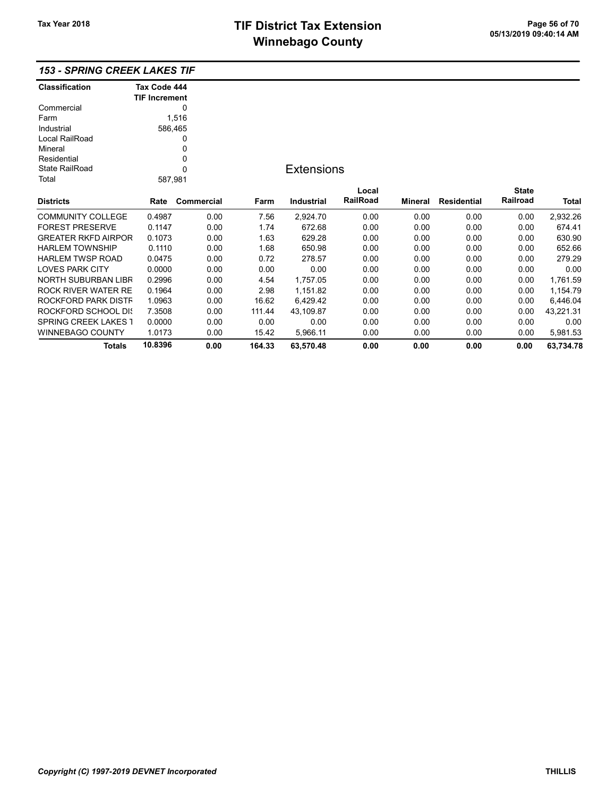### 153 - SPRING CREEK LAKES TIF

| <b>Classification</b>       | Tax Code 444         |              |        |                   |                 |         |                    |              |           |
|-----------------------------|----------------------|--------------|--------|-------------------|-----------------|---------|--------------------|--------------|-----------|
|                             | <b>TIF Increment</b> |              |        |                   |                 |         |                    |              |           |
| Commercial                  |                      | 0            |        |                   |                 |         |                    |              |           |
| Farm                        |                      | 1,516        |        |                   |                 |         |                    |              |           |
| Industrial                  |                      | 586,465      |        |                   |                 |         |                    |              |           |
| Local RailRoad              |                      | 0            |        |                   |                 |         |                    |              |           |
| Mineral                     |                      | 0            |        |                   |                 |         |                    |              |           |
| Residential                 |                      | 0            |        |                   |                 |         |                    |              |           |
| <b>State RailRoad</b>       |                      | $\mathbf{0}$ |        | <b>Extensions</b> |                 |         |                    |              |           |
| Total                       | 587,981              |              |        |                   |                 |         |                    |              |           |
|                             |                      |              |        |                   | Local           |         |                    | <b>State</b> |           |
| <b>Districts</b>            | Rate                 | Commercial   | Farm   | <b>Industrial</b> | <b>RailRoad</b> | Mineral | <b>Residential</b> | Railroad     | Total     |
| <b>COMMUNITY COLLEGE</b>    | 0.4987               | 0.00         | 7.56   | 2,924.70          | 0.00            | 0.00    | 0.00               | 0.00         | 2,932.26  |
| <b>FOREST PRESERVE</b>      | 0.1147               | 0.00         | 1.74   | 672.68            | 0.00            | 0.00    | 0.00               | 0.00         | 674.41    |
| <b>GREATER RKFD AIRPOR</b>  | 0.1073               | 0.00         | 1.63   | 629.28            | 0.00            | 0.00    | 0.00               | 0.00         | 630.90    |
| <b>HARLEM TOWNSHIP</b>      | 0.1110               | 0.00         | 1.68   | 650.98            | 0.00            | 0.00    | 0.00               | 0.00         | 652.66    |
| <b>HARLEM TWSP ROAD</b>     | 0.0475               | 0.00         | 0.72   | 278.57            | 0.00            | 0.00    | 0.00               | 0.00         | 279.29    |
| <b>LOVES PARK CITY</b>      | 0.0000               | 0.00         | 0.00   | 0.00              | 0.00            | 0.00    | 0.00               | 0.00         | 0.00      |
| NORTH SUBURBAN LIBR         | 0.2996               | 0.00         | 4.54   | 1,757.05          | 0.00            | 0.00    | 0.00               | 0.00         | 1,761.59  |
| ROCK RIVER WATER RE         | 0.1964               | 0.00         | 2.98   | 1,151.82          | 0.00            | 0.00    | 0.00               | 0.00         | 1,154.79  |
| ROCKFORD PARK DISTF         | 1.0963               | 0.00         | 16.62  | 6,429.42          | 0.00            | 0.00    | 0.00               | 0.00         | 6,446.04  |
| <b>ROCKFORD SCHOOL DIS</b>  | 7.3508               | 0.00         | 111.44 | 43.109.87         | 0.00            | 0.00    | 0.00               | 0.00         | 43,221.31 |
| <b>SPRING CREEK LAKES 1</b> | 0.0000               | 0.00         | 0.00   | 0.00              | 0.00            | 0.00    | 0.00               | 0.00         | 0.00      |
| <b>WINNEBAGO COUNTY</b>     | 1.0173               | 0.00         | 15.42  | 5,966.11          | 0.00            | 0.00    | 0.00               | 0.00         | 5,981.53  |
| <b>Totals</b>               | 10.8396              | 0.00         | 164.33 | 63,570.48         | 0.00            | 0.00    | 0.00               | 0.00         | 63,734.78 |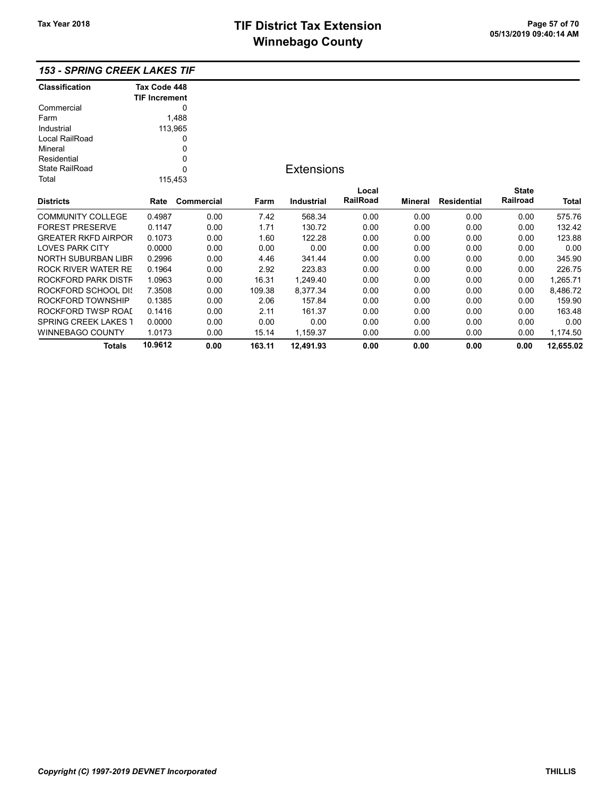### 153 - SPRING CREEK LAKES TIF

| <b>Classification</b>       | Tax Code 448         |            |        |                   |          |         |                    |              |           |
|-----------------------------|----------------------|------------|--------|-------------------|----------|---------|--------------------|--------------|-----------|
|                             | <b>TIF Increment</b> |            |        |                   |          |         |                    |              |           |
| Commercial                  |                      | 0          |        |                   |          |         |                    |              |           |
| Farm                        |                      | 1,488      |        |                   |          |         |                    |              |           |
| Industrial                  |                      | 113,965    |        |                   |          |         |                    |              |           |
| Local RailRoad              |                      | 0          |        |                   |          |         |                    |              |           |
| Mineral                     |                      | 0          |        |                   |          |         |                    |              |           |
| Residential                 |                      | 0          |        |                   |          |         |                    |              |           |
| <b>State RailRoad</b>       |                      | 0          |        | <b>Extensions</b> |          |         |                    |              |           |
| Total                       | 115,453              |            |        |                   |          |         |                    |              |           |
|                             |                      |            |        |                   | Local    |         |                    | <b>State</b> |           |
| <b>Districts</b>            | Rate                 | Commercial | Farm   | <b>Industrial</b> | RailRoad | Mineral | <b>Residential</b> | Railroad     | Total     |
| <b>COMMUNITY COLLEGE</b>    | 0.4987               | 0.00       | 7.42   | 568.34            | 0.00     | 0.00    | 0.00               | 0.00         | 575.76    |
| <b>FOREST PRESERVE</b>      | 0.1147               | 0.00       | 1.71   | 130.72            | 0.00     | 0.00    | 0.00               | 0.00         | 132.42    |
| <b>GREATER RKFD AIRPOR</b>  | 0.1073               | 0.00       | 1.60   | 122.28            | 0.00     | 0.00    | 0.00               | 0.00         | 123.88    |
| <b>LOVES PARK CITY</b>      | 0.0000               | 0.00       | 0.00   | 0.00              | 0.00     | 0.00    | 0.00               | 0.00         | 0.00      |
| <b>NORTH SUBURBAN LIBR</b>  | 0.2996               | 0.00       | 4.46   | 341.44            | 0.00     | 0.00    | 0.00               | 0.00         | 345.90    |
| <b>ROCK RIVER WATER RE</b>  | 0.1964               | 0.00       | 2.92   | 223.83            | 0.00     | 0.00    | 0.00               | 0.00         | 226.75    |
| ROCKFORD PARK DISTF         | 1.0963               | 0.00       | 16.31  | 1,249.40          | 0.00     | 0.00    | 0.00               | 0.00         | 1,265.71  |
| <b>ROCKFORD SCHOOL DIS</b>  | 7.3508               | 0.00       | 109.38 | 8,377.34          | 0.00     | 0.00    | 0.00               | 0.00         | 8,486.72  |
| ROCKFORD TOWNSHIP           | 0.1385               | 0.00       | 2.06   | 157.84            | 0.00     | 0.00    | 0.00               | 0.00         | 159.90    |
| ROCKFORD TWSP ROAI          | 0.1416               | 0.00       | 2.11   | 161.37            | 0.00     | 0.00    | 0.00               | 0.00         | 163.48    |
| <b>SPRING CREEK LAKES 1</b> | 0.0000               | 0.00       | 0.00   | 0.00              | 0.00     | 0.00    | 0.00               | 0.00         | 0.00      |
| WINNEBAGO COUNTY            | 1.0173               | 0.00       | 15.14  | 1,159.37          | 0.00     | 0.00    | 0.00               | 0.00         | 1,174.50  |
| <b>Totals</b>               | 10.9612              | 0.00       | 163.11 | 12,491.93         | 0.00     | 0.00    | 0.00               | 0.00         | 12,655.02 |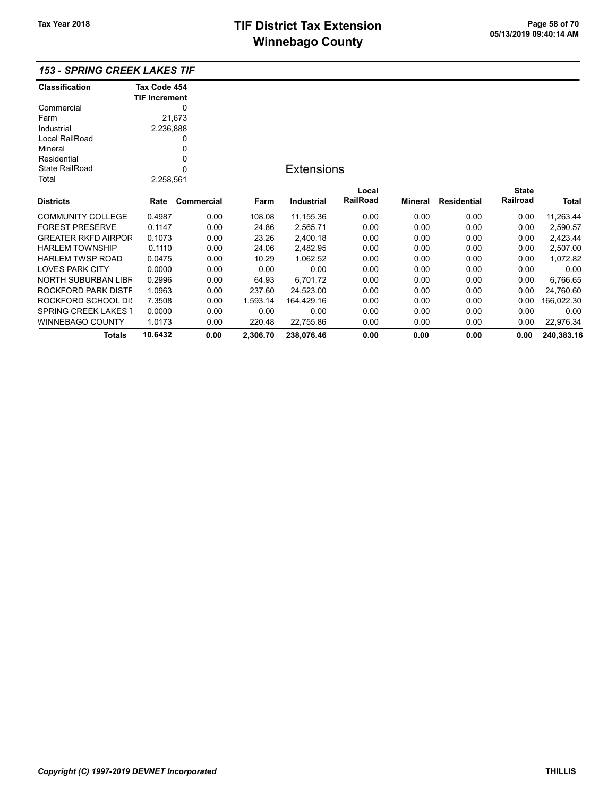# TIF District Tax Extension<br>
M's and an of 20 of 20 of 20 of 20 of 20 of 20 of 21 of 21 of 21 of 21 of 21 of 21 of 21 of 21 of 21 of 21 of **Winnebago County**

## 153 - SPRING CREEK LAKES TIF

| <b>Classification</b>       | Tax Code 454         |            |          |                   |          |         |                    |              |            |
|-----------------------------|----------------------|------------|----------|-------------------|----------|---------|--------------------|--------------|------------|
|                             | <b>TIF Increment</b> |            |          |                   |          |         |                    |              |            |
| Commercial                  |                      | 0          |          |                   |          |         |                    |              |            |
| Farm                        |                      | 21,673     |          |                   |          |         |                    |              |            |
| Industrial                  | 2,236,888            |            |          |                   |          |         |                    |              |            |
| Local RailRoad              |                      | 0          |          |                   |          |         |                    |              |            |
| Mineral                     |                      | 0          |          |                   |          |         |                    |              |            |
| Residential                 |                      | 0          |          |                   |          |         |                    |              |            |
| <b>State RailRoad</b>       |                      | 0          |          | <b>Extensions</b> |          |         |                    |              |            |
| Total                       | 2,258,561            |            |          |                   |          |         |                    |              |            |
|                             |                      |            |          |                   | Local    |         |                    | <b>State</b> |            |
| <b>Districts</b>            | Rate                 | Commercial | Farm     | Industrial        | RailRoad | Mineral | <b>Residential</b> | Railroad     | Total      |
| <b>COMMUNITY COLLEGE</b>    | 0.4987               | 0.00       | 108.08   | 11,155.36         | 0.00     | 0.00    | 0.00               | 0.00         | 11,263.44  |
| <b>FOREST PRESERVE</b>      | 0.1147               | 0.00       | 24.86    | 2,565.71          | 0.00     | 0.00    | 0.00               | 0.00         | 2,590.57   |
| <b>GREATER RKFD AIRPOR</b>  | 0.1073               | 0.00       | 23.26    | 2,400.18          | 0.00     | 0.00    | 0.00               | 0.00         | 2,423.44   |
| <b>HARLEM TOWNSHIP</b>      | 0.1110               | 0.00       | 24.06    | 2,482.95          | 0.00     | 0.00    | 0.00               | 0.00         | 2,507.00   |
| <b>HARLEM TWSP ROAD</b>     | 0.0475               | 0.00       | 10.29    | 1,062.52          | 0.00     | 0.00    | 0.00               | 0.00         | 1,072.82   |
| <b>LOVES PARK CITY</b>      | 0.0000               | 0.00       | 0.00     | 0.00              | 0.00     | 0.00    | 0.00               | 0.00         | 0.00       |
| NORTH SUBURBAN LIBR         | 0.2996               | 0.00       | 64.93    | 6,701.72          | 0.00     | 0.00    | 0.00               | 0.00         | 6,766.65   |
| ROCKFORD PARK DISTF         | 1.0963               | 0.00       | 237.60   | 24,523.00         | 0.00     | 0.00    | 0.00               | 0.00         | 24,760.60  |
| ROCKFORD SCHOOL DIS         | 7.3508               | 0.00       | 1,593.14 | 164,429.16        | 0.00     | 0.00    | 0.00               | 0.00         | 166,022.30 |
| <b>SPRING CREEK LAKES 1</b> | 0.0000               | 0.00       | 0.00     | 0.00              | 0.00     | 0.00    | 0.00               | 0.00         | 0.00       |
| <b>WINNEBAGO COUNTY</b>     | 1.0173               | 0.00       | 220.48   | 22,755.86         | 0.00     | 0.00    | 0.00               | 0.00         | 22,976.34  |
| <b>Totals</b>               | 10.6432              | 0.00       | 2,306.70 | 238,076.46        | 0.00     | 0.00    | 0.00               | 0.00         | 240,383.16 |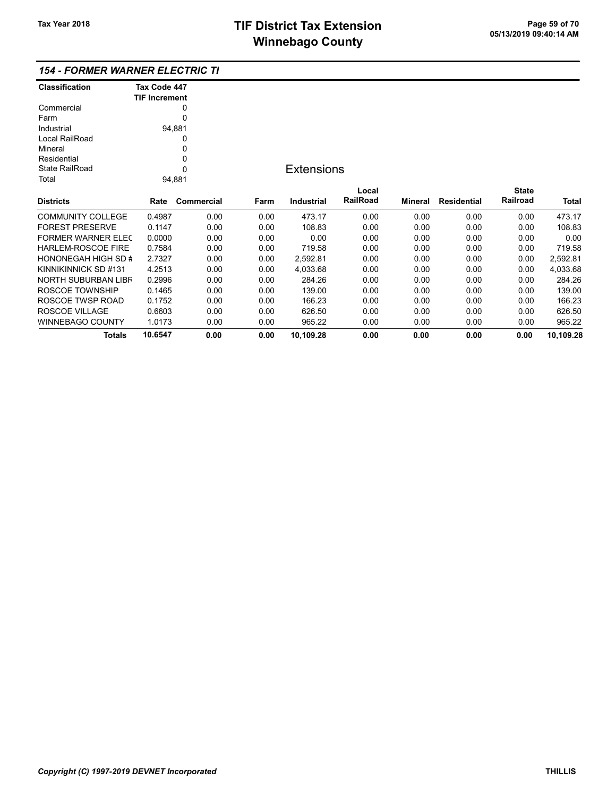### 154 - FORMER WARNER ELECTRIC TIF

| <b>Classification</b>  | Tax Code 447         |            |      |
|------------------------|----------------------|------------|------|
| Commercial             | <b>TIF Increment</b> | 0          |      |
| Farm                   |                      | 0          |      |
| Industrial             |                      | 94,881     |      |
| Local RailRoad         |                      | 0          |      |
| Mineral                |                      | 0          |      |
| Residential            |                      | 0          |      |
| State RailRoad         |                      | U          |      |
| Total                  |                      | 94,881     |      |
|                        |                      |            |      |
| <b>Districts</b>       | Rate                 | Commercial | Farm |
| COMMUNITY COLLEGE      | 0.4987               | 0.00       | 0.00 |
| <b>FOREST PRESERVE</b> | 0.1147               | 0.00       | 0.00 |
| FORMER WARNER FI FC    | 0.0000               | 0.00       | 0.00 |
| HARLEM-ROSCOE FIRE     | 0.7584               | 0.00       | 0.00 |
| HONONEGAH HIGH SD #    | 2.7327               | 0.00       | 0.00 |
| KINNIKINNICK SD #131   | 4.2513               | 0.00       | 0.00 |
| NORTH SUBURBAN LIBR    | 0 2996               | ი იი       | 0.OO |

## **Extensions**

| <b>Districts</b>          | Rate    | Commercial | Farm | Industrial | Local<br><b>RailRoad</b> | Mineral | <b>Residential</b> | <b>State</b><br>Railroad | <b>Total</b> |
|---------------------------|---------|------------|------|------------|--------------------------|---------|--------------------|--------------------------|--------------|
|                           |         |            |      |            |                          |         |                    |                          |              |
| <b>COMMUNITY COLLEGE</b>  | 0.4987  | 0.00       | 0.00 | 473.17     | 0.00                     | 0.00    | 0.00               | 0.00                     | 473.17       |
| <b>FOREST PRESERVE</b>    | 0.1147  | 0.00       | 0.00 | 108.83     | 0.00                     | 0.00    | 0.00               | 0.00                     | 108.83       |
| <b>FORMER WARNER ELEC</b> | 0.0000  | 0.00       | 0.00 | 0.00       | 0.00                     | 0.00    | 0.00               | 0.00                     | 0.00         |
| <b>HARLEM-ROSCOE FIRE</b> | 0.7584  | 0.00       | 0.00 | 719.58     | 0.00                     | 0.00    | 0.00               | 0.00                     | 719.58       |
| HONONEGAH HIGH SD #       | 2.7327  | 0.00       | 0.00 | 2.592.81   | 0.00                     | 0.00    | 0.00               | 0.00                     | 2.592.81     |
| KINNIKINNICK SD #131      | 4.2513  | 0.00       | 0.00 | 4.033.68   | 0.00                     | 0.00    | 0.00               | 0.00                     | 4.033.68     |
| NORTH SUBURBAN LIBR       | 0.2996  | 0.00       | 0.00 | 284.26     | 0.00                     | 0.00    | 0.00               | 0.00                     | 284.26       |
| ROSCOE TOWNSHIP           | 0.1465  | 0.00       | 0.00 | 139.00     | 0.00                     | 0.00    | 0.00               | 0.00                     | 139.00       |
| ROSCOE TWSP ROAD          | 0.1752  | 0.00       | 0.00 | 166.23     | 0.00                     | 0.00    | 0.00               | 0.00                     | 166.23       |
| ROSCOE VILLAGE            | 0.6603  | 0.00       | 0.00 | 626.50     | 0.00                     | 0.00    | 0.00               | 0.00                     | 626.50       |
| <b>WINNEBAGO COUNTY</b>   | 1.0173  | 0.00       | 0.00 | 965.22     | 0.00                     | 0.00    | 0.00               | 0.00                     | 965.22       |
| <b>Totals</b>             | 10.6547 | 0.00       | 0.00 | 10.109.28  | 0.00                     | 0.00    | 0.00               | 0.00                     | 10.109.28    |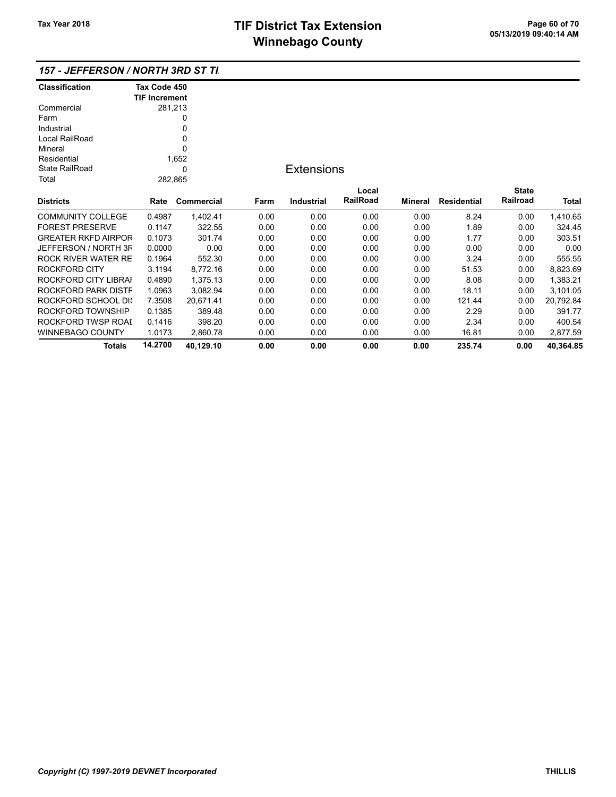| <b>Classification</b>      | Tax Code 450         |            |      |                   |                 |                |                    |              |           |
|----------------------------|----------------------|------------|------|-------------------|-----------------|----------------|--------------------|--------------|-----------|
|                            | <b>TIF Increment</b> |            |      |                   |                 |                |                    |              |           |
| Commercial                 |                      | 281,213    |      |                   |                 |                |                    |              |           |
| Farm                       |                      | 0          |      |                   |                 |                |                    |              |           |
| Industrial                 |                      | 0          |      |                   |                 |                |                    |              |           |
| Local RailRoad             |                      | 0          |      |                   |                 |                |                    |              |           |
| Mineral                    |                      | $\Omega$   |      |                   |                 |                |                    |              |           |
| Residential                |                      | 1,652      |      |                   |                 |                |                    |              |           |
| <b>State RailRoad</b>      |                      | 0          |      | <b>Extensions</b> |                 |                |                    |              |           |
| Total                      |                      | 282,865    |      |                   |                 |                |                    |              |           |
|                            |                      |            |      |                   | Local           |                |                    | <b>State</b> |           |
| <b>Districts</b>           | Rate                 | Commercial | Farm | <b>Industrial</b> | <b>RailRoad</b> | <b>Mineral</b> | <b>Residential</b> | Railroad     | Total     |
| <b>COMMUNITY COLLEGE</b>   | 0.4987               | 1,402.41   | 0.00 | 0.00              | 0.00            | 0.00           | 8.24               | 0.00         | 1,410.65  |
| <b>FOREST PRESERVE</b>     | 0.1147               | 322.55     | 0.00 | 0.00              | 0.00            | 0.00           | 1.89               | 0.00         | 324.45    |
| <b>GREATER RKFD AIRPOR</b> | 0.1073               | 301.74     | 0.00 | 0.00              | 0.00            | 0.00           | 1.77               | 0.00         | 303.51    |
| JEFFERSON / NORTH 3F       | 0.0000               | 0.00       | 0.00 | 0.00              | 0.00            | 0.00           | 0.00               | 0.00         | 0.00      |
| ROCK RIVER WATER RE        | 0.1964               | 552.30     | 0.00 | 0.00              | 0.00            | 0.00           | 3.24               | 0.00         | 555.55    |
| ROCKFORD CITY              | 3.1194               | 8,772.16   | 0.00 | 0.00              | 0.00            | 0.00           | 51.53              | 0.00         | 8,823.69  |
| ROCKFORD CITY LIBRAI       | 0.4890               | 1,375.13   | 0.00 | 0.00              | 0.00            | 0.00           | 8.08               | 0.00         | 1,383.21  |
| ROCKFORD PARK DISTF        | 1.0963               | 3,082.94   | 0.00 | 0.00              | 0.00            | 0.00           | 18.11              | 0.00         | 3,101.05  |
| <b>ROCKFORD SCHOOL DIS</b> | 7.3508               | 20,671.41  | 0.00 | 0.00              | 0.00            | 0.00           | 121.44             | 0.00         | 20,792.84 |
| ROCKFORD TOWNSHIP          | 0.1385               | 389.48     | 0.00 | 0.00              | 0.00            | 0.00           | 2.29               | 0.00         | 391.77    |
| ROCKFORD TWSP ROAI         | 0.1416               | 398.20     | 0.00 | 0.00              | 0.00            | 0.00           | 2.34               | 0.00         | 400.54    |
| <b>WINNEBAGO COUNTY</b>    | 1.0173               | 2,860.78   | 0.00 | 0.00              | 0.00            | 0.00           | 16.81              | 0.00         | 2,877.59  |
| Totals                     | 14.2700              | 40,129.10  | 0.00 | 0.00              | 0.00            | 0.00           | 235.74             | 0.00         | 40,364.85 |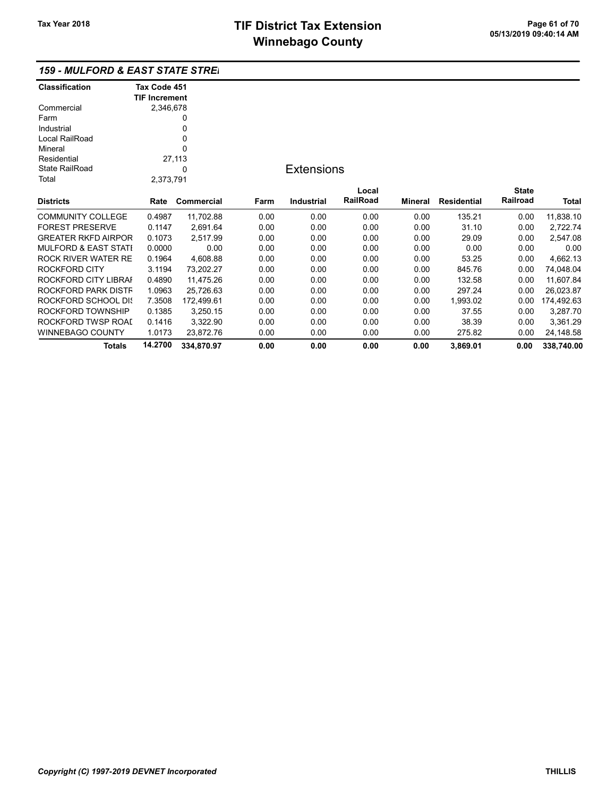WINNEBAGO COUNTY 1.0173 23,872.76 0.00 0.00 0.00 0.00 275.82 0.00 24,148.58

Totals 14.2700 334,870.97 0.00 0.00 0.00 0.00 3,869.01 0.00 338,740.00

| <b>159 - MULFORD &amp; EAST STATE STREI</b> |                      |            |      |                   |          |         |                    |              |            |
|---------------------------------------------|----------------------|------------|------|-------------------|----------|---------|--------------------|--------------|------------|
| <b>Classification</b>                       | Tax Code 451         |            |      |                   |          |         |                    |              |            |
|                                             | <b>TIF Increment</b> |            |      |                   |          |         |                    |              |            |
| Commercial                                  | 2,346,678            |            |      |                   |          |         |                    |              |            |
| Farm                                        |                      |            |      |                   |          |         |                    |              |            |
| Industrial                                  |                      | 0          |      |                   |          |         |                    |              |            |
| Local RailRoad                              |                      | 0          |      |                   |          |         |                    |              |            |
| Mineral                                     |                      | $\Omega$   |      |                   |          |         |                    |              |            |
| Residential                                 |                      | 27,113     |      |                   |          |         |                    |              |            |
| <b>State RailRoad</b>                       |                      | 0          |      | <b>Extensions</b> |          |         |                    |              |            |
| Total                                       | 2,373,791            |            |      |                   |          |         |                    |              |            |
|                                             |                      |            |      |                   | Local    |         |                    | <b>State</b> |            |
| <b>Districts</b>                            | Rate                 | Commercial | Farm | <b>Industrial</b> | RailRoad | Mineral | <b>Residential</b> | Railroad     | Total      |
| <b>COMMUNITY COLLEGE</b>                    | 0.4987               | 11,702.88  | 0.00 | 0.00              | 0.00     | 0.00    | 135.21             | 0.00         | 11,838.10  |
| <b>FOREST PRESERVE</b>                      | 0.1147               | 2,691.64   | 0.00 | 0.00              | 0.00     | 0.00    | 31.10              | 0.00         | 2,722.74   |
| <b>GREATER RKFD AIRPOR</b>                  | 0.1073               | 2,517.99   | 0.00 | 0.00              | 0.00     | 0.00    | 29.09              | 0.00         | 2,547.08   |
| <b>MULFORD &amp; EAST STATI</b>             | 0.0000               | 0.00       | 0.00 | 0.00              | 0.00     | 0.00    | 0.00               | 0.00         | 0.00       |
| <b>ROCK RIVER WATER RE</b>                  | 0.1964               | 4,608.88   | 0.00 | 0.00              | 0.00     | 0.00    | 53.25              | 0.00         | 4,662.13   |
| ROCKFORD CITY                               | 3.1194               | 73,202.27  | 0.00 | 0.00              | 0.00     | 0.00    | 845.76             | 0.00         | 74,048.04  |
| ROCKFORD CITY LIBRAI                        | 0.4890               | 11,475.26  | 0.00 | 0.00              | 0.00     | 0.00    | 132.58             | 0.00         | 11,607.84  |
| ROCKFORD PARK DISTF                         | 1.0963               | 25,726.63  | 0.00 | 0.00              | 0.00     | 0.00    | 297.24             | 0.00         | 26,023.87  |
| ROCKFORD SCHOOL DIS                         | 7.3508               | 172,499.61 | 0.00 | 0.00              | 0.00     | 0.00    | 1,993.02           | 0.00         | 174,492.63 |
| ROCKFORD TOWNSHIP                           | 0.1385               | 3,250.15   | 0.00 | 0.00              | 0.00     | 0.00    | 37.55              | 0.00         | 3,287.70   |
| ROCKFORD TWSP ROAI                          | 0.1416               | 3.322.90   | 0.00 | 0.00              | 0.00     | 0.00    | 38.39              | 0.00         | 3.361.29   |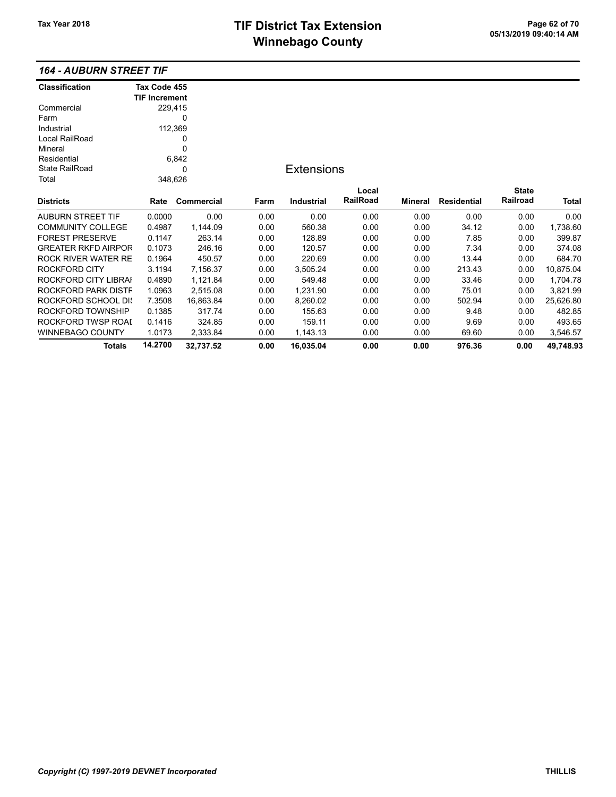#### 164 - AUBURN STREET TIF

| <b>Classification</b>      | Tax Code 455         |            |      |                   |          |                |                    |              |           |
|----------------------------|----------------------|------------|------|-------------------|----------|----------------|--------------------|--------------|-----------|
|                            | <b>TIF Increment</b> |            |      |                   |          |                |                    |              |           |
| Commercial                 |                      | 229,415    |      |                   |          |                |                    |              |           |
| Farm                       |                      | 0          |      |                   |          |                |                    |              |           |
| Industrial                 |                      | 112,369    |      |                   |          |                |                    |              |           |
| Local RailRoad             |                      | 0          |      |                   |          |                |                    |              |           |
| Mineral                    |                      | 0          |      |                   |          |                |                    |              |           |
| Residential                |                      | 6,842      |      |                   |          |                |                    |              |           |
| <b>State RailRoad</b>      |                      | 0          |      | <b>Extensions</b> |          |                |                    |              |           |
| Total                      |                      | 348,626    |      |                   |          |                |                    |              |           |
|                            |                      |            |      |                   | Local    |                |                    | <b>State</b> |           |
| <b>Districts</b>           | Rate                 | Commercial | Farm | <b>Industrial</b> | RailRoad | <b>Mineral</b> | <b>Residential</b> | Railroad     | Total     |
| <b>AUBURN STREET TIF</b>   | 0.0000               | 0.00       | 0.00 | 0.00              | 0.00     | 0.00           | 0.00               | 0.00         | 0.00      |
| <b>COMMUNITY COLLEGE</b>   | 0.4987               | 1,144.09   | 0.00 | 560.38            | 0.00     | 0.00           | 34.12              | 0.00         | 1,738.60  |
| <b>FOREST PRESERVE</b>     | 0.1147               | 263.14     | 0.00 | 128.89            | 0.00     | 0.00           | 7.85               | 0.00         | 399.87    |
| <b>GREATER RKFD AIRPOR</b> | 0.1073               | 246.16     | 0.00 | 120.57            | 0.00     | 0.00           | 7.34               | 0.00         | 374.08    |
| <b>ROCK RIVER WATER RE</b> | 0.1964               | 450.57     | 0.00 | 220.69            | 0.00     | 0.00           | 13.44              | 0.00         | 684.70    |
| ROCKFORD CITY              | 3.1194               | 7,156.37   | 0.00 | 3,505.24          | 0.00     | 0.00           | 213.43             | 0.00         | 10,875.04 |
| ROCKFORD CITY LIBRAI       | 0.4890               | 1,121.84   | 0.00 | 549.48            | 0.00     | 0.00           | 33.46              | 0.00         | 1,704.78  |
| ROCKFORD PARK DISTF        | 1.0963               | 2,515.08   | 0.00 | 1,231.90          | 0.00     | 0.00           | 75.01              | 0.00         | 3,821.99  |
| ROCKFORD SCHOOL DIS        | 7.3508               | 16,863.84  | 0.00 | 8,260.02          | 0.00     | 0.00           | 502.94             | 0.00         | 25,626.80 |
| ROCKFORD TOWNSHIP          | 0.1385               | 317.74     | 0.00 | 155.63            | 0.00     | 0.00           | 9.48               | 0.00         | 482.85    |
| ROCKFORD TWSP ROAI         | 0.1416               | 324.85     | 0.00 | 159.11            | 0.00     | 0.00           | 9.69               | 0.00         | 493.65    |
| WINNEBAGO COUNTY           | 1.0173               | 2,333.84   | 0.00 | 1,143.13          | 0.00     | 0.00           | 69.60              | 0.00         | 3,546.57  |
| Totals                     | 14.2700              | 32,737.52  | 0.00 | 16,035.04         | 0.00     | 0.00           | 976.36             | 0.00         | 49,748.93 |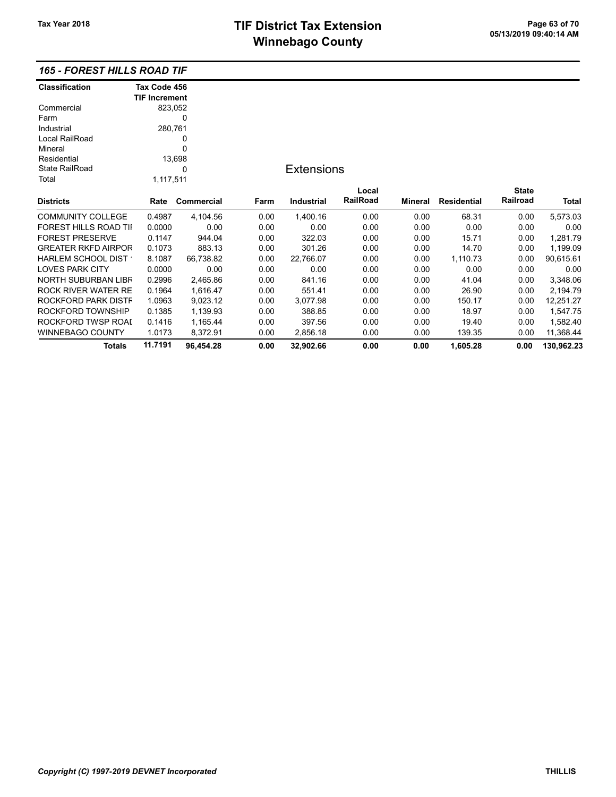## 165 - FOREST HILLS ROAD TIF

| <b>Classification</b>        | Tax Code 456         |            |      |                   |          |         |                    |              |            |
|------------------------------|----------------------|------------|------|-------------------|----------|---------|--------------------|--------------|------------|
|                              | <b>TIF Increment</b> |            |      |                   |          |         |                    |              |            |
| Commercial                   | 823,052              |            |      |                   |          |         |                    |              |            |
| Farm                         |                      | 0          |      |                   |          |         |                    |              |            |
| Industrial                   | 280,761              |            |      |                   |          |         |                    |              |            |
| Local RailRoad               |                      | 0          |      |                   |          |         |                    |              |            |
| Mineral                      |                      | 0          |      |                   |          |         |                    |              |            |
| Residential                  |                      | 13,698     |      |                   |          |         |                    |              |            |
| <b>State RailRoad</b>        |                      | 0          |      | <b>Extensions</b> |          |         |                    |              |            |
| Total                        | 1,117,511            |            |      |                   |          |         |                    |              |            |
|                              |                      |            |      |                   | Local    |         |                    | <b>State</b> |            |
| <b>Districts</b>             | Rate                 | Commercial | Farm | Industrial        | RailRoad | Mineral | <b>Residential</b> | Railroad     | Total      |
| <b>COMMUNITY COLLEGE</b>     | 0.4987               | 4,104.56   | 0.00 | 1,400.16          | 0.00     | 0.00    | 68.31              | 0.00         | 5,573.03   |
| <b>FOREST HILLS ROAD TII</b> | 0.0000               | 0.00       | 0.00 | 0.00              | 0.00     | 0.00    | 0.00               | 0.00         | 0.00       |
| <b>FOREST PRESERVE</b>       | 0.1147               | 944.04     | 0.00 | 322.03            | 0.00     | 0.00    | 15.71              | 0.00         | 1,281.79   |
| <b>GREATER RKFD AIRPOR</b>   | 0.1073               | 883.13     | 0.00 | 301.26            | 0.00     | 0.00    | 14.70              | 0.00         | 1,199.09   |
| HARLEM SCHOOL DIST *         | 8.1087               | 66,738.82  | 0.00 | 22,766.07         | 0.00     | 0.00    | 1,110.73           | 0.00         | 90,615.61  |
| <b>LOVES PARK CITY</b>       | 0.0000               | 0.00       | 0.00 | 0.00              | 0.00     | 0.00    | 0.00               | 0.00         | 0.00       |
| NORTH SUBURBAN LIBR          | 0.2996               | 2,465.86   | 0.00 | 841.16            | 0.00     | 0.00    | 41.04              | 0.00         | 3,348.06   |
| ROCK RIVER WATER RE          | 0.1964               | 1,616.47   | 0.00 | 551.41            | 0.00     | 0.00    | 26.90              | 0.00         | 2,194.79   |
| ROCKFORD PARK DISTF          | 1.0963               | 9,023.12   | 0.00 | 3,077.98          | 0.00     | 0.00    | 150.17             | 0.00         | 12,251.27  |
| ROCKFORD TOWNSHIP            | 0.1385               | 1,139.93   | 0.00 | 388.85            | 0.00     | 0.00    | 18.97              | 0.00         | 1,547.75   |
| ROCKFORD TWSP ROAI           | 0.1416               | 1,165.44   | 0.00 | 397.56            | 0.00     | 0.00    | 19.40              | 0.00         | 1,582.40   |
| WINNEBAGO COUNTY             | 1.0173               | 8,372.91   | 0.00 | 2,856.18          | 0.00     | 0.00    | 139.35             | 0.00         | 11,368.44  |
| <b>Totals</b>                | 11.7191              | 96,454.28  | 0.00 | 32,902.66         | 0.00     | 0.00    | 1,605.28           | 0.00         | 130,962.23 |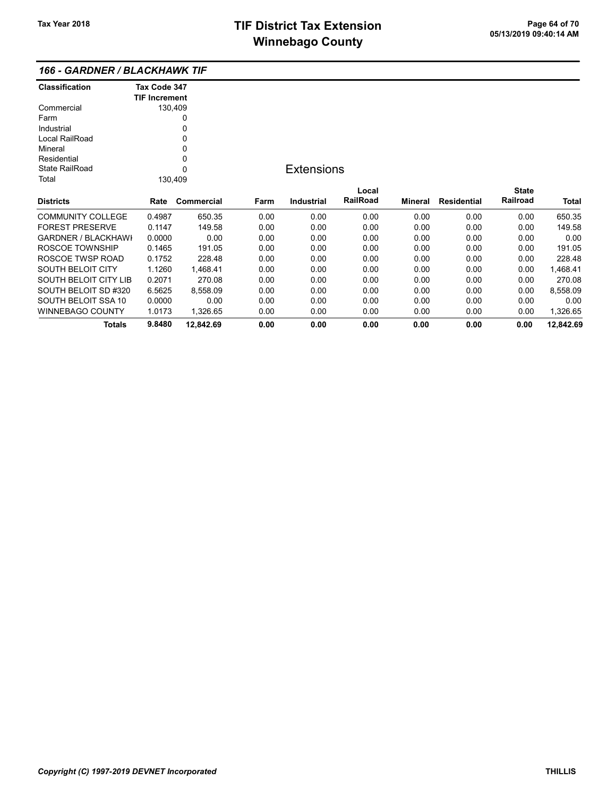| <b>Classification</b>        | Tax Code 347         |            |      |                   |                 |         |                    |              |           |
|------------------------------|----------------------|------------|------|-------------------|-----------------|---------|--------------------|--------------|-----------|
|                              | <b>TIF Increment</b> |            |      |                   |                 |         |                    |              |           |
| Commercial                   |                      | 130,409    |      |                   |                 |         |                    |              |           |
| Farm                         |                      | 0          |      |                   |                 |         |                    |              |           |
| Industrial                   |                      | 0          |      |                   |                 |         |                    |              |           |
| Local RailRoad               |                      | 0          |      |                   |                 |         |                    |              |           |
| Mineral                      |                      | 0          |      |                   |                 |         |                    |              |           |
| Residential                  |                      | 0          |      |                   |                 |         |                    |              |           |
| <b>State RailRoad</b>        |                      | 0          |      | <b>Extensions</b> |                 |         |                    |              |           |
| Total                        |                      | 130,409    |      |                   |                 |         |                    |              |           |
|                              |                      |            |      |                   | Local           |         |                    | <b>State</b> |           |
| <b>Districts</b>             | Rate                 | Commercial | Farm | Industrial        | <b>RailRoad</b> | Mineral | <b>Residential</b> | Railroad     | Total     |
| <b>COMMUNITY COLLEGE</b>     | 0.4987               | 650.35     | 0.00 | 0.00              | 0.00            | 0.00    | 0.00               | 0.00         | 650.35    |
| <b>FOREST PRESERVE</b>       | 0.1147               | 149.58     | 0.00 | 0.00              | 0.00            | 0.00    | 0.00               | 0.00         | 149.58    |
| <b>GARDNER / BLACKHAWI</b>   | 0.0000               | 0.00       | 0.00 | 0.00              | 0.00            | 0.00    | 0.00               | 0.00         | 0.00      |
| ROSCOE TOWNSHIP              | 0.1465               | 191.05     | 0.00 | 0.00              | 0.00            | 0.00    | 0.00               | 0.00         | 191.05    |
| ROSCOE TWSP ROAD             | 0.1752               | 228.48     | 0.00 | 0.00              | 0.00            | 0.00    | 0.00               | 0.00         | 228.48    |
| <b>SOUTH BELOIT CITY</b>     | 1.1260               | 1,468.41   | 0.00 | 0.00              | 0.00            | 0.00    | 0.00               | 0.00         | 1,468.41  |
| <b>SOUTH BELOIT CITY LIB</b> | 0.2071               | 270.08     | 0.00 | 0.00              | 0.00            | 0.00    | 0.00               | 0.00         | 270.08    |
| SOUTH BELOIT SD #320         | 6.5625               | 8,558.09   | 0.00 | 0.00              | 0.00            | 0.00    | 0.00               | 0.00         | 8,558.09  |
| SOUTH BELOIT SSA 10          | 0.0000               | 0.00       | 0.00 | 0.00              | 0.00            | 0.00    | 0.00               | 0.00         | 0.00      |
| <b>WINNEBAGO COUNTY</b>      | 1.0173               | 1,326.65   | 0.00 | 0.00              | 0.00            | 0.00    | 0.00               | 0.00         | 1,326.65  |
| Totals                       | 9.8480               | 12,842.69  | 0.00 | 0.00              | 0.00            | 0.00    | 0.00               | 0.00         | 12,842.69 |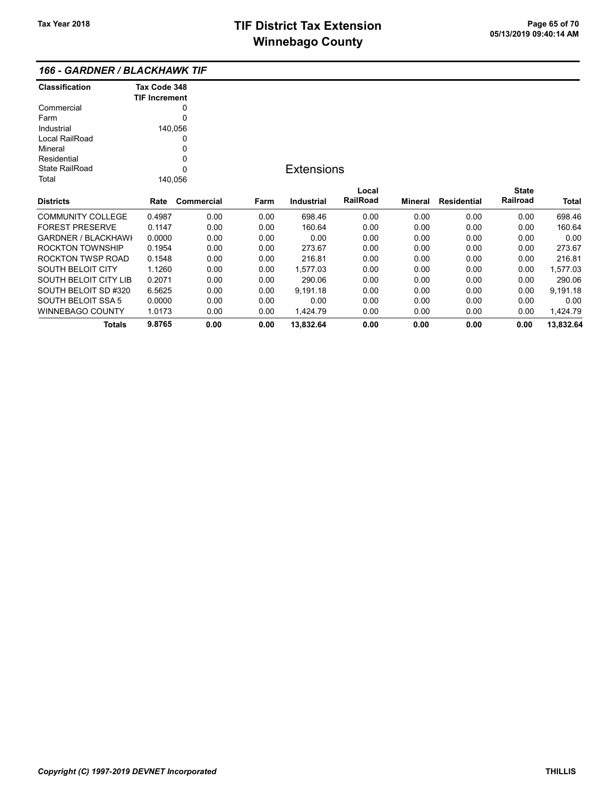| <b>Classification</b>      | Tax Code 348<br><b>TIF Increment</b> |            |      |                   |                          |         |                    |                          |           |
|----------------------------|--------------------------------------|------------|------|-------------------|--------------------------|---------|--------------------|--------------------------|-----------|
| Commercial                 |                                      | 0          |      |                   |                          |         |                    |                          |           |
| Farm                       |                                      | 0          |      |                   |                          |         |                    |                          |           |
| Industrial                 |                                      | 140,056    |      |                   |                          |         |                    |                          |           |
| Local RailRoad             |                                      | 0          |      |                   |                          |         |                    |                          |           |
| Mineral                    |                                      | 0          |      |                   |                          |         |                    |                          |           |
| Residential                |                                      | 0          |      |                   |                          |         |                    |                          |           |
| State RailRoad             |                                      | 0          |      | <b>Extensions</b> |                          |         |                    |                          |           |
| Total                      |                                      | 140,056    |      |                   |                          |         |                    |                          |           |
|                            |                                      |            |      |                   |                          |         |                    |                          |           |
|                            |                                      |            |      |                   | Local<br><b>RailRoad</b> |         |                    | <b>State</b><br>Railroad |           |
| <b>Districts</b>           | Rate                                 | Commercial | Farm | Industrial        |                          | Mineral | <b>Residential</b> |                          | Total     |
| <b>COMMUNITY COLLEGE</b>   | 0.4987                               | 0.00       | 0.00 | 698.46            | 0.00                     | 0.00    | 0.00               | 0.00                     | 698.46    |
| <b>FOREST PRESERVE</b>     | 0.1147                               | 0.00       | 0.00 | 160.64            | 0.00                     | 0.00    | 0.00               | 0.00                     | 160.64    |
| <b>GARDNER / BLACKHAWI</b> | 0.0000                               | 0.00       | 0.00 | 0.00              | 0.00                     | 0.00    | 0.00               | 0.00                     | 0.00      |
| <b>ROCKTON TOWNSHIP</b>    | 0.1954                               | 0.00       | 0.00 | 273.67            | 0.00                     | 0.00    | 0.00               | 0.00                     | 273.67    |
| ROCKTON TWSP ROAD          | 0.1548                               | 0.00       | 0.00 | 216.81            | 0.00                     | 0.00    | 0.00               | 0.00                     | 216.81    |
| <b>SOUTH BELOIT CITY</b>   | 1.1260                               | 0.00       | 0.00 | 1,577.03          | 0.00                     | 0.00    | 0.00               | 0.00                     | 1,577.03  |
| SOUTH BELOIT CITY LIB      | 0.2071                               | 0.00       | 0.00 | 290.06            | 0.00                     | 0.00    | 0.00               | 0.00                     | 290.06    |
| SOUTH BELOIT SD #320       | 6.5625                               | 0.00       | 0.00 | 9,191.18          | 0.00                     | 0.00    | 0.00               | 0.00                     | 9,191.18  |
| <b>SOUTH BELOIT SSA 5</b>  | 0.0000                               | 0.00       | 0.00 | 0.00              | 0.00                     | 0.00    | 0.00               | 0.00                     | 0.00      |
| <b>WINNEBAGO COUNTY</b>    | 1.0173                               | 0.00       | 0.00 | 1,424.79          | 0.00                     | 0.00    | 0.00               | 0.00                     | 1,424.79  |
| <b>Totals</b>              | 9.8765                               | 0.00       | 0.00 | 13,832.64         | 0.00                     | 0.00    | 0.00               | 0.00                     | 13,832.64 |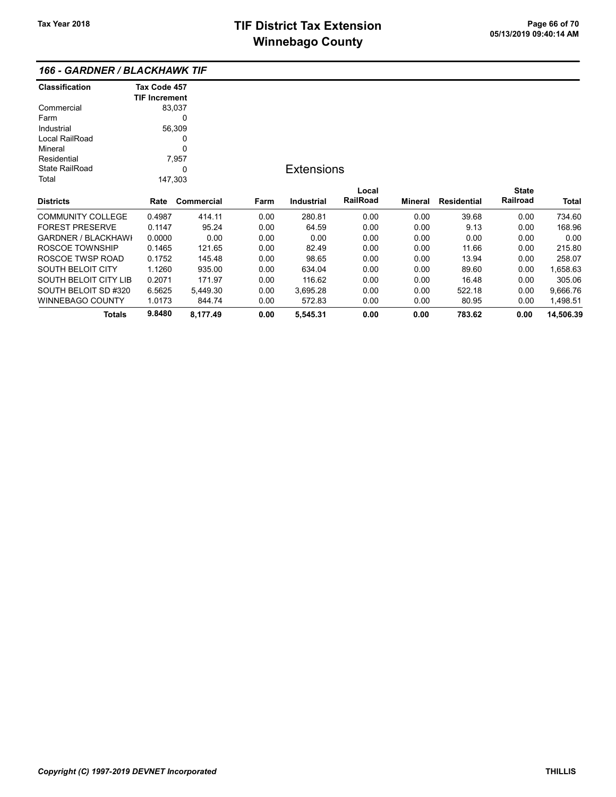| <b>Classification</b>        | Tax Code 457         |            |      |                   |          |                |                    |              |           |
|------------------------------|----------------------|------------|------|-------------------|----------|----------------|--------------------|--------------|-----------|
|                              | <b>TIF Increment</b> |            |      |                   |          |                |                    |              |           |
| Commercial                   |                      | 83,037     |      |                   |          |                |                    |              |           |
| Farm                         |                      | 0          |      |                   |          |                |                    |              |           |
| Industrial                   |                      | 56,309     |      |                   |          |                |                    |              |           |
| Local RailRoad               |                      | 0          |      |                   |          |                |                    |              |           |
| Mineral                      |                      | 0          |      |                   |          |                |                    |              |           |
| Residential                  |                      | 7,957      |      |                   |          |                |                    |              |           |
| <b>State RailRoad</b>        |                      | 0          |      | <b>Extensions</b> |          |                |                    |              |           |
| Total                        |                      | 147,303    |      |                   |          |                |                    |              |           |
|                              |                      |            |      |                   | Local    |                |                    | <b>State</b> |           |
| <b>Districts</b>             | Rate                 | Commercial | Farm | <b>Industrial</b> | RailRoad | <b>Mineral</b> | <b>Residential</b> | Railroad     | Total     |
| <b>COMMUNITY COLLEGE</b>     | 0.4987               | 414.11     | 0.00 | 280.81            | 0.00     | 0.00           | 39.68              | 0.00         | 734.60    |
| <b>FOREST PRESERVE</b>       | 0.1147               | 95.24      | 0.00 | 64.59             | 0.00     | 0.00           | 9.13               | 0.00         | 168.96    |
| <b>GARDNER / BLACKHAWI</b>   | 0.0000               | 0.00       | 0.00 | 0.00              | 0.00     | 0.00           | 0.00               | 0.00         | 0.00      |
| ROSCOE TOWNSHIP              | 0.1465               | 121.65     | 0.00 | 82.49             | 0.00     | 0.00           | 11.66              | 0.00         | 215.80    |
| ROSCOE TWSP ROAD             | 0.1752               | 145.48     | 0.00 | 98.65             | 0.00     | 0.00           | 13.94              | 0.00         | 258.07    |
| <b>SOUTH BELOIT CITY</b>     | 1.1260               | 935.00     | 0.00 | 634.04            | 0.00     | 0.00           | 89.60              | 0.00         | 1,658.63  |
| <b>SOUTH BELOIT CITY LIB</b> | 0.2071               | 171.97     | 0.00 | 116.62            | 0.00     | 0.00           | 16.48              | 0.00         | 305.06    |
| SOUTH BELOIT SD #320         | 6.5625               | 5,449.30   | 0.00 | 3,695.28          | 0.00     | 0.00           | 522.18             | 0.00         | 9,666.76  |
| <b>WINNEBAGO COUNTY</b>      | 1.0173               | 844.74     | 0.00 | 572.83            | 0.00     | 0.00           | 80.95              | 0.00         | 1,498.51  |
| <b>Totals</b>                | 9.8480               | 8,177.49   | 0.00 | 5,545.31          | 0.00     | 0.00           | 783.62             | 0.00         | 14,506.39 |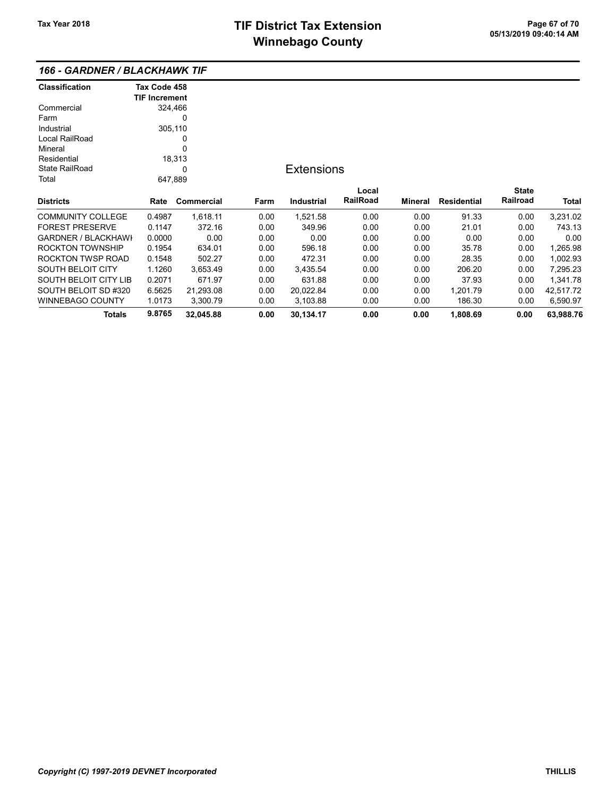| <b>Classification</b>        | Tax Code 458         |            |      |                   |                 |         |                    |              |           |
|------------------------------|----------------------|------------|------|-------------------|-----------------|---------|--------------------|--------------|-----------|
|                              | <b>TIF Increment</b> |            |      |                   |                 |         |                    |              |           |
| Commercial                   | 324,466              |            |      |                   |                 |         |                    |              |           |
| Farm                         |                      | 0          |      |                   |                 |         |                    |              |           |
| Industrial                   | 305,110              |            |      |                   |                 |         |                    |              |           |
| Local RailRoad               |                      | 0          |      |                   |                 |         |                    |              |           |
| Mineral                      |                      | 0          |      |                   |                 |         |                    |              |           |
| Residential                  |                      | 18,313     |      |                   |                 |         |                    |              |           |
| <b>State RailRoad</b>        |                      | 0          |      | <b>Extensions</b> |                 |         |                    |              |           |
| Total                        | 647,889              |            |      |                   |                 |         |                    |              |           |
|                              |                      |            |      |                   | Local           |         |                    | <b>State</b> |           |
| <b>Districts</b>             | Rate                 | Commercial | Farm | Industrial        | <b>RailRoad</b> | Mineral | <b>Residential</b> | Railroad     | Total     |
| <b>COMMUNITY COLLEGE</b>     | 0.4987               | 1,618.11   | 0.00 | 1,521.58          | 0.00            | 0.00    | 91.33              | 0.00         | 3,231.02  |
| <b>FOREST PRESERVE</b>       | 0.1147               | 372.16     | 0.00 | 349.96            | 0.00            | 0.00    | 21.01              | 0.00         | 743.13    |
| <b>GARDNER / BLACKHAWI</b>   | 0.0000               | 0.00       | 0.00 | 0.00              | 0.00            | 0.00    | 0.00               | 0.00         | 0.00      |
| <b>ROCKTON TOWNSHIP</b>      | 0.1954               | 634.01     | 0.00 | 596.18            | 0.00            | 0.00    | 35.78              | 0.00         | 1,265.98  |
| ROCKTON TWSP ROAD            | 0.1548               | 502.27     | 0.00 | 472.31            | 0.00            | 0.00    | 28.35              | 0.00         | 1,002.93  |
| <b>SOUTH BELOIT CITY</b>     | 1.1260               | 3,653.49   | 0.00 | 3,435.54          | 0.00            | 0.00    | 206.20             | 0.00         | 7,295.23  |
| <b>SOUTH BELOIT CITY LIB</b> | 0.2071               | 671.97     | 0.00 | 631.88            | 0.00            | 0.00    | 37.93              | 0.00         | 1,341.78  |
| SOUTH BELOIT SD #320         | 6.5625               | 21,293.08  | 0.00 | 20,022.84         | 0.00            | 0.00    | 1,201.79           | 0.00         | 42,517.72 |
| <b>WINNEBAGO COUNTY</b>      | 1.0173               | 3,300.79   | 0.00 | 3,103.88          | 0.00            | 0.00    | 186.30             | 0.00         | 6,590.97  |
| <b>Totals</b>                | 9.8765               | 32,045.88  | 0.00 | 30,134.17         | 0.00            | 0.00    | 1,808.69           | 0.00         | 63,988.76 |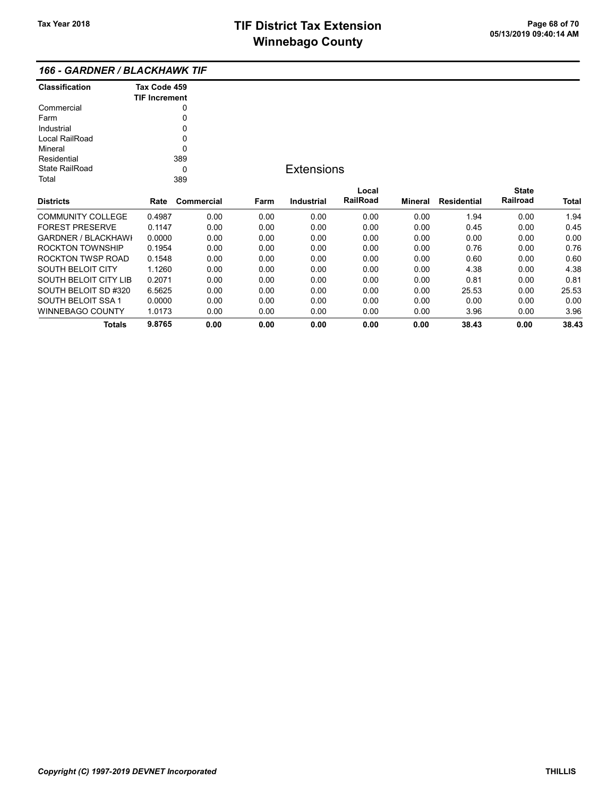| <b>Classification</b>    | Tax Code 459<br><b>TIF Increment</b> |            |  |  |  |  |
|--------------------------|--------------------------------------|------------|--|--|--|--|
| Commercial               | 0                                    |            |  |  |  |  |
| Farm                     | O                                    |            |  |  |  |  |
| Industrial               | U                                    |            |  |  |  |  |
| Local RailRoad           | O                                    |            |  |  |  |  |
| Mineral                  | n                                    |            |  |  |  |  |
| Residential              | 389                                  |            |  |  |  |  |
| State RailRoad           | O                                    |            |  |  |  |  |
| Total                    | 389                                  |            |  |  |  |  |
|                          |                                      |            |  |  |  |  |
| <b>Districts</b>         | Rate                                 | Commercial |  |  |  |  |
| <b>COMMUNITY COLLEGE</b> | 0.4987                               | 0.00       |  |  |  |  |
| FOREST PRESERVE          | በ 1147                               | 0.00       |  |  |  |  |

## **Extensions**

|                            | Rate   |            |      |            | Local           |         |             | <b>State</b> |              |
|----------------------------|--------|------------|------|------------|-----------------|---------|-------------|--------------|--------------|
| <b>Districts</b>           |        | Commercial | Farm | Industrial | <b>RailRoad</b> | Mineral | Residential | Railroad     | <b>Total</b> |
| <b>COMMUNITY COLLEGE</b>   | 0.4987 | 0.00       | 0.00 | 0.00       | 0.00            | 0.00    | 1.94        | 0.00         | 1.94         |
| <b>FOREST PRESERVE</b>     | 0.1147 | 0.00       | 0.00 | 0.00       | 0.00            | 0.00    | 0.45        | 0.00         | 0.45         |
| <b>GARDNER / BLACKHAWI</b> | 0.0000 | 0.00       | 0.00 | 0.00       | 0.00            | 0.00    | 0.00        | 0.00         | 0.00         |
| ROCKTON TOWNSHIP           | 0.1954 | 0.00       | 0.00 | 0.00       | 0.00            | 0.00    | 0.76        | 0.00         | 0.76         |
| ROCKTON TWSP ROAD          | 0.1548 | 0.00       | 0.00 | 0.00       | 0.00            | 0.00    | 0.60        | 0.00         | 0.60         |
| <b>SOUTH BELOIT CITY</b>   | 1.1260 | 0.00       | 0.00 | 0.00       | 0.00            | 0.00    | 4.38        | 0.00         | 4.38         |
| SOUTH BELOIT CITY LIB      | 0.2071 | 0.00       | 0.00 | 0.00       | 0.00            | 0.00    | 0.81        | 0.00         | 0.81         |
| SOUTH BELOIT SD #320       | 6.5625 | 0.00       | 0.00 | 0.00       | 0.00            | 0.00    | 25.53       | 0.00         | 25.53        |
| SOUTH BELOIT SSA 1         | 0.0000 | 0.00       | 0.00 | 0.00       | 0.00            | 0.00    | 0.00        | 0.00         | 0.00         |
| WINNEBAGO COUNTY           | 1.0173 | 0.00       | 0.00 | 0.00       | 0.00            | 0.00    | 3.96        | 0.00         | 3.96         |
| Totals                     | 9.8765 | 0.00       | 0.00 | 0.00       | 0.00            | 0.00    | 38.43       | 0.00         | 38.43        |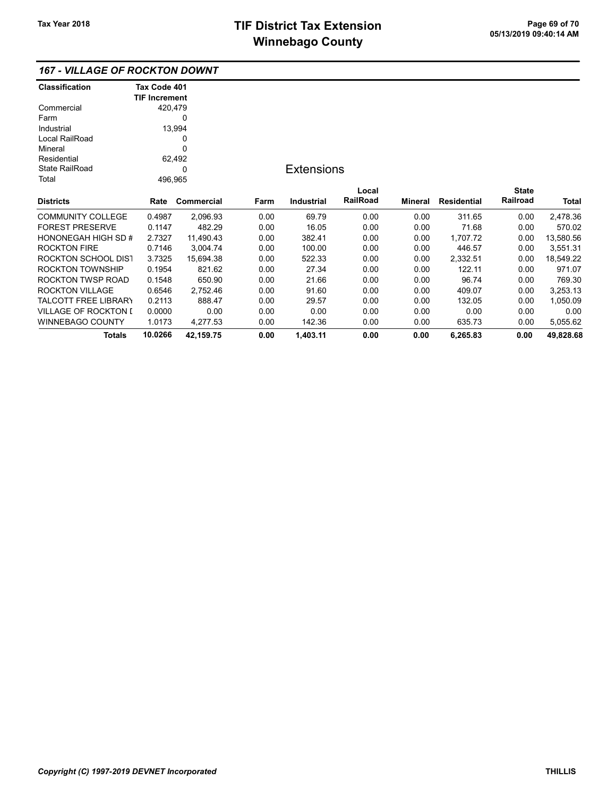### 167 - VILLAGE OF ROCKTON DOWNT

| <b>Classification</b>       | Tax Code 401         |             |      |                   |          |         |                    |              |           |
|-----------------------------|----------------------|-------------|------|-------------------|----------|---------|--------------------|--------------|-----------|
|                             | <b>TIF Increment</b> |             |      |                   |          |         |                    |              |           |
| Commercial                  | 420,479              |             |      |                   |          |         |                    |              |           |
| Farm                        |                      | 0           |      |                   |          |         |                    |              |           |
| Industrial                  |                      | 13,994      |      |                   |          |         |                    |              |           |
| Local RailRoad              |                      | 0           |      |                   |          |         |                    |              |           |
| Mineral                     |                      | $\mathbf 0$ |      |                   |          |         |                    |              |           |
| Residential                 |                      | 62,492      |      |                   |          |         |                    |              |           |
| <b>State RailRoad</b>       |                      | 0           |      | <b>Extensions</b> |          |         |                    |              |           |
| Total                       | 496,965              |             |      |                   |          |         |                    |              |           |
|                             |                      |             |      |                   | Local    |         |                    | <b>State</b> |           |
| <b>Districts</b>            | Rate                 | Commercial  | Farm | <b>Industrial</b> | RailRoad | Mineral | <b>Residential</b> | Railroad     | Total     |
| <b>COMMUNITY COLLEGE</b>    | 0.4987               | 2,096.93    | 0.00 | 69.79             | 0.00     | 0.00    | 311.65             | 0.00         | 2,478.36  |
| <b>FOREST PRESERVE</b>      | 0.1147               | 482.29      | 0.00 | 16.05             | 0.00     | 0.00    | 71.68              | 0.00         | 570.02    |
| <b>HONONEGAH HIGH SD #</b>  | 2.7327               | 11,490.43   | 0.00 | 382.41            | 0.00     | 0.00    | 1,707.72           | 0.00         | 13,580.56 |
| <b>ROCKTON FIRE</b>         | 0.7146               | 3,004.74    | 0.00 | 100.00            | 0.00     | 0.00    | 446.57             | 0.00         | 3,551.31  |
| ROCKTON SCHOOL DIST         | 3.7325               | 15,694.38   | 0.00 | 522.33            | 0.00     | 0.00    | 2,332.51           | 0.00         | 18,549.22 |
| ROCKTON TOWNSHIP            | 0.1954               | 821.62      | 0.00 | 27.34             | 0.00     | 0.00    | 122.11             | 0.00         | 971.07    |
| ROCKTON TWSP ROAD           | 0.1548               | 650.90      | 0.00 | 21.66             | 0.00     | 0.00    | 96.74              | 0.00         | 769.30    |
| <b>ROCKTON VILLAGE</b>      | 0.6546               | 2,752.46    | 0.00 | 91.60             | 0.00     | 0.00    | 409.07             | 0.00         | 3,253.13  |
| <b>TALCOTT FREE LIBRARY</b> | 0.2113               | 888.47      | 0.00 | 29.57             | 0.00     | 0.00    | 132.05             | 0.00         | 1,050.09  |
| <b>VILLAGE OF ROCKTON I</b> | 0.0000               | 0.00        | 0.00 | 0.00              | 0.00     | 0.00    | 0.00               | 0.00         | 0.00      |
| WINNEBAGO COUNTY            | 1.0173               | 4,277.53    | 0.00 | 142.36            | 0.00     | 0.00    | 635.73             | 0.00         | 5,055.62  |
| <b>Totals</b>               | 10.0266              | 42,159.75   | 0.00 | 1,403.11          | 0.00     | 0.00    | 6,265.83           | 0.00         | 49,828.68 |